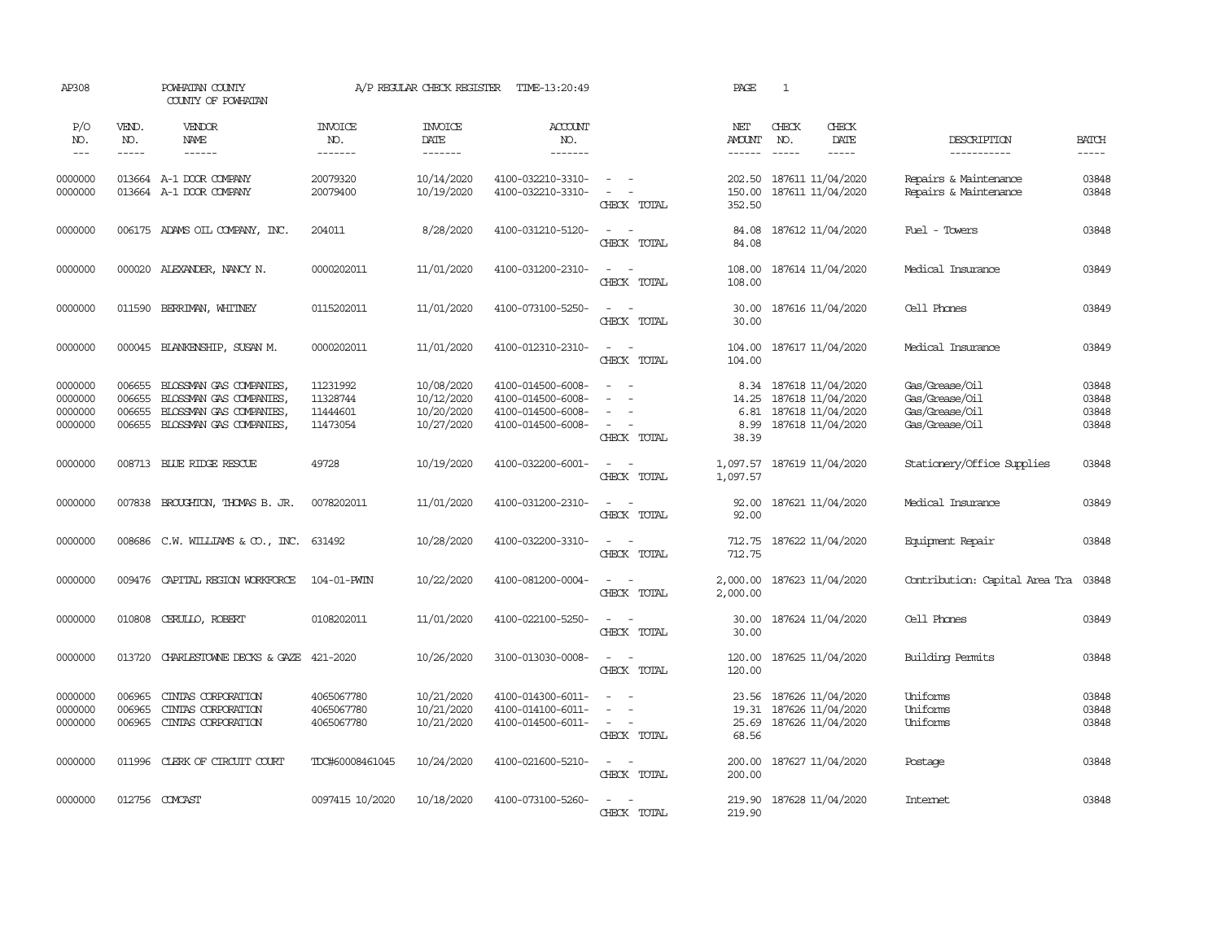| AP308                                    |                                      | POWHATAN COUNTY<br>COUNTY OF POWHATAN                                                                |                                              | A/P REGULAR CHECK REGISTER                           | TIME-13:20:49                                                                    |                                                                                                                                                 | PAGE                                   | $\mathbf{1}$                                                                     |                                                                      |                                  |
|------------------------------------------|--------------------------------------|------------------------------------------------------------------------------------------------------|----------------------------------------------|------------------------------------------------------|----------------------------------------------------------------------------------|-------------------------------------------------------------------------------------------------------------------------------------------------|----------------------------------------|----------------------------------------------------------------------------------|----------------------------------------------------------------------|----------------------------------|
| P/O<br>NO.<br>$\frac{1}{2}$              | VEND.<br>NO.<br>-----                | VENDOR<br>NAME<br>$- - - - - -$                                                                      | <b>INVOICE</b><br>NO.<br>-------             | <b>INVOICE</b><br>DATE<br>-------                    | <b>ACCOUNT</b><br>NO.<br>-------                                                 |                                                                                                                                                 | NET<br><b>AMOUNT</b><br>$- - - - - -$  | CHECK<br>CHECK<br>NO.<br>DATE<br>$\frac{1}{2}$<br>-----                          | DESCRIPTION<br>-----------                                           | <b>BATCH</b><br>-----            |
| 0000000<br>0000000                       |                                      | 013664 A-1 DOOR COMPANY<br>013664 A-1 DOOR COMPANY                                                   | 20079320<br>20079400                         | 10/14/2020<br>10/19/2020                             | 4100-032210-3310-<br>4100-032210-3310-                                           | $\frac{1}{2} \left( \frac{1}{2} \right) \left( \frac{1}{2} \right) = \frac{1}{2} \left( \frac{1}{2} \right)$<br>$\sim$<br>$\sim$<br>CHECK TOTAL | 202.50<br>150.00<br>352.50             | 187611 11/04/2020<br>187611 11/04/2020                                           | Repairs & Maintenance<br>Repairs & Maintenance                       | 03848<br>03848                   |
| 0000000                                  |                                      | 006175 ADAMS OIL COMPANY, INC.                                                                       | 204011                                       | 8/28/2020                                            | 4100-031210-5120-                                                                | $\sim$<br>$\overline{\phantom{a}}$<br>CHECK TOTAL                                                                                               | 84.08<br>84.08                         | 187612 11/04/2020                                                                | Fuel - Towers                                                        | 03848                            |
| 0000000                                  |                                      | 000020 ALEXANDER, NANCY N.                                                                           | 0000202011                                   | 11/01/2020                                           | 4100-031200-2310-                                                                | $\overline{\phantom{a}}$<br>$\sim$<br>CHECK TOTAL                                                                                               | 108.00<br>108.00                       | 187614 11/04/2020                                                                | Medical Insurance                                                    | 03849                            |
| 0000000                                  | 011590                               | BERRIMAN, WHITNEY                                                                                    | 0115202011                                   | 11/01/2020                                           | 4100-073100-5250-                                                                | $\sim$<br>$\sim$<br>CHECK TOTAL                                                                                                                 | 30.00<br>30.00                         | 187616 11/04/2020                                                                | Cell Phones                                                          | 03849                            |
| 0000000                                  |                                      | 000045 BLANKENSHIP, SUSAN M.                                                                         | 0000202011                                   | 11/01/2020                                           | 4100-012310-2310-                                                                | $\sim$<br>$\sim$<br>CHECK TOTAL                                                                                                                 | 104.00<br>104.00                       | 187617 11/04/2020                                                                | Medical Insurance                                                    | 03849                            |
| 0000000<br>0000000<br>0000000<br>0000000 | 006655<br>006655<br>006655<br>006655 | BLOSSMAN GAS COMPANIES<br>BLOSSMAN GAS COMPANIES<br>BLOSSMAN GAS COMPANIES<br>BLOSSMAN GAS COMPANIES | 11231992<br>11328744<br>11444601<br>11473054 | 10/08/2020<br>10/12/2020<br>10/20/2020<br>10/27/2020 | 4100-014500-6008-<br>4100-014500-6008-<br>4100-014500-6008-<br>4100-014500-6008- | $\sim$<br>$\sim$<br>$\sim$<br>CHECK TOTAL                                                                                                       | 8.34<br>14.25<br>6.81<br>8.99<br>38.39 | 187618 11/04/2020<br>187618 11/04/2020<br>187618 11/04/2020<br>187618 11/04/2020 | Gas/Grease/Oil<br>Gas/Grease/Oil<br>Gas/Grease/Oil<br>Gas/Grease/Oil | 03848<br>03848<br>03848<br>03848 |
| 0000000                                  |                                      | 008713 BLUE RIDGE RESCUE                                                                             | 49728                                        | 10/19/2020                                           | 4100-032200-6001-                                                                | $\sim$ $ -$<br>CHECK TOTAL                                                                                                                      | 1,097.57                               | 1,097.57 187619 11/04/2020                                                       | Stationery/Office Supplies                                           | 03848                            |
| 0000000                                  |                                      | 007838 BROUGHTON, THOMAS B. JR.                                                                      | 0078202011                                   | 11/01/2020                                           | 4100-031200-2310-                                                                | $\overline{\phantom{a}}$<br>$\sim$ $-$<br>CHECK TOTAL                                                                                           | 92.00<br>92.00                         | 187621 11/04/2020                                                                | Medical Insurance                                                    | 03849                            |
| 0000000                                  |                                      | 008686 C.W. WILLIAMS & CO., INC.                                                                     | 631492                                       | 10/28/2020                                           | 4100-032200-3310-                                                                | $\omega_{\rm{max}}$ and $\omega_{\rm{max}}$<br>CHECK TOTAL                                                                                      | 712.75<br>712.75                       | 187622 11/04/2020                                                                | Equipment Repair                                                     | 03848                            |
| 0000000                                  | 009476                               | CAPITAL REGION WORKFORCE                                                                             | 104-01-PWIN                                  | 10/22/2020                                           | 4100-081200-0004-                                                                | $\omega_{\rm{max}}$ and $\omega_{\rm{max}}$<br>CHECK TOTAL                                                                                      | 2,000.00<br>2,000.00                   | 187623 11/04/2020                                                                | Contribution: Capital Area Tra                                       | 03848                            |
| 0000000                                  | 010808                               | CERULLO, ROBERT                                                                                      | 0108202011                                   | 11/01/2020                                           | 4100-022100-5250-                                                                | $\sim$<br>$\overline{\phantom{a}}$<br>CHECK TOTAL                                                                                               | 30.00<br>30.00                         | 187624 11/04/2020                                                                | Cell Phones                                                          | 03849                            |
| 0000000                                  | 013720                               | CHARLESTOWNE DECKS & GAZE                                                                            | 421-2020                                     | 10/26/2020                                           | 3100-013030-0008-                                                                | $\frac{1}{2} \left( \frac{1}{2} \right) \left( \frac{1}{2} \right) = \frac{1}{2} \left( \frac{1}{2} \right)$<br>CHECK TOTAL                     | 120.00<br>120.00                       | 187625 11/04/2020                                                                | Building Permits                                                     | 03848                            |
| 0000000<br>0000000<br>0000000            | 006965<br>006965<br>006965           | CINIAS CORPORATION<br>CINTAS CORPORATION<br>CINIAS CORPORATION                                       | 4065067780<br>4065067780<br>4065067780       | 10/21/2020<br>10/21/2020<br>10/21/2020               | 4100-014300-6011-<br>4100-014100-6011-<br>4100-014500-6011-                      | $\equiv$<br>$\sim$<br>$\overline{\phantom{a}}$<br>CHECK TOTAL                                                                                   | 23.56<br>19.31<br>25.69<br>68.56       | 187626 11/04/2020<br>187626 11/04/2020<br>187626 11/04/2020                      | Uniforms<br>Uniforms<br>Uniforms                                     | 03848<br>03848<br>03848          |
| 0000000                                  |                                      | 011996 CLERK OF CIRCUIT COURT                                                                        | TDC#60008461045                              | 10/24/2020                                           | 4100-021600-5210-                                                                | $\omega_{\rm{max}}$ and $\omega_{\rm{max}}$<br>CHECK TOTAL                                                                                      | 200.00<br>200.00                       | 187627 11/04/2020                                                                | Postage                                                              | 03848                            |
| 0000000                                  |                                      | 012756 COMCAST                                                                                       | 0097415 10/2020                              | 10/18/2020                                           | 4100-073100-5260-                                                                | $\equiv$<br>$\sim$<br>CHECK TOTAL                                                                                                               | 219.90<br>219.90                       | 187628 11/04/2020                                                                | <b>Internet</b>                                                      | 03848                            |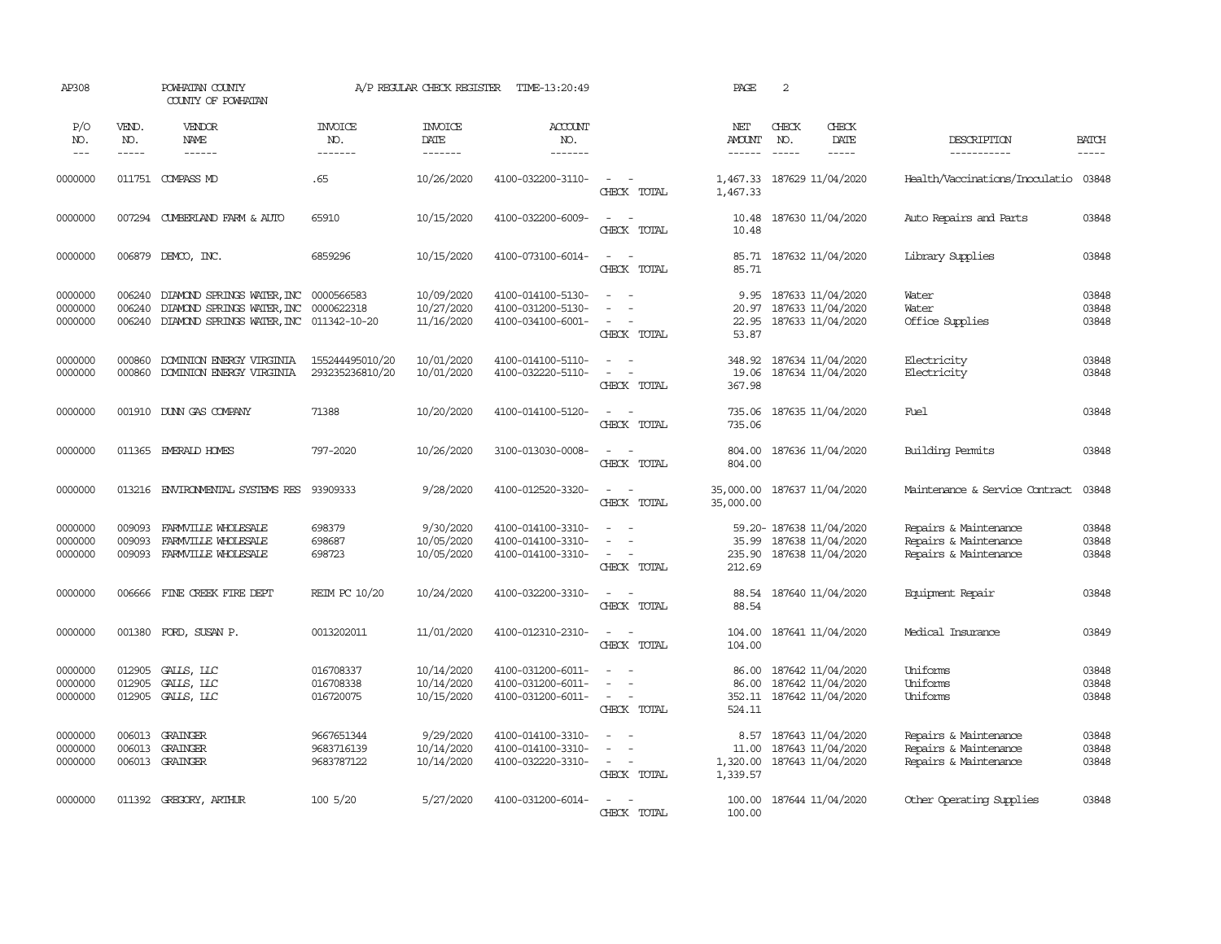| AP308                         |                             | POWHATAN COUNTY<br>COUNTY OF POWHATAN                                                                                     |                                        | A/P REGULAR CHECK REGISTER             | TIME-13:20:49                                               |                                                                                                               | PAGE                               | 2                                                                         |                              |                                                                         |                             |
|-------------------------------|-----------------------------|---------------------------------------------------------------------------------------------------------------------------|----------------------------------------|----------------------------------------|-------------------------------------------------------------|---------------------------------------------------------------------------------------------------------------|------------------------------------|---------------------------------------------------------------------------|------------------------------|-------------------------------------------------------------------------|-----------------------------|
| P/O<br>NO.<br>$---$           | VEND.<br>NO.<br>$- - - - -$ | VENDOR<br><b>NAME</b><br>------                                                                                           | <b>INVOICE</b><br>NO.<br>-------       | <b>INVOICE</b><br>DATE<br>-------      | <b>ACCOUNT</b><br>NO.<br>-------                            |                                                                                                               | NET<br><b>AMOUNT</b><br>------     | CHECK<br>NO.                                                              | CHECK<br>DATE<br>$- - - - -$ | DESCRIPTION<br>-----------                                              | <b>BATCH</b><br>$- - - - -$ |
| 0000000                       |                             | 011751 COMPASS MD                                                                                                         | .65                                    | 10/26/2020                             | 4100-032200-3110-                                           | $\frac{1}{2} \left( \frac{1}{2} \right) \left( \frac{1}{2} \right) \left( \frac{1}{2} \right)$<br>CHECK TOTAL | 1,467.33                           | 1,467.33 187629 11/04/2020                                                |                              | Health/Vaccinations/Inoculatio 03848                                    |                             |
| 0000000                       |                             | 007294 CUMBERLAND FARM & AUTO                                                                                             | 65910                                  | 10/15/2020                             | 4100-032200-6009-                                           | $\equiv$<br>$\overline{\phantom{a}}$<br>CHECK TOTAL                                                           | 10.48<br>10.48                     | 187630 11/04/2020                                                         |                              | Auto Repairs and Parts                                                  | 03848                       |
| 0000000                       | 006879                      | DEMCO, INC.                                                                                                               | 6859296                                | 10/15/2020                             | 4100-073100-6014-                                           | $\overline{\phantom{a}}$<br>$\sim$<br>CHECK TOTAL                                                             | 85.71<br>85.71                     | 187632 11/04/2020                                                         |                              | Library Supplies                                                        | 03848                       |
| 0000000<br>0000000<br>0000000 | 006240<br>006240<br>006240  | DIAMOND SPRINGS WATER, INC 0000566583<br>DIAMOND SPRINGS WATER, INC 0000622318<br>DIAMOND SPRINGS WATER, INC 011342-10-20 |                                        | 10/09/2020<br>10/27/2020<br>11/16/2020 | 4100-014100-5130-<br>4100-031200-5130-<br>4100-034100-6001- | $\sim$<br>. —<br>$\sim$<br>$\overline{\phantom{a}}$<br>CHECK TOTAL                                            | 9.95<br>22.95<br>53.87             | 187633 11/04/2020<br>20.97 187633 11/04/2020<br>187633 11/04/2020         |                              | Water<br>Water<br>Office Supplies                                       | 03848<br>03848<br>03848     |
| 0000000<br>0000000            | 000860<br>000860            | DOMINION ENERGY VIRGINIA<br>DOMINION ENERGY VIRGINIA                                                                      | 155244495010/20<br>293235236810/20     | 10/01/2020<br>10/01/2020               | 4100-014100-5110-<br>4100-032220-5110-                      | $\overline{\phantom{a}}$<br>$\sim$<br>$\sim$<br>$\sim$<br>CHECK TOTAL                                         | 348.92<br>19.06<br>367.98          | 187634 11/04/2020<br>187634 11/04/2020                                    |                              | Electricity<br>Electricity                                              | 03848<br>03848              |
| 0000000                       |                             | 001910 DUNN GAS COMPANY                                                                                                   | 71388                                  | 10/20/2020                             | 4100-014100-5120-                                           | $\sim$<br>$\sim$<br>CHECK TOTAL                                                                               | 735.06<br>735.06                   | 187635 11/04/2020                                                         |                              | Fuel                                                                    | 03848                       |
| 0000000                       |                             | 011365 EMERALD HOMES                                                                                                      | 797-2020                               | 10/26/2020                             | 3100-013030-0008-                                           | $\sim$<br>- 11<br>CHECK TOTAL                                                                                 | 804.00<br>804.00                   | 187636 11/04/2020                                                         |                              | Building Permits                                                        | 03848                       |
| 0000000                       |                             | 013216 ENVIRONMENTAL SYSTEMS RES                                                                                          | 93909333                               | 9/28/2020                              | 4100-012520-3320-                                           | $\sim$<br>$\sim$<br>CHECK TOTAL                                                                               | 35,000.00                          | 35,000.00 187637 11/04/2020                                               |                              | Maintenance & Service Contract                                          | 03848                       |
| 0000000<br>0000000<br>0000000 | 009093<br>009093<br>009093  | FARMVILLE WHOLESALE<br>FARMVILLE WHOLESALE<br>FARMVILLE WHOLESALE                                                         | 698379<br>698687<br>698723             | 9/30/2020<br>10/05/2020<br>10/05/2020  | 4100-014100-3310-<br>4100-014100-3310-<br>4100-014100-3310- | $\sim$<br>$\sim$<br>$\sim$<br>$\sim$<br>CHECK TOTAL                                                           | 35.99<br>212.69                    | 59.20- 187638 11/04/2020<br>187638 11/04/2020<br>235.90 187638 11/04/2020 |                              | Repairs & Maintenance<br>Repairs & Maintenance<br>Repairs & Maintenance | 03848<br>03848<br>03848     |
| 0000000                       | 006666                      | FINE CREEK FIRE DEPT                                                                                                      | REIM PC 10/20                          | 10/24/2020                             | 4100-032200-3310-                                           | $\sim$<br>$\sim$<br>CHECK TOTAL                                                                               | 88.54                              | 88.54 187640 11/04/2020                                                   |                              | Equipment Repair                                                        | 03848                       |
| 0000000                       | 001380                      | FORD, SUSAN P.                                                                                                            | 0013202011                             | 11/01/2020                             | 4100-012310-2310-                                           | $\sim$<br>$\sim$<br>CHECK TOTAL                                                                               | 104.00<br>104.00                   | 187641 11/04/2020                                                         |                              | Medical Insurance                                                       | 03849                       |
| 0000000<br>0000000<br>0000000 | 012905<br>012905            | GALLS, LLC<br>GALLS, LLC<br>012905 GALLS, LLC                                                                             | 016708337<br>016708338<br>016720075    | 10/14/2020<br>10/14/2020<br>10/15/2020 | 4100-031200-6011-<br>4100-031200-6011-<br>4100-031200-6011- | $\sim$<br>$\sim$<br>$\sim$<br>$\sim$<br>CHECK TOTAL                                                           | 86.00<br>86.00<br>352.11<br>524.11 | 187642 11/04/2020<br>187642 11/04/2020<br>187642 11/04/2020               |                              | Uniforms<br>Uniforms<br>Uniforms                                        | 03848<br>03848<br>03848     |
| 0000000<br>0000000<br>0000000 | 006013<br>006013            | GRAINGER<br>GRAINGER<br>006013 GRAINGER                                                                                   | 9667651344<br>9683716139<br>9683787122 | 9/29/2020<br>10/14/2020<br>10/14/2020  | 4100-014100-3310-<br>4100-014100-3310-<br>4100-032220-3310- | $\sim$<br>$\sim$<br>$\overline{\phantom{a}}$<br>$\sim$ $ -$<br>CHECK TOTAL                                    | 8.57<br>11.00<br>1,339.57          | 187643 11/04/2020<br>187643 11/04/2020<br>1,320.00 187643 11/04/2020      |                              | Repairs & Maintenance<br>Repairs & Maintenance<br>Repairs & Maintenance | 03848<br>03848<br>03848     |
| 0000000                       |                             | 011392 GREGORY, ARTHUR                                                                                                    | 100 5/20                               | 5/27/2020                              | 4100-031200-6014-                                           | $\sim$<br>CHRCK TOTAL                                                                                         | 100.00                             | 100.00 187644 11/04/2020                                                  |                              | Other Operating Supplies                                                | 03848                       |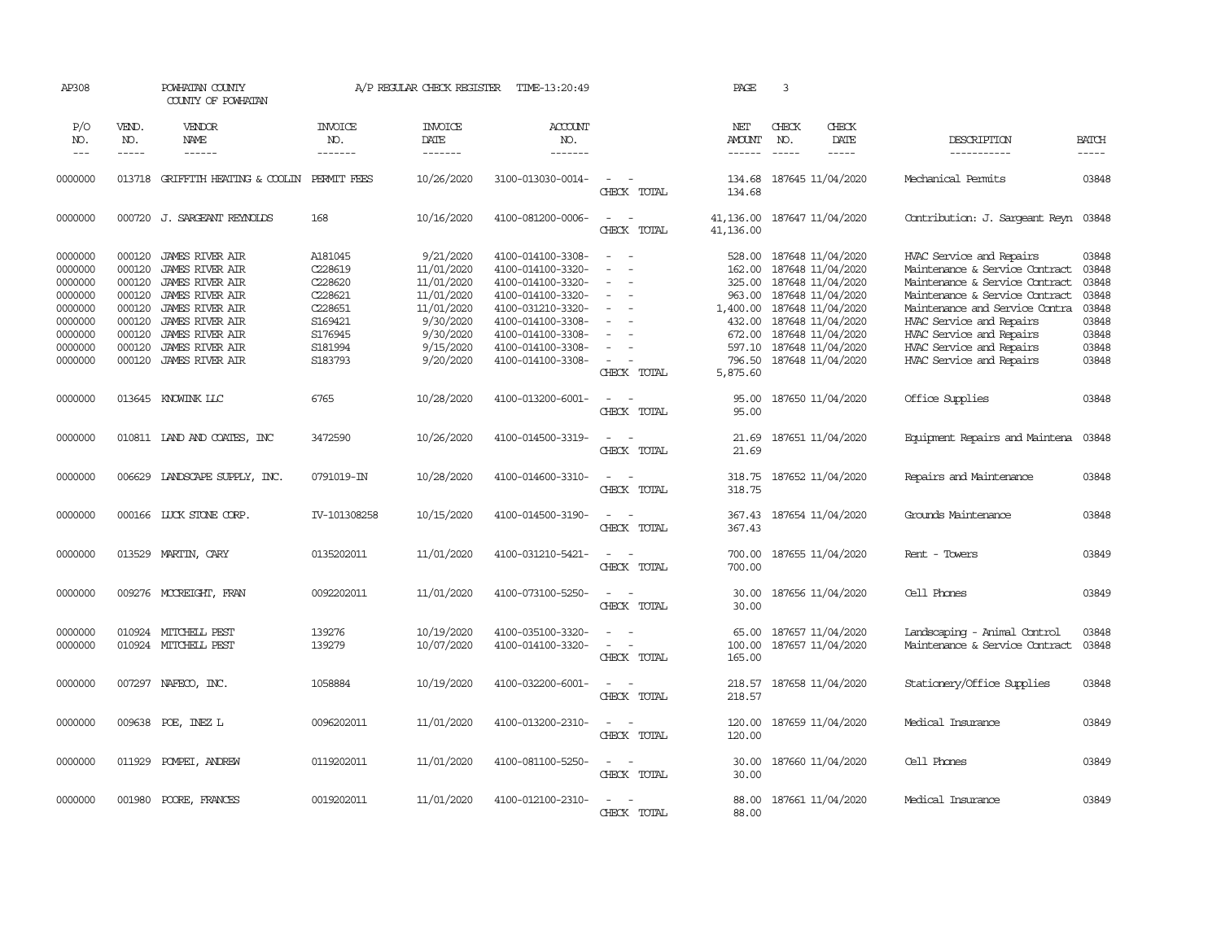| AP308                         |                            | POWHATAN COUNTY<br>COUNTY OF POWHATAN                                      |                                  | A/P REGULAR CHECK REGISTER            | TIME-13:20:49                                               |                                                                       | PAGE                           | $\overline{3}$           |                                                                           |                                                                                              |                         |
|-------------------------------|----------------------------|----------------------------------------------------------------------------|----------------------------------|---------------------------------------|-------------------------------------------------------------|-----------------------------------------------------------------------|--------------------------------|--------------------------|---------------------------------------------------------------------------|----------------------------------------------------------------------------------------------|-------------------------|
| P/O<br>NO.<br>$---$           | VEND.<br>NO.<br>-----      | <b>VENDOR</b><br><b>NAME</b><br>------                                     | <b>INVOICE</b><br>NO.<br>------- | <b>INVOICE</b><br>DATE<br>-------     | <b>ACCOUNT</b><br>NO.<br>-------                            |                                                                       | NET<br><b>AMOUNT</b><br>------ | CHECK<br>NO.<br>$\cdots$ | CHECK<br>DATE<br>$- - - - -$                                              | DESCRIPTION<br>-----------                                                                   | <b>BATCH</b><br>-----   |
| 0000000                       |                            | 013718 GRIFFITH HEATING & COOLIN PERMIT FEES                               |                                  | 10/26/2020                            | 3100-013030-0014-                                           | $\overline{\phantom{a}}$<br>$\sim$<br>CHECK TOTAL                     | 134.68                         |                          | 134.68 187645 11/04/2020                                                  | Mechanical Permits                                                                           | 03848                   |
| 0000000                       |                            | 000720 J. SARGEANT REYNOLDS                                                | 168                              | 10/16/2020                            | 4100-081200-0006-                                           | $\sim$<br>$\sim$<br>CHECK TOTAL                                       | 41,136.00<br>41,136.00         |                          | 187647 11/04/2020                                                         | Contribution: J. Sargeant Reyn                                                               | 03848                   |
| 0000000<br>0000000<br>0000000 | 000120<br>000120<br>000120 | <b>JAMES RIVER AIR</b><br>JAMES RIVER AIR<br><b>JAMES RIVER AIR</b>        | A181045<br>C228619<br>C228620    | 9/21/2020<br>11/01/2020<br>11/01/2020 | 4100-014100-3308-<br>4100-014100-3320-<br>4100-014100-3320- | $\overline{\phantom{a}}$<br>$\sim$<br>$\equiv$<br>$\sim$<br>$\sim$    | 528.00<br>162.00               |                          | 187648 11/04/2020<br>187648 11/04/2020<br>325.00 187648 11/04/2020        | HVAC Service and Repairs<br>Maintenance & Service Contract<br>Maintenance & Service Contract | 03848<br>03848<br>03848 |
| 0000000<br>0000000<br>0000000 | 000120<br>000120<br>000120 | <b>JAMES RIVER AIR</b><br><b>JAMES RIVER AIR</b><br>JAMES RIVER AIR        | C228621<br>C228651<br>S169421    | 11/01/2020<br>11/01/2020<br>9/30/2020 | 4100-014100-3320-<br>4100-031210-3320-<br>4100-014100-3308- | $\sim$<br>$\overline{\phantom{a}}$<br>$\equiv$                        | 963.00<br>1,400.00             |                          | 187648 11/04/2020<br>187648 11/04/2020<br>432.00 187648 11/04/2020        | Maintenance & Service Contract<br>Maintenance and Service Contra<br>HVAC Service and Repairs | 03848<br>03848<br>03848 |
| 0000000<br>0000000<br>0000000 | 000120<br>000120<br>000120 | <b>JAMES RIVER AIR</b><br><b>JAMES RIVER AIR</b><br><b>JAMES RIVER AIR</b> | S176945<br>S181994<br>S183793    | 9/30/2020<br>9/15/2020<br>9/20/2020   | 4100-014100-3308-<br>4100-014100-3308-<br>4100-014100-3308- | $\equiv$<br>$\overline{\phantom{a}}$<br>CHECK TOTAL                   | 672.00<br>5,875.60             |                          | 187648 11/04/2020<br>597.10 187648 11/04/2020<br>796.50 187648 11/04/2020 | HVAC Service and Repairs<br>HVAC Service and Repairs<br>HVAC Service and Repairs             | 03848<br>03848<br>03848 |
| 0000000                       |                            | 013645 KNOWINK LLC                                                         | 6765                             | 10/28/2020                            | 4100-013200-6001-                                           | $\sim$ $ \sim$<br>CHECK TOTAL                                         | 95.00<br>95.00                 |                          | 187650 11/04/2020                                                         | Office Supplies                                                                              | 03848                   |
| 0000000                       |                            | 010811 LAND AND COATES, INC                                                | 3472590                          | 10/26/2020                            | 4100-014500-3319-                                           | $\sim$ $ \sim$<br>CHECK TOTAL                                         | 21.69<br>21.69                 |                          | 187651 11/04/2020                                                         | Equipment Repairs and Maintena                                                               | 03848                   |
| 0000000                       |                            | 006629 LANDSCAPE SUPPLY, INC.                                              | 0791019-IN                       | 10/28/2020                            | 4100-014600-3310-                                           | $\sim$<br>$\sim$<br>CHECK TOTAL                                       | 318.75<br>318.75               |                          | 187652 11/04/2020                                                         | Repairs and Maintenance                                                                      | 03848                   |
| 0000000                       |                            | 000166 LUCK STONE CORP.                                                    | IV-101308258                     | 10/15/2020                            | 4100-014500-3190-                                           | $\overline{a}$<br>$\sim$<br>CHECK TOTAL                               | 367.43<br>367.43               |                          | 187654 11/04/2020                                                         | Grounds Maintenance                                                                          | 03848                   |
| 0000000                       |                            | 013529 MARTIN, CARY                                                        | 0135202011                       | 11/01/2020                            | 4100-031210-5421-                                           | $\sim$<br>$\overline{\phantom{a}}$<br>CHECK TOTAL                     | 700.00<br>700.00               |                          | 187655 11/04/2020                                                         | Rent - Towers                                                                                | 03849                   |
| 0000000                       |                            | 009276 MCCREIGHT, FRAN                                                     | 0092202011                       | 11/01/2020                            | 4100-073100-5250-                                           | $\overline{\phantom{a}}$<br>CHECK TOTAL                               | 30.00<br>30.00                 |                          | 187656 11/04/2020                                                         | Cell Phones                                                                                  | 03849                   |
| 0000000<br>0000000            |                            | 010924 MITCHELL PEST<br>010924 MITCHELL PEST                               | 139276<br>139279                 | 10/19/2020<br>10/07/2020              | 4100-035100-3320-<br>4100-014100-3320-                      | $\sim$<br>$\sim$<br>$\overline{\phantom{a}}$<br>$\sim$<br>CHECK TOTAL | 65.00<br>100.00<br>165.00      |                          | 187657 11/04/2020<br>187657 11/04/2020                                    | Landscaping - Animal Control<br>Maintenance & Service Contract                               | 03848<br>03848          |
| 0000000                       |                            | 007297 NAFECO, INC.                                                        | 1058884                          | 10/19/2020                            | 4100-032200-6001-                                           | $\sim$ $  -$<br>CHECK TOTAL                                           | 218.57                         |                          | 218.57 187658 11/04/2020                                                  | Stationery/Office Supplies                                                                   | 03848                   |
| 0000000                       |                            | 009638 POE, INEZ L                                                         | 0096202011                       | 11/01/2020                            | 4100-013200-2310-                                           | $\sim$ $  -$<br>CHECK TOTAL                                           | 120.00<br>120.00               |                          | 187659 11/04/2020                                                         | Medical Insurance                                                                            | 03849                   |
| 0000000                       | 011929                     | POMPEI, ANDREW                                                             | 0119202011                       | 11/01/2020                            | 4100-081100-5250-                                           | $\sim$<br>$\sim$<br>CHECK TOTAL                                       | 30.00<br>30.00                 |                          | 187660 11/04/2020                                                         | Cell Phones                                                                                  | 03849                   |
| 0000000                       | 001980                     | POORE, FRANCES                                                             | 0019202011                       | 11/01/2020                            | 4100-012100-2310-                                           | $\sim$<br>$\sim$<br>CHECK TOTAL                                       | 88.00<br>88.00                 |                          | 187661 11/04/2020                                                         | Medical Insurance                                                                            | 03849                   |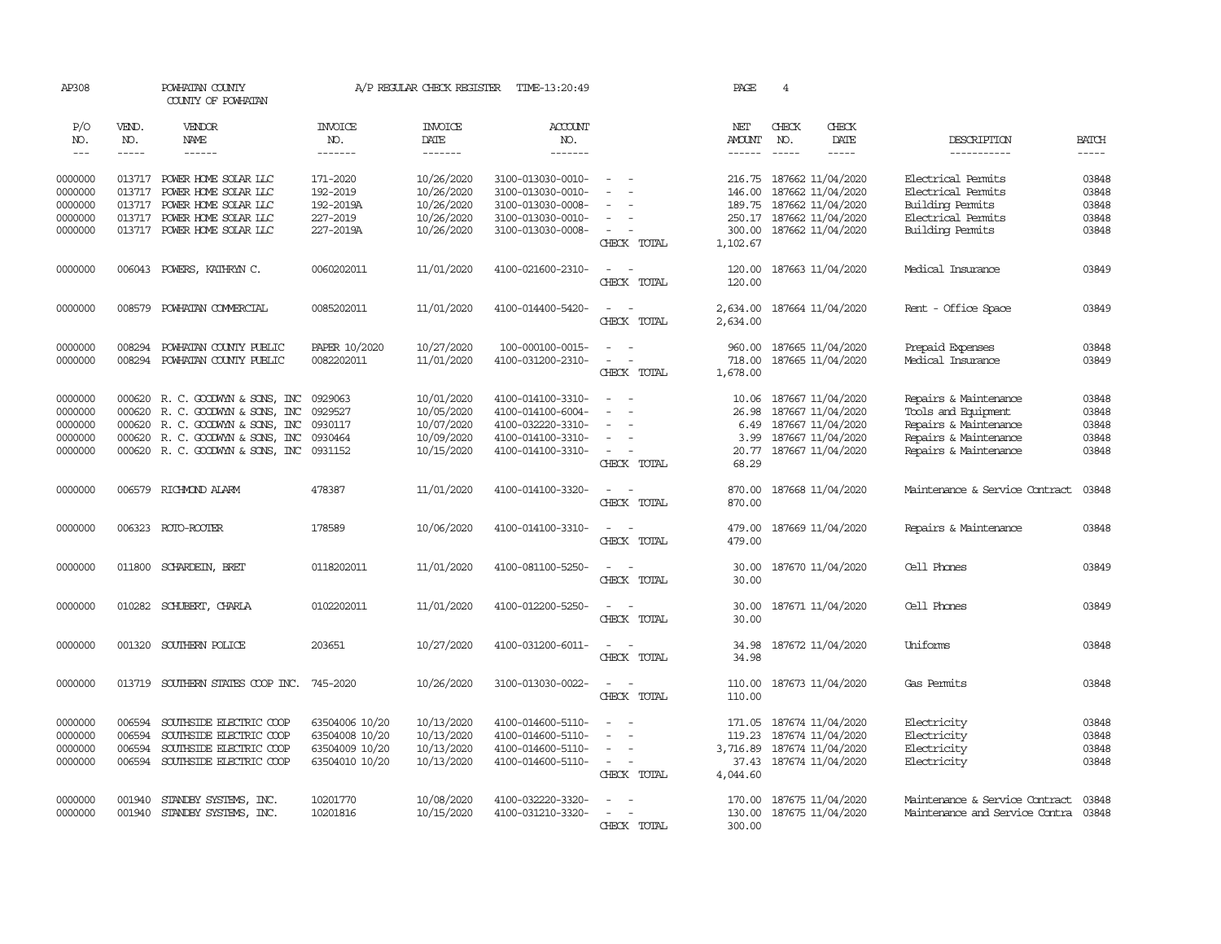| AP308              |                  | POWHATAN COUNTY<br>COUNTY OF POWHATAN                                |                                  | A/P REGULAR CHECK REGISTER | TIME-13:20:49                          |                                                   | PAGE                 | 4                                               |               |                                                |                |
|--------------------|------------------|----------------------------------------------------------------------|----------------------------------|----------------------------|----------------------------------------|---------------------------------------------------|----------------------|-------------------------------------------------|---------------|------------------------------------------------|----------------|
| P/O<br>NO.         | VEND.<br>NO.     | VENDOR<br><b>NAME</b>                                                | <b>INVOICE</b><br>NO.            | <b>INVOICE</b><br>DATE     | <b>ACCOUNT</b><br>NO.                  |                                                   | NET<br>AMOUNT        | CHECK<br>NO.                                    | CHECK<br>DATE | DESCRIPTION                                    | <b>BATCH</b>   |
| $---$              | -----            | $- - - - - -$                                                        | -------                          | -------                    | -------                                |                                                   | $- - - - - -$        | $- - - - -$                                     | -----         | -----------                                    | $- - - - -$    |
| 0000000<br>0000000 | 013717           | 013717 POWER HOME SOLAR LLC<br>POWER HOME SOLAR LLC                  | 171-2020<br>192-2019             | 10/26/2020<br>10/26/2020   | 3100-013030-0010-<br>3100-013030-0010- | $\sim$                                            | 216.75<br>146.00     | 187662 11/04/2020<br>187662 11/04/2020          |               | Electrical Permits<br>Electrical Permits       | 03848<br>03848 |
| 0000000            | 013717           | POWER HOME SOLAR LLC                                                 | 192-2019A                        | 10/26/2020                 | 3100-013030-0008-                      |                                                   | 189.75               | 187662 11/04/2020                               |               | <b>Building Permits</b>                        | 03848          |
| 0000000            |                  | 013717 POWER HOME SOLAR LLC                                          | 227-2019                         | 10/26/2020                 | 3100-013030-0010-                      | $\overline{\phantom{a}}$                          |                      | 250.17 187662 11/04/2020                        |               | Electrical Permits                             | 03848          |
| 0000000            |                  | 013717 POWER HOME SOLAR LLC                                          | 227-2019A                        | 10/26/2020                 | 3100-013030-0008-                      | $\sim$<br>CHECK TOTAL                             | 300.00<br>1,102.67   | 187662 11/04/2020                               |               | Building Permits                               | 03848          |
| 0000000            |                  | 006043 POWERS, KATHRYN C.                                            | 0060202011                       | 11/01/2020                 | 4100-021600-2310-                      | $\overline{\phantom{a}}$<br>$\sim$<br>CHECK TOTAL | 120.00<br>120.00     | 187663 11/04/2020                               |               | Medical Insurance                              | 03849          |
| 0000000            | 008579           | POWHATAN COMMERCIAL                                                  | 0085202011                       | 11/01/2020                 | 4100-014400-5420-                      | $\sim$<br>$\sim$<br>CHECK TOTAL                   | 2,634.00<br>2,634.00 | 187664 11/04/2020                               |               | Rent - Office Space                            | 03849          |
| 0000000            | 008294           | POWHATAN COUNTY PUBLIC                                               | PAPER 10/2020                    | 10/27/2020                 | 100-000100-0015-                       | $\sim$                                            | 960.00               | 187665 11/04/2020                               |               | Prepaid Expenses                               | 03848          |
| 0000000            |                  | 008294 POWHATAN COUNTY PUBLIC                                        | 0082202011                       | 11/01/2020                 | 4100-031200-2310-                      | $\sim$<br>$\sim$                                  | 718.00               | 187665 11/04/2020                               |               | Medical Insurance                              | 03849          |
|                    |                  |                                                                      |                                  |                            |                                        | CHECK TOTAL                                       | 1,678.00             |                                                 |               |                                                |                |
| 0000000<br>0000000 | 000620           | 000620 R. C. GOODWIN & SONS, INC<br>R. C. GOODWYN & SONS, INC        | 0929063<br>0929527               | 10/01/2020<br>10/05/2020   | 4100-014100-3310-<br>4100-014100-6004- | $\overline{\phantom{a}}$<br>$\sim$                | 10.06<br>26.98       | 187667 11/04/2020<br>187667 11/04/2020          |               | Repairs & Maintenance<br>Tools and Equipment   | 03848<br>03848 |
| 0000000<br>0000000 |                  | 000620 R. C. GOODWYN & SONS, INC<br>000620 R. C. GOODWIN & SONS, INC | 0930117<br>0930464               | 10/07/2020<br>10/09/2020   | 4100-032220-3310-<br>4100-014100-3310- | $\sim$                                            | 6.49<br>3.99         | 187667 11/04/2020<br>187667 11/04/2020          |               | Repairs & Maintenance<br>Repairs & Maintenance | 03848<br>03848 |
| 0000000            | 000620           | R. C. GOODWYN & SONS, INC                                            | 0931152                          | 10/15/2020                 | 4100-014100-3310-                      | $\sim$<br>CHECK TOTAL                             | 68.29                | 20.77 187667 11/04/2020                         |               | Repairs & Maintenance                          | 03848          |
| 0000000            | 006579           | RICHMOND ALARM                                                       | 478387                           | 11/01/2020                 | 4100-014100-3320-                      | $\sim$<br>$\sim$<br>CHECK TOTAL                   | 870.00<br>870.00     | 187668 11/04/2020                               |               | Maintenance & Service Contract                 | 03848          |
| 0000000            |                  | 006323 ROTO-ROOTER                                                   | 178589                           | 10/06/2020                 | 4100-014100-3310-                      | $\sim$ $ -$<br>CHECK TOTAL                        | 479.00<br>479.00     | 187669 11/04/2020                               |               | Repairs & Maintenance                          | 03848          |
| 0000000            |                  | 011800 SCHARDEIN, BRET                                               | 0118202011                       | 11/01/2020                 | 4100-081100-5250-                      | $\sim$<br>$\sim$<br>CHECK TOTAL                   | 30.00<br>30.00       | 187670 11/04/2020                               |               | Cell Phones                                    | 03849          |
| 0000000            |                  | 010282 SCHUBERT, CHARLA                                              | 0102202011                       | 11/01/2020                 | 4100-012200-5250-                      | $\sim$<br>$\sim$<br>CHECK TOTAL                   | 30.00<br>30.00       | 187671 11/04/2020                               |               | Cell Phones                                    | 03849          |
| 0000000            | 001320           | SOUTHERN POLICE                                                      | 203651                           | 10/27/2020                 | 4100-031200-6011-                      | $\sim$ $ \sim$<br>CHECK TOTAL                     | 34.98<br>34.98       | 187672 11/04/2020                               |               | Uniforms                                       | 03848          |
| 0000000            | 013719           | SOUTHERN STATES COOP INC.                                            | 745-2020                         | 10/26/2020                 | 3100-013030-0022-                      | $\sim$<br>$\sim$<br>CHECK TOTAL                   | 110.00<br>110.00     | 187673 11/04/2020                               |               | Gas Permits                                    | 03848          |
| 0000000            | 006594           | SOUTHSIDE ELECTRIC COOP                                              | 63504006 10/20                   | 10/13/2020                 | 4100-014600-5110-                      |                                                   | 171.05               | 187674 11/04/2020                               |               | Electricity                                    | 03848          |
| 0000000<br>0000000 | 006594<br>006594 | SOUTHSIDE ELECTRIC COOP<br>SOUTHSIDE ELECTRIC COOP                   | 63504008 10/20<br>63504009 10/20 | 10/13/2020<br>10/13/2020   | 4100-014600-5110-<br>4100-014600-5110- | $\sim$<br>$\overline{\phantom{a}}$                | 119.23               | 187674 11/04/2020<br>3,716.89 187674 11/04/2020 |               | Electricity<br>Electricity                     | 03848<br>03848 |
| 0000000            | 006594           | SOUTHSIDE ELECTRIC COOP                                              | 63504010 10/20                   | 10/13/2020                 | 4100-014600-5110-                      | $\sim$                                            | 37.43                | 187674 11/04/2020                               |               | Electricity                                    | 03848          |
|                    |                  |                                                                      |                                  |                            |                                        | CHECK TOTAL                                       | 4,044.60             |                                                 |               |                                                |                |
| 0000000            | 001940           | STANDBY SYSTEMS, INC.                                                | 10201770                         | 10/08/2020                 | 4100-032220-3320-                      |                                                   | 170.00               | 187675 11/04/2020                               |               | Maintenance & Service Contract                 | 03848          |
| 0000000            | 001940           | STANDBY SYSTEMS, INC.                                                | 10201816                         | 10/15/2020                 | 4100-031210-3320-                      | $\sim$<br>$\sim$                                  | 130.00               | 187675 11/04/2020                               |               | Maintenance and Service Contra 03848           |                |
|                    |                  |                                                                      |                                  |                            |                                        | CHECK TOTAL                                       | 300.00               |                                                 |               |                                                |                |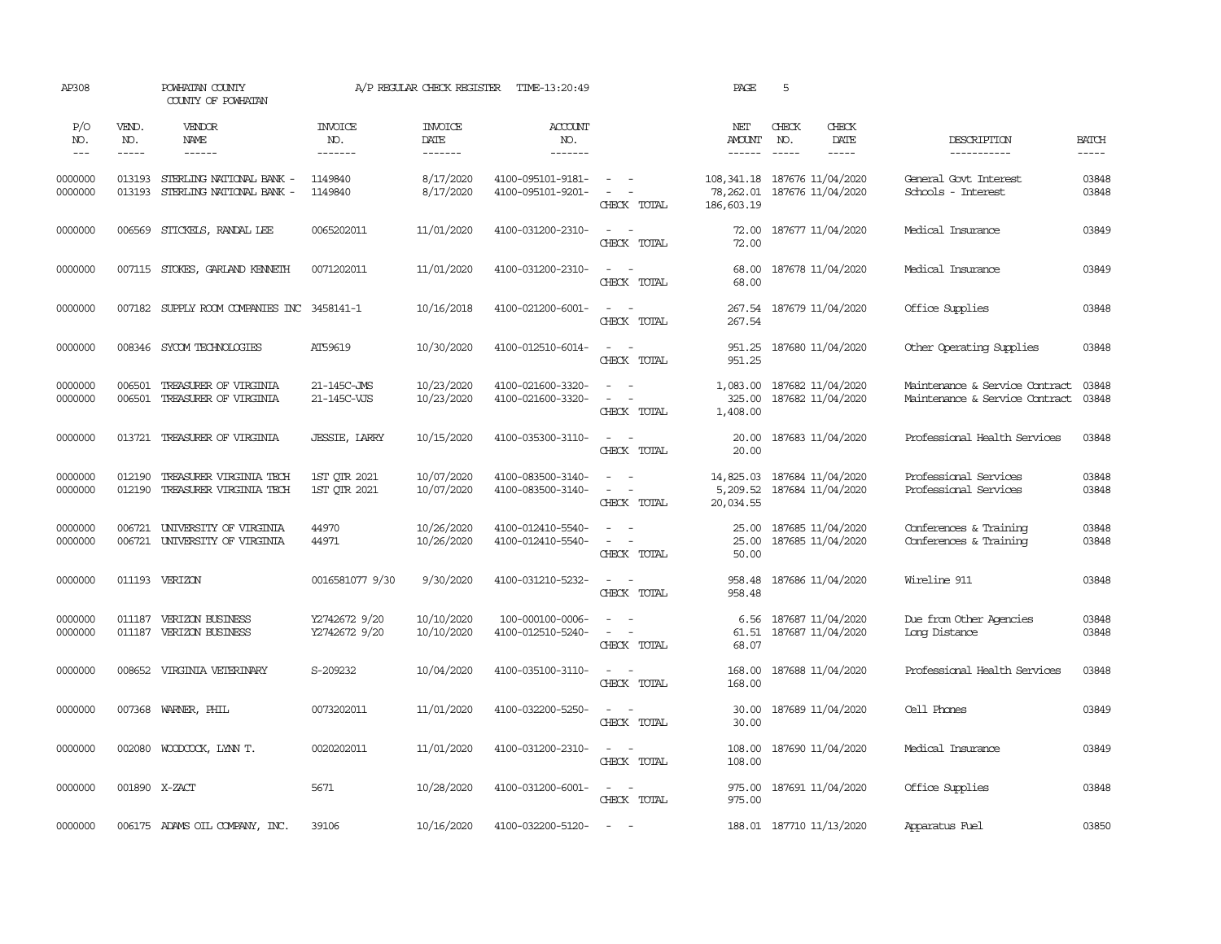| AP308              |                  | POWHATAN COUNTY<br>COUNTY OF POWHATAN                |                                | A/P REGULAR CHECK REGISTER | TIME-13:20:49                          |                                                                                                                                                                            | PAGE                               | 5                                                                                                                                                                                                                                                                                                                                                                                                                                                                                         |                                                                  |                |
|--------------------|------------------|------------------------------------------------------|--------------------------------|----------------------------|----------------------------------------|----------------------------------------------------------------------------------------------------------------------------------------------------------------------------|------------------------------------|-------------------------------------------------------------------------------------------------------------------------------------------------------------------------------------------------------------------------------------------------------------------------------------------------------------------------------------------------------------------------------------------------------------------------------------------------------------------------------------------|------------------------------------------------------------------|----------------|
| P/O<br>NO.         | VEND.<br>NO.     | <b>VENDOR</b><br>NAME                                | <b>INVOICE</b><br>NO.          | <b>INVOICE</b><br>DATE     | ACCOUNT<br>NO.                         |                                                                                                                                                                            | NET<br>AMOUNT                      | CHECK<br>CHECK<br>NO.<br>DATE                                                                                                                                                                                                                                                                                                                                                                                                                                                             | DESCRIPTION                                                      | <b>BATCH</b>   |
| $---$              | -----            | ------                                               | -------                        | $- - - - - - -$            | --------                               |                                                                                                                                                                            |                                    | $\frac{1}{2} \left( \frac{1}{2} \right) \left( \frac{1}{2} \right) \left( \frac{1}{2} \right) \left( \frac{1}{2} \right) \left( \frac{1}{2} \right) \left( \frac{1}{2} \right) \left( \frac{1}{2} \right) \left( \frac{1}{2} \right) \left( \frac{1}{2} \right) \left( \frac{1}{2} \right) \left( \frac{1}{2} \right) \left( \frac{1}{2} \right) \left( \frac{1}{2} \right) \left( \frac{1}{2} \right) \left( \frac{1}{2} \right) \left( \frac{1}{2} \right) \left( \frac$<br>$- - - - -$ | -----------                                                      | -----          |
| 0000000<br>0000000 | 013193<br>013193 | STERLING NATIONAL BANK -<br>STERLING NATIONAL BANK - | 1149840<br>1149840             | 8/17/2020<br>8/17/2020     | 4100-095101-9181-<br>4100-095101-9201- | $\sim$ $ -$<br>$\overline{\phantom{a}}$<br>$\sim$<br>CHECK TOTAL                                                                                                           | 78,262.01<br>186,603.19            | 108, 341.18 187676 11/04/2020<br>187676 11/04/2020                                                                                                                                                                                                                                                                                                                                                                                                                                        | General Govt Interest<br>Schools - Interest                      | 03848<br>03848 |
| 0000000            | 006569           | STICKELS, RANDAL LEE                                 | 0065202011                     | 11/01/2020                 | 4100-031200-2310-                      | $\omega_{\rm{max}}$ and $\omega_{\rm{max}}$<br>CHECK TOTAL                                                                                                                 | 72.00<br>72.00                     | 187677 11/04/2020                                                                                                                                                                                                                                                                                                                                                                                                                                                                         | Medical Insurance                                                | 03849          |
| 0000000            |                  | 007115 STOKES, GARLAND KENNETH                       | 0071202011                     | 11/01/2020                 | 4100-031200-2310-                      | $\sim$<br>$\sim$<br>CHECK TOTAL                                                                                                                                            | 68.00<br>68.00                     | 187678 11/04/2020                                                                                                                                                                                                                                                                                                                                                                                                                                                                         | Medical Insurance                                                | 03849          |
| 0000000            |                  | 007182 SUPPLY ROOM COMPANIES INC 3458141-1           |                                | 10/16/2018                 | 4100-021200-6001-                      | $\sim$ $ -$<br>CHECK TOTAL                                                                                                                                                 | 267.54                             | 267.54 187679 11/04/2020                                                                                                                                                                                                                                                                                                                                                                                                                                                                  | Office Supplies                                                  | 03848          |
| 0000000            |                  | 008346 SYCOM TECHNOLOGIES                            | AT59619                        | 10/30/2020                 | 4100-012510-6014-                      | $\sim$<br>$\sim$ $-$<br>CHECK TOTAL                                                                                                                                        | 951.25                             | 951.25 187680 11/04/2020                                                                                                                                                                                                                                                                                                                                                                                                                                                                  | Other Operating Supplies                                         | 03848          |
| 0000000<br>0000000 | 006501<br>006501 | TREASURER OF VIRGINIA<br>TREASURER OF VIRGINIA       | 21-145C-JMS<br>21-145C-VJS     | 10/23/2020<br>10/23/2020   | 4100-021600-3320-<br>4100-021600-3320- | $\frac{1}{2} \left( \frac{1}{2} \right) \left( \frac{1}{2} \right) = \frac{1}{2} \left( \frac{1}{2} \right)$<br>$\omega_{\rm{max}}$ and $\omega_{\rm{max}}$<br>CHECK TOTAL | 1,083.00<br>325.00<br>1,408.00     | 187682 11/04/2020<br>187682 11/04/2020                                                                                                                                                                                                                                                                                                                                                                                                                                                    | Maintenance & Service Contract<br>Maintenance & Service Contract | 03848<br>03848 |
| 0000000            |                  | 013721 TREASURER OF VIRGINIA                         | JESSIE, LARRY                  | 10/15/2020                 | 4100-035300-3110-                      | $\sim$ $ \sim$<br>CHECK TOTAL                                                                                                                                              | 20.00<br>20.00                     | 187683 11/04/2020                                                                                                                                                                                                                                                                                                                                                                                                                                                                         | Professional Health Services                                     | 03848          |
| 0000000<br>0000000 | 012190<br>012190 | TREASURER VIRGINIA TECH<br>TREASURER VIRGINIA TECH   | 1ST QTR 2021<br>1ST OTR 2021   | 10/07/2020<br>10/07/2020   | 4100-083500-3140-<br>4100-083500-3140- | $\sim$<br>$\sim$<br>$\equiv$<br>$\overline{\phantom{a}}$<br>CHECK TOTAL                                                                                                    | 14,825.03<br>5,209.52<br>20,034.55 | 187684 11/04/2020<br>187684 11/04/2020                                                                                                                                                                                                                                                                                                                                                                                                                                                    | Professional Services<br>Professional Services                   | 03848<br>03848 |
| 0000000<br>0000000 | 006721<br>006721 | UNIVERSITY OF VIRGINIA<br>UNIVERSITY OF VIRGINIA     | 44970<br>44971                 | 10/26/2020<br>10/26/2020   | 4100-012410-5540-<br>4100-012410-5540- | $\sim$<br>$\sim$<br>$\sim$ 100 $\sim$<br>CHECK TOTAL                                                                                                                       | 25.00<br>25.00<br>50.00            | 187685 11/04/2020<br>187685 11/04/2020                                                                                                                                                                                                                                                                                                                                                                                                                                                    | Conferences & Training<br>Conferences & Training                 | 03848<br>03848 |
| 0000000            |                  | 011193 VERIZON                                       | 0016581077 9/30                | 9/30/2020                  | 4100-031210-5232-                      | $\omega_{\rm{max}}$ and $\omega_{\rm{max}}$<br>CHECK TOTAL                                                                                                                 | 958.48<br>958.48                   | 187686 11/04/2020                                                                                                                                                                                                                                                                                                                                                                                                                                                                         | Wireline 911                                                     | 03848          |
| 0000000<br>0000000 | 011187           | 011187 VERIZON BUSINESS<br>VERIZON BUSINESS          | Y2742672 9/20<br>Y2742672 9/20 | 10/10/2020<br>10/10/2020   | 100-000100-0006-<br>4100-012510-5240-  | $\omega_{\rm{max}}$ and $\omega_{\rm{max}}$<br>$\sim$<br>$\sim$ $-$<br>CHECK TOTAL                                                                                         | 61.51<br>68.07                     | 6.56 187687 11/04/2020<br>187687 11/04/2020                                                                                                                                                                                                                                                                                                                                                                                                                                               | Due from Other Agencies<br>Long Distance                         | 03848<br>03848 |
| 0000000            |                  | 008652 VIRGINIA VETERINARY                           | S-209232                       | 10/04/2020                 | 4100-035100-3110-                      | $\sim$ $\sim$<br>CHECK TOTAL                                                                                                                                               | 168.00<br>168.00                   | 187688 11/04/2020                                                                                                                                                                                                                                                                                                                                                                                                                                                                         | Professional Health Services                                     | 03848          |
| 0000000            |                  | 007368 WARNER, PHIL                                  | 0073202011                     | 11/01/2020                 | 4100-032200-5250-                      | $\sim$ $ -$<br>CHECK TOTAL                                                                                                                                                 | 30.00<br>30.00                     | 187689 11/04/2020                                                                                                                                                                                                                                                                                                                                                                                                                                                                         | Cell Phones                                                      | 03849          |
| 0000000            |                  | 002080 WOODCOCK, LYNN T.                             | 0020202011                     | 11/01/2020                 | 4100-031200-2310-                      | $\sim$ $ -$<br>CHECK TOTAL                                                                                                                                                 | 108.00<br>108.00                   | 187690 11/04/2020                                                                                                                                                                                                                                                                                                                                                                                                                                                                         | Medical Insurance                                                | 03849          |
| 0000000            |                  | 001890 X-ZACT                                        | 5671                           | 10/28/2020                 | 4100-031200-6001-                      | $\sim$ $ -$<br>CHECK TOTAL                                                                                                                                                 | 975.00<br>975.00                   | 187691 11/04/2020                                                                                                                                                                                                                                                                                                                                                                                                                                                                         | Office Supplies                                                  | 03848          |
| 0000000            |                  | 006175 ADAMS OIL COMPANY, INC.                       | 39106                          | 10/16/2020                 | 4100-032200-5120-                      | $\sim$<br>$\sim$                                                                                                                                                           |                                    | 188.01 187710 11/13/2020                                                                                                                                                                                                                                                                                                                                                                                                                                                                  | Apparatus Fuel                                                   | 03850          |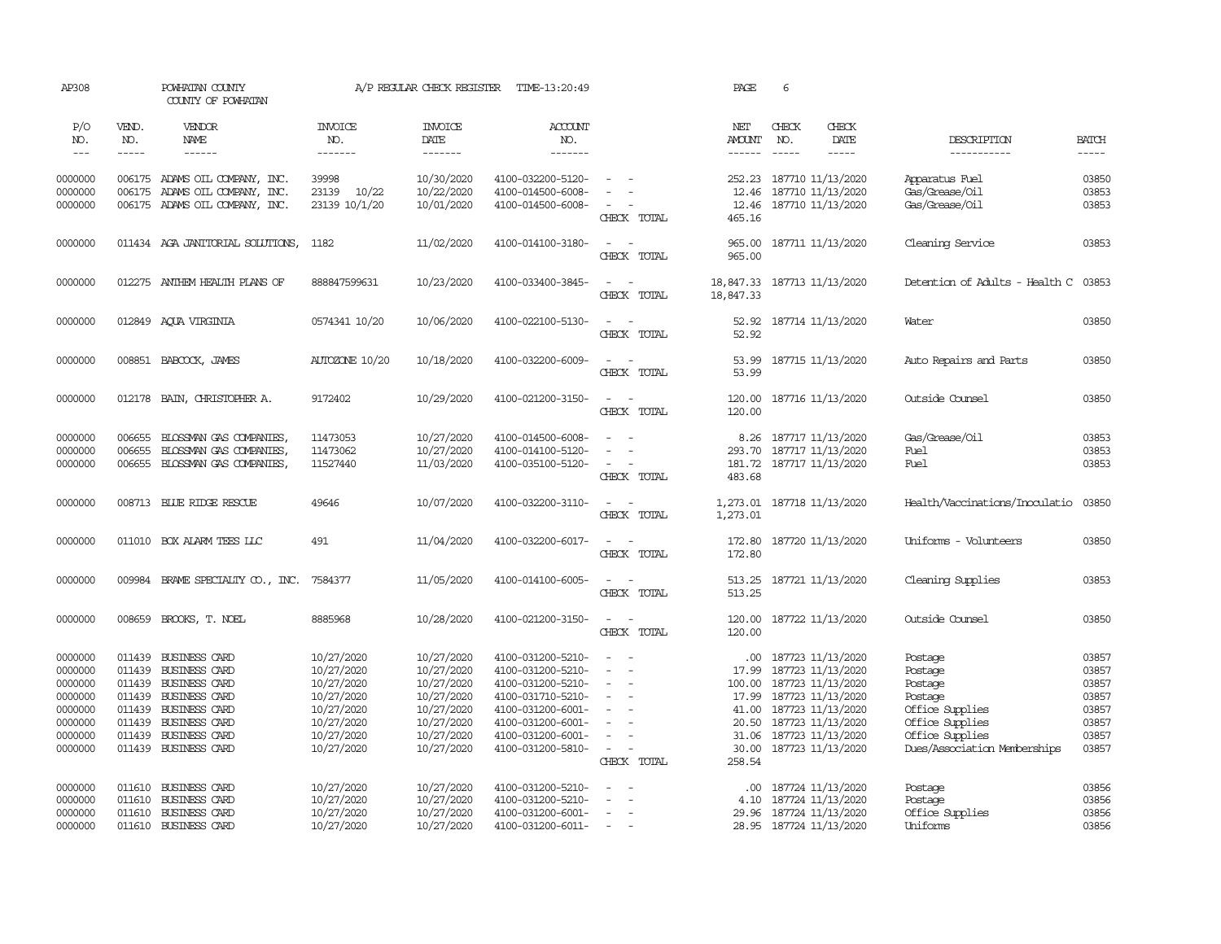| AP308                                                                                |                                      | POWHATAN COUNTY<br>COUNTY OF POWHATAN                                                                                                                                   |                                                                                                              | A/P REGULAR CHECK REGISTER                                                                                   | TIME-13:20:49                                                                                                                                                        |                                                                                                                               | PAGE                                                          | 6                                                                                                                                                                              |                                                                                                                                   |                                                                      |
|--------------------------------------------------------------------------------------|--------------------------------------|-------------------------------------------------------------------------------------------------------------------------------------------------------------------------|--------------------------------------------------------------------------------------------------------------|--------------------------------------------------------------------------------------------------------------|----------------------------------------------------------------------------------------------------------------------------------------------------------------------|-------------------------------------------------------------------------------------------------------------------------------|---------------------------------------------------------------|--------------------------------------------------------------------------------------------------------------------------------------------------------------------------------|-----------------------------------------------------------------------------------------------------------------------------------|----------------------------------------------------------------------|
| P/O<br>NO.<br>$\qquad \qquad - -$                                                    | VEND.<br>NO.<br>-----                | VENDOR<br><b>NAME</b>                                                                                                                                                   | <b>INVOICE</b><br>NO.<br>-------                                                                             | <b>INVOICE</b><br>DATE<br>--------                                                                           | <b>ACCOUNT</b><br>NO.<br>-------                                                                                                                                     |                                                                                                                               | NET<br><b>AMOUNT</b><br>------                                | CHECK<br>CHECK<br>DATE<br>NO.<br>$- - - - -$                                                                                                                                   | DESCRIPTION<br>-----------                                                                                                        | <b>BATCH</b><br>$- - - - -$                                          |
| 0000000<br>0000000<br>0000000                                                        |                                      | 006175 ADAMS OIL COMPANY, INC.<br>006175 ADAMS OIL COMPANY, INC.<br>006175 ADAMS OIL COMPANY, INC.                                                                      | 39998<br>23139 10/22<br>23139 10/1/20                                                                        | 10/30/2020<br>10/22/2020<br>10/01/2020                                                                       | 4100-032200-5120-<br>4100-014500-6008-<br>4100-014500-6008-                                                                                                          | $\sim$<br>$\equiv$<br>$\sim$ 100 $\sim$<br>CHECK TOTAL                                                                        | 252.23<br>12.46<br>465.16                                     | 187710 11/13/2020<br>187710 11/13/2020<br>12.46 187710 11/13/2020                                                                                                              | Apparatus Fuel<br>Gas/Grease/Oil<br>Gas/Grease/Oil                                                                                | 03850<br>03853<br>03853                                              |
| 0000000                                                                              |                                      | 011434 AGA JANITORIAL SOLUTIONS, 1182                                                                                                                                   |                                                                                                              | 11/02/2020                                                                                                   | 4100-014100-3180-                                                                                                                                                    | $\overline{\phantom{a}}$<br>$\sim$<br>CHECK TOTAL                                                                             | 965.00<br>965.00                                              | 187711 11/13/2020                                                                                                                                                              | Cleaning Service                                                                                                                  | 03853                                                                |
| 0000000                                                                              |                                      | 012275 ANTHEM HEALTH PLANS OF                                                                                                                                           | 888847599631                                                                                                 | 10/23/2020                                                                                                   | 4100-033400-3845-                                                                                                                                                    | $\sim$<br>$\sim$<br>CHECK TOTAL                                                                                               | 18,847.33                                                     | 18,847.33 187713 11/13/2020                                                                                                                                                    | Detention of Adults - Health C                                                                                                    | 03853                                                                |
| 0000000                                                                              |                                      | 012849 AQUA VIRGINIA                                                                                                                                                    | 0574341 10/20                                                                                                | 10/06/2020                                                                                                   | 4100-022100-5130-                                                                                                                                                    | $\sim$<br>$\sim$<br>CHECK TOTAL                                                                                               | 52.92<br>52.92                                                | 187714 11/13/2020                                                                                                                                                              | Water                                                                                                                             | 03850                                                                |
| 0000000                                                                              |                                      | 008851 BABCOCK, JAMES                                                                                                                                                   | AUTOZONE 10/20                                                                                               | 10/18/2020                                                                                                   | 4100-032200-6009-                                                                                                                                                    | $\sim$<br>$\sim$<br>CHECK TOTAL                                                                                               | 53.99<br>53.99                                                | 187715 11/13/2020                                                                                                                                                              | Auto Repairs and Parts                                                                                                            | 03850                                                                |
| 0000000                                                                              |                                      | 012178 BAIN, CHRISTOPHER A.                                                                                                                                             | 9172402                                                                                                      | 10/29/2020                                                                                                   | 4100-021200-3150-                                                                                                                                                    | $\sim$<br>$\sim$ $-$<br>CHECK TOTAL                                                                                           | 120.00<br>120.00                                              | 187716 11/13/2020                                                                                                                                                              | Outside Counsel                                                                                                                   | 03850                                                                |
| 0000000<br>0000000<br>0000000                                                        | 006655<br>006655<br>006655           | BLOSSMAN GAS COMPANIES<br>BLOSSMAN GAS COMPANIES,<br>BLOSSMAN GAS COMPANIES,                                                                                            | 11473053<br>11473062<br>11527440                                                                             | 10/27/2020<br>10/27/2020<br>11/03/2020                                                                       | 4100-014500-6008-<br>4100-014100-5120-<br>4100-035100-5120-                                                                                                          | $\sim$<br>$\equiv$<br>$\equiv$<br>$\sim$<br>$\sim$<br>CHECK TOTAL                                                             | 483.68                                                        | 8.26 187717 11/13/2020<br>293.70 187717 11/13/2020<br>181.72 187717 11/13/2020                                                                                                 | Gas/Grease/Oil<br>Fuel<br>Fuel                                                                                                    | 03853<br>03853<br>03853                                              |
| 0000000                                                                              |                                      | 008713 BLUE RIDGE RESCUE                                                                                                                                                | 49646                                                                                                        | 10/07/2020                                                                                                   | 4100-032200-3110-                                                                                                                                                    | $\sim$<br>$\sim$<br>CHECK TOTAL                                                                                               | 1,273.01<br>1,273.01                                          | 187718 11/13/2020                                                                                                                                                              | Health/Vaccinations/Inoculatio                                                                                                    | 03850                                                                |
| 0000000                                                                              |                                      | 011010 BOX ALARM TEES LLC                                                                                                                                               | 491                                                                                                          | 11/04/2020                                                                                                   | 4100-032200-6017-                                                                                                                                                    | $\overline{\phantom{a}}$<br>. —<br>CHECK TOTAL                                                                                | 172.80<br>172.80                                              | 187720 11/13/2020                                                                                                                                                              | Uniforms - Volunteers                                                                                                             | 03850                                                                |
| 0000000                                                                              |                                      | 009984 BRAME SPECIALITY CO., INC.                                                                                                                                       | 7584377                                                                                                      | 11/05/2020                                                                                                   | 4100-014100-6005-                                                                                                                                                    | $\overline{\phantom{a}}$<br>CHECK TOTAL                                                                                       | 513.25<br>513.25                                              | 187721 11/13/2020                                                                                                                                                              | Cleaning Supplies                                                                                                                 | 03853                                                                |
| 0000000                                                                              |                                      | 008659 BROOKS, T. NOEL                                                                                                                                                  | 8885968                                                                                                      | 10/28/2020                                                                                                   | 4100-021200-3150-                                                                                                                                                    | $\sim$<br>$\sim$<br>CHECK TOTAL                                                                                               | 120.00                                                        | 120.00 187722 11/13/2020                                                                                                                                                       | Outside Counsel                                                                                                                   | 03850                                                                |
| 0000000<br>0000000<br>0000000<br>0000000<br>0000000<br>0000000<br>0000000<br>0000000 | 011439<br>011439<br>011439           | 011439 BUSINESS CARD<br>011439 BUSINESS CARD<br>011439 BUSINESS CARD<br>BUSINESS CARD<br>011439 BUSINESS CARD<br>BUSINESS CARD<br>BUSINESS CARD<br>011439 BUSINESS CARD | 10/27/2020<br>10/27/2020<br>10/27/2020<br>10/27/2020<br>10/27/2020<br>10/27/2020<br>10/27/2020<br>10/27/2020 | 10/27/2020<br>10/27/2020<br>10/27/2020<br>10/27/2020<br>10/27/2020<br>10/27/2020<br>10/27/2020<br>10/27/2020 | 4100-031200-5210-<br>4100-031200-5210-<br>4100-031200-5210-<br>4100-031710-5210-<br>4100-031200-6001-<br>4100-031200-6001-<br>4100-031200-6001-<br>4100-031200-5810- | $\sim$<br>$\sim$<br>$\overline{\phantom{a}}$<br>$\sim$<br>$\sim$<br>$\sim$<br>$\sim$<br>$\sim$<br>$\sim$<br>÷,<br>CHECK TOTAL | 17.99<br>100.00<br>17.99<br>41.00<br>20.50<br>31.06<br>258.54 | .00 187723 11/13/2020<br>187723 11/13/2020<br>187723 11/13/2020<br>187723 11/13/2020<br>187723 11/13/2020<br>187723 11/13/2020<br>187723 11/13/2020<br>30.00 187723 11/13/2020 | Postage<br>Postage<br>Postage<br>Postage<br>Office Supplies<br>Office Supplies<br>Office Supplies<br>Dues/Association Memberships | 03857<br>03857<br>03857<br>03857<br>03857<br>03857<br>03857<br>03857 |
| 0000000<br>0000000<br>0000000<br>0000000                                             | 011610<br>011610<br>011610<br>011610 | BUSINESS CARD<br>BUSINESS CARD<br>BUSINESS CARD<br>BUSINESS CARD                                                                                                        | 10/27/2020<br>10/27/2020<br>10/27/2020<br>10/27/2020                                                         | 10/27/2020<br>10/27/2020<br>10/27/2020<br>10/27/2020                                                         | 4100-031200-5210-<br>4100-031200-5210-<br>4100-031200-6001-<br>4100-031200-6011-                                                                                     | $\sim$<br>$\sim$<br>$\sim$<br>$\sim$<br>$\overline{\phantom{a}}$<br>$\sim$                                                    | .00.<br>4.10<br>29.96                                         | 187724 11/13/2020<br>187724 11/13/2020<br>187724 11/13/2020<br>28.95 187724 11/13/2020                                                                                         | Postage<br>Postage<br>Office Supplies<br>Uniforms                                                                                 | 03856<br>03856<br>03856<br>03856                                     |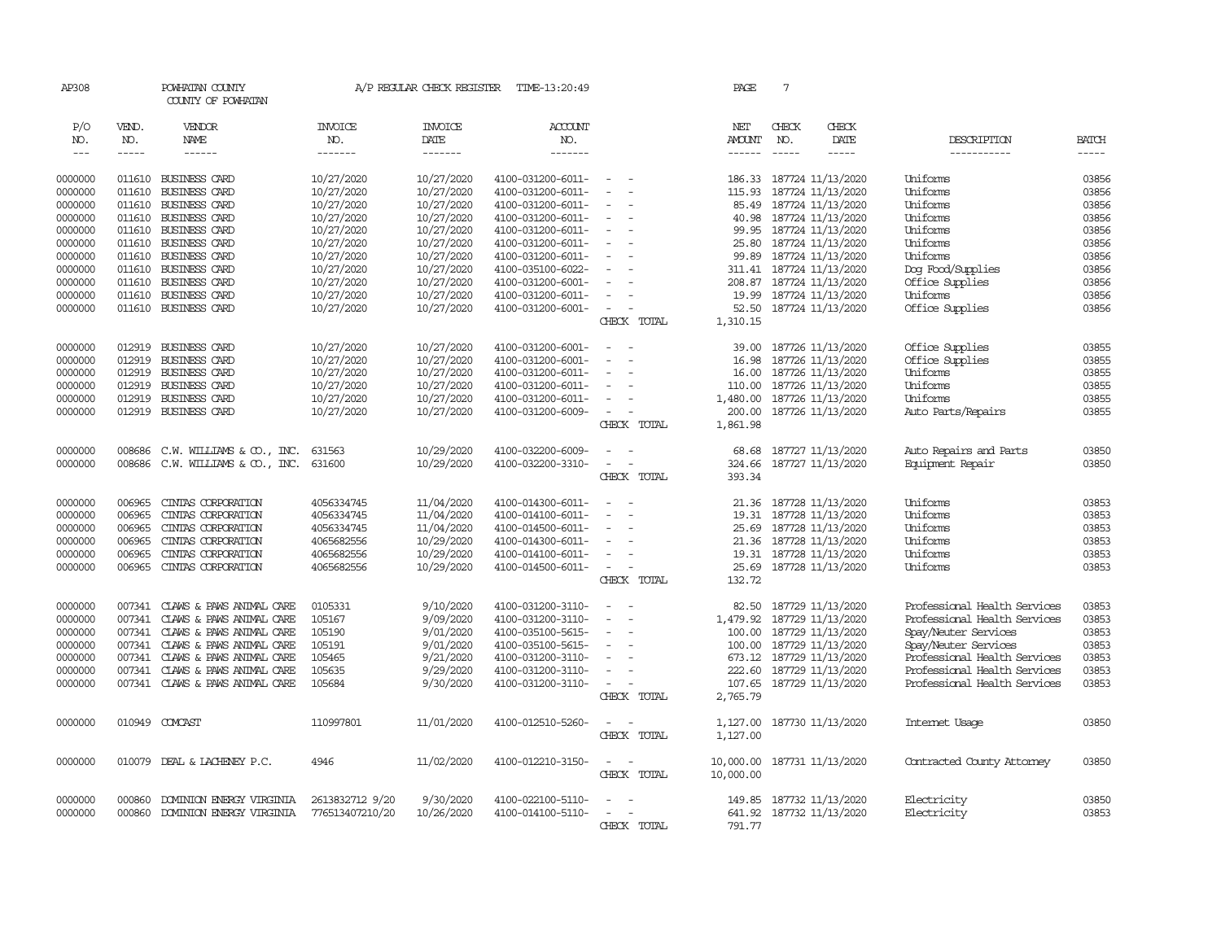| AP308                       |                       | POWHATAN COUNTY<br>COUNTY OF POWHATAN |                                  | A/P REGULAR CHECK REGISTER        | TIME-13:20:49                          |                                                      | PAGE                           | $7\phantom{.0}$               |                                                    |                              |                             |
|-----------------------------|-----------------------|---------------------------------------|----------------------------------|-----------------------------------|----------------------------------------|------------------------------------------------------|--------------------------------|-------------------------------|----------------------------------------------------|------------------------------|-----------------------------|
| P/O<br>NO.<br>$\frac{1}{2}$ | VEND.<br>NO.<br>----- | VENDOR<br>NAME<br>$- - - - - -$       | <b>INVOICE</b><br>NO.<br>------- | <b>INVOICE</b><br>DATE<br>------- | <b>ACCOUNT</b><br>NO.<br>-------       |                                                      | NET<br><b>AMOUNT</b><br>------ | CHECK<br>NO.<br>$\frac{1}{2}$ | CHECK<br>DATE<br>$- - - - -$                       | DESCRIPTION<br>-----------   | <b>BATCH</b><br>$- - - - -$ |
|                             |                       |                                       |                                  |                                   |                                        |                                                      |                                |                               |                                                    |                              |                             |
| 0000000                     | 011610                | BUSINESS CARD                         | 10/27/2020                       | 10/27/2020                        | 4100-031200-6011-                      | $\equiv$                                             | 186.33                         |                               | 187724 11/13/2020                                  | Uniforms                     | 03856                       |
| 0000000                     | 011610                | BUSINESS CARD                         | 10/27/2020                       | 10/27/2020                        | 4100-031200-6011-                      | $\equiv$                                             | 115.93                         |                               | 187724 11/13/2020                                  | Uniforms                     | 03856                       |
| 0000000                     | 011610                | BUSINESS CARD                         | 10/27/2020                       | 10/27/2020                        | 4100-031200-6011-                      | $\sim$                                               |                                |                               | 85.49 187724 11/13/2020                            | Uniforms                     | 03856                       |
| 0000000                     | 011610                | BUSINESS CARD                         | 10/27/2020                       | 10/27/2020                        | 4100-031200-6011-                      | $\equiv$                                             |                                |                               | 40.98 187724 11/13/2020                            | Uniforms                     | 03856                       |
| 0000000                     | 011610                | <b>BUSINESS CARD</b>                  | 10/27/2020                       | 10/27/2020                        | 4100-031200-6011-                      | $\overline{\phantom{a}}$                             | 99.95                          |                               | 187724 11/13/2020                                  | Uniforms                     | 03856                       |
| 0000000                     | 011610                | BUSINESS CARD                         | 10/27/2020                       | 10/27/2020                        | 4100-031200-6011-                      | $\equiv$                                             | 25.80                          |                               | 187724 11/13/2020                                  | Uniforms                     | 03856                       |
| 0000000                     | 011610                | BUSINESS CARD                         | 10/27/2020                       | 10/27/2020                        | 4100-031200-6011-                      |                                                      |                                |                               | 99.89 187724 11/13/2020                            | Uniforms                     | 03856                       |
| 0000000                     | 011610                | BUSINESS CARD                         | 10/27/2020                       | 10/27/2020                        | 4100-035100-6022-                      | $\equiv$                                             |                                |                               | 311.41 187724 11/13/2020                           | Dog Food/Supplies            | 03856                       |
| 0000000                     | 011610                | BUSINESS CARD                         | 10/27/2020                       | 10/27/2020                        | 4100-031200-6001-                      | $\overline{\phantom{a}}$<br>$\sim$                   |                                |                               | 208.87 187724 11/13/2020                           | Office Supplies              | 03856                       |
| 0000000<br>0000000          | 011610                | BUSINESS CARD<br>011610 BUSINESS CARD | 10/27/2020<br>10/27/2020         | 10/27/2020<br>10/27/2020          | 4100-031200-6011-<br>4100-031200-6001- | $\sim$                                               |                                |                               | 19.99 187724 11/13/2020<br>52.50 187724 11/13/2020 | Uniforms<br>Office Supplies  | 03856<br>03856              |
|                             |                       |                                       |                                  |                                   |                                        | CHECK TOTAL                                          | 1,310.15                       |                               |                                                    |                              |                             |
|                             |                       |                                       |                                  |                                   |                                        |                                                      |                                |                               |                                                    |                              |                             |
| 0000000                     | 012919                | BUSINESS CARD                         | 10/27/2020                       | 10/27/2020                        | 4100-031200-6001-                      | $\equiv$                                             | 39.00                          |                               | 187726 11/13/2020                                  | Office Supplies              | 03855                       |
| 0000000                     | 012919                | BUSINESS CARD                         | 10/27/2020                       | 10/27/2020                        | 4100-031200-6001-                      | $\equiv$                                             | 16.98                          |                               | 187726 11/13/2020                                  | Office Supplies              | 03855                       |
| 0000000                     | 012919                | BUSINESS CARD                         | 10/27/2020                       | 10/27/2020                        | 4100-031200-6011-                      |                                                      |                                |                               | 16.00 187726 11/13/2020                            | Uniforms                     | 03855                       |
| 0000000                     | 012919                | BUSINESS CARD                         | 10/27/2020                       | 10/27/2020                        | 4100-031200-6011-                      | $\blacksquare$                                       | 110.00                         |                               | 187726 11/13/2020                                  | Uniforms                     | 03855                       |
| 0000000                     | 012919                | BUSINESS CARD                         | 10/27/2020                       | 10/27/2020                        | 4100-031200-6011-                      | $\equiv$                                             |                                |                               | 1,480.00 187726 11/13/2020                         | Uniforms                     | 03855                       |
| 0000000                     |                       | 012919 BUSINESS CARD                  | 10/27/2020                       | 10/27/2020                        | 4100-031200-6009-                      | $\sim$                                               |                                |                               | 200.00 187726 11/13/2020                           | Auto Parts/Repairs           | 03855                       |
|                             |                       |                                       |                                  |                                   |                                        | CHECK TOTAL                                          | 1,861.98                       |                               |                                                    |                              |                             |
|                             |                       |                                       |                                  |                                   |                                        | $\sim$                                               |                                |                               |                                                    |                              |                             |
| 0000000                     | 008686                | C.W. WILLIAMS & CO., INC.             | 631563                           | 10/29/2020<br>10/29/2020          | 4100-032200-6009-<br>4100-032200-3310- | $\overline{\phantom{a}}$<br>$\overline{\phantom{a}}$ | 68.68                          |                               | 187727 11/13/2020<br>187727 11/13/2020             | Auto Repairs and Parts       | 03850<br>03850              |
| 0000000                     | 008686                | C.W. WILLIAMS & CO., INC.             | 631600                           |                                   |                                        | CHECK TOTAL                                          | 324.66<br>393.34               |                               |                                                    | Equipment Repair             |                             |
|                             |                       |                                       |                                  |                                   |                                        |                                                      |                                |                               |                                                    |                              |                             |
| 0000000                     | 006965                | CINIAS CORPORATION                    | 4056334745                       | 11/04/2020                        | 4100-014300-6011-                      | $\overline{\phantom{a}}$                             |                                |                               | 21.36 187728 11/13/2020                            | Uniforms                     | 03853                       |
| 0000000                     | 006965                | CINIAS CORPORATION                    | 4056334745                       | 11/04/2020                        | 4100-014100-6011-                      | $\sim$                                               |                                |                               | 19.31 187728 11/13/2020                            | Uniforms                     | 03853                       |
| 0000000                     | 006965                | CINIAS CORPORATION                    | 4056334745                       | 11/04/2020                        | 4100-014500-6011-                      | $\sim$                                               |                                |                               | 25.69 187728 11/13/2020                            | Uniforms                     | 03853                       |
| 0000000                     | 006965                | CINIAS CORPORATION                    | 4065682556                       | 10/29/2020                        | 4100-014300-6011-                      | $\equiv$                                             |                                |                               | 21.36 187728 11/13/2020                            | Uniforms                     | 03853                       |
| 0000000                     | 006965                | CINIAS CORPORATION                    | 4065682556                       | 10/29/2020                        | 4100-014100-6011-                      | $\sim$                                               |                                |                               | 19.31 187728 11/13/2020                            | Uniforms                     | 03853                       |
| 0000000                     | 006965                | CINIAS CORPORATION                    | 4065682556                       | 10/29/2020                        | 4100-014500-6011-                      | $\sim$                                               |                                |                               | 25.69 187728 11/13/2020                            | Uniforms                     | 03853                       |
|                             |                       |                                       |                                  |                                   |                                        | CHECK TOTAL                                          | 132.72                         |                               |                                                    |                              |                             |
| 0000000                     | 007341                | CLAWS & PAWS ANIMAL CARE              | 0105331                          | 9/10/2020                         | 4100-031200-3110-                      | $\sim$                                               |                                |                               | 82.50 187729 11/13/2020                            | Professional Health Services | 03853                       |
| 0000000                     | 007341                | CLAWS & PAWS ANIMAL CARE              | 105167                           | 9/09/2020                         | 4100-031200-3110-                      | $\equiv$                                             |                                |                               | 1,479.92 187729 11/13/2020                         | Professional Health Services | 03853                       |
| 0000000                     | 007341                | CLAWS & PAWS ANIMAL CARE              | 105190                           | 9/01/2020                         | 4100-035100-5615-                      |                                                      |                                |                               | 100.00 187729 11/13/2020                           | Spay/Neuter Services         | 03853                       |
| 0000000                     | 007341                | CLAWS & PAWS ANIMAL CARE              | 105191                           | 9/01/2020                         | 4100-035100-5615-                      | $\equiv$                                             |                                |                               | 100.00 187729 11/13/2020                           | Spay/Neuter Services         | 03853                       |
| 0000000                     | 007341                | CLAWS & PAWS ANIMAL CARE              | 105465                           | 9/21/2020                         | 4100-031200-3110-                      | $\equiv$                                             |                                |                               | 673.12 187729 11/13/2020                           | Professional Health Services | 03853                       |
| 0000000                     | 007341                | CLAWS & PAWS ANIMAL CARE              | 105635                           | 9/29/2020                         | 4100-031200-3110-                      | $\sim$                                               |                                |                               | 222.60 187729 11/13/2020                           | Professional Health Services | 03853                       |
| 0000000                     |                       | 007341 CLAWS & PAWS ANIMAL CARE       | 105684                           | 9/30/2020                         | 4100-031200-3110-                      | $\overline{\phantom{a}}$                             |                                |                               | 107.65 187729 11/13/2020                           | Professional Health Services | 03853                       |
|                             |                       |                                       |                                  |                                   |                                        | CHECK TOTAL                                          | 2,765.79                       |                               |                                                    |                              |                             |
|                             |                       |                                       |                                  |                                   |                                        |                                                      |                                |                               |                                                    |                              |                             |
| 0000000                     |                       | 010949 COMCAST                        | 110997801                        | 11/01/2020                        | 4100-012510-5260-                      | $\sim$<br>$\sim$                                     |                                |                               | 1,127.00 187730 11/13/2020                         | Internet Usage               | 03850                       |
|                             |                       |                                       |                                  |                                   |                                        | CHECK TOTAL                                          | 1,127.00                       |                               |                                                    |                              |                             |
| 0000000                     | 010079                | DEAL & LACHENEY P.C.                  | 4946                             | 11/02/2020                        | 4100-012210-3150-                      | $\equiv$<br>$\overline{\phantom{a}}$                 | 10,000.00 187731 11/13/2020    |                               |                                                    | Contracted County Attorney   | 03850                       |
|                             |                       |                                       |                                  |                                   |                                        | CHECK TOTAL                                          | 10,000.00                      |                               |                                                    |                              |                             |
|                             |                       |                                       |                                  |                                   |                                        |                                                      |                                |                               |                                                    |                              |                             |
| 0000000                     | 000860                | DOMINION ENERGY VIRGINIA              | 2613832712 9/20                  | 9/30/2020                         | 4100-022100-5110-                      | $\sim$                                               | 149.85                         |                               | 187732 11/13/2020                                  | Electricity                  | 03850                       |
| 0000000                     | 000860                | DOMINION ENERGY VIRGINIA              | 776513407210/20                  | 10/26/2020                        | 4100-014100-5110-                      | $\sim$                                               |                                |                               | 641.92 187732 11/13/2020                           | Electricity                  | 03853                       |
|                             |                       |                                       |                                  |                                   |                                        | CHECK TOTAL                                          | 791.77                         |                               |                                                    |                              |                             |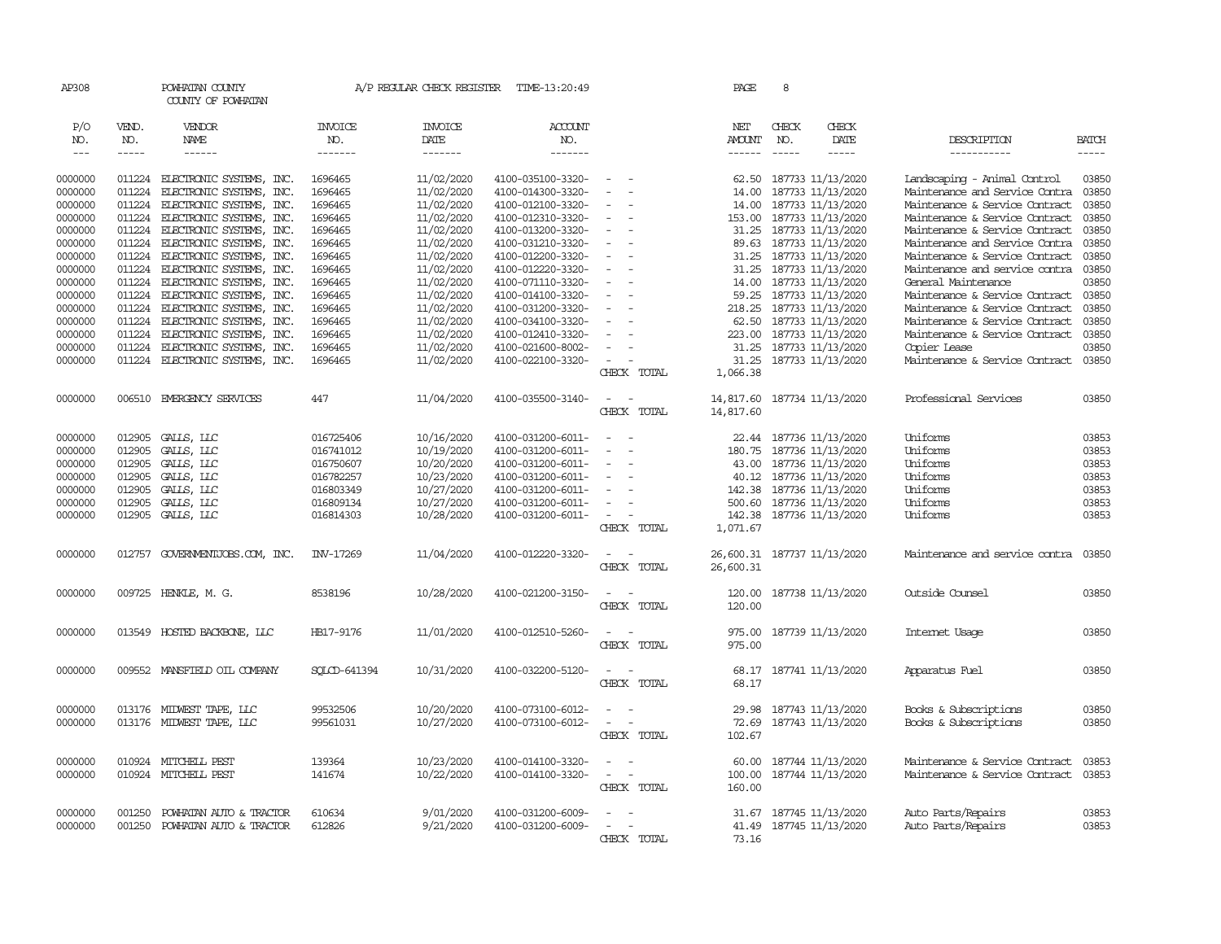| AP308         |              | POWHATAN COUNTY<br>COUNTY OF POWHATAN |                       | A/P REGULAR CHECK REGISTER | TIME-13:20:49         |                                    |             | PAGE                 | 8            |                             |                                      |                                                                                                                                                                                                                                                                                                                                                                                                                                                                                     |
|---------------|--------------|---------------------------------------|-----------------------|----------------------------|-----------------------|------------------------------------|-------------|----------------------|--------------|-----------------------------|--------------------------------------|-------------------------------------------------------------------------------------------------------------------------------------------------------------------------------------------------------------------------------------------------------------------------------------------------------------------------------------------------------------------------------------------------------------------------------------------------------------------------------------|
| P/O<br>NO.    | VEND.<br>NO. | VENDOR<br>NAME                        | <b>INVOICE</b><br>NO. | <b>INVOICE</b><br>DATE     | <b>ACCOUNT</b><br>NO. |                                    |             | NET<br><b>AMOUNT</b> | CHECK<br>NO. | CHECK<br>DATE               | DESCRIPTION                          | <b>BATCH</b>                                                                                                                                                                                                                                                                                                                                                                                                                                                                        |
| $\frac{1}{2}$ | -----        | ------                                | -------               | $-----$                    | -------               |                                    |             | ------               |              | $- - - - -$                 | -----------                          | $\begin{tabular}{ccccc} \multicolumn{2}{c}{} & \multicolumn{2}{c}{} & \multicolumn{2}{c}{} & \multicolumn{2}{c}{} & \multicolumn{2}{c}{} & \multicolumn{2}{c}{} & \multicolumn{2}{c}{} & \multicolumn{2}{c}{} & \multicolumn{2}{c}{} & \multicolumn{2}{c}{} & \multicolumn{2}{c}{} & \multicolumn{2}{c}{} & \multicolumn{2}{c}{} & \multicolumn{2}{c}{} & \multicolumn{2}{c}{} & \multicolumn{2}{c}{} & \multicolumn{2}{c}{} & \multicolumn{2}{c}{} & \multicolumn{2}{c}{} & \mult$ |
| 0000000       | 011224       | ELECTRONIC SYSTEMS, INC.              | 1696465               | 11/02/2020                 | 4100-035100-3320-     | $\sim$                             |             | 62.50                |              | 187733 11/13/2020           | Landscaping - Animal Control         | 03850                                                                                                                                                                                                                                                                                                                                                                                                                                                                               |
| 0000000       | 011224       | ELECTRONIC SYSTEMS, INC.              | 1696465               | 11/02/2020                 | 4100-014300-3320-     | $\sim$                             |             | 14.00                |              | 187733 11/13/2020           | Maintenance and Service Contra       | 03850                                                                                                                                                                                                                                                                                                                                                                                                                                                                               |
| 0000000       | 011224       | ELECTRONIC SYSTEMS, INC.              | 1696465               | 11/02/2020                 | 4100-012100-3320-     | $\equiv$                           |             | 14.00                |              | 187733 11/13/2020           | Maintenance & Service Contract       | 03850                                                                                                                                                                                                                                                                                                                                                                                                                                                                               |
| 0000000       | 011224       | ELECTRONIC SYSTEMS, INC.              | 1696465               | 11/02/2020                 | 4100-012310-3320-     |                                    |             | 153.00               |              | 187733 11/13/2020           | Maintenance & Service Contract       | 03850                                                                                                                                                                                                                                                                                                                                                                                                                                                                               |
| 0000000       | 011224       | ELECTRONIC SYSTEMS, INC.              | 1696465               | 11/02/2020                 | 4100-013200-3320-     | $\sim$                             |             | 31.25                |              | 187733 11/13/2020           | Maintenance & Service Contract       | 03850                                                                                                                                                                                                                                                                                                                                                                                                                                                                               |
| 0000000       | 011224       | ELECTRONIC SYSTEMS, INC.              | 1696465               | 11/02/2020                 | 4100-031210-3320-     | $\equiv$                           |             | 89.63                |              | 187733 11/13/2020           | Maintenance and Service Contra       | 03850                                                                                                                                                                                                                                                                                                                                                                                                                                                                               |
| 0000000       | 011224       | ELECTRONIC SYSTEMS, INC.              | 1696465               | 11/02/2020                 | 4100-012200-3320-     | $\sim$                             |             | 31.25                |              | 187733 11/13/2020           | Maintenance & Service Contract       | 03850                                                                                                                                                                                                                                                                                                                                                                                                                                                                               |
| 0000000       | 011224       | ELECTRONIC SYSTEMS, INC.              | 1696465               | 11/02/2020                 | 4100-012220-3320-     | $\equiv$                           |             | 31.25                |              | 187733 11/13/2020           | Maintenance and service contra       | 03850                                                                                                                                                                                                                                                                                                                                                                                                                                                                               |
| 0000000       | 011224       | ELECTRONIC SYSTEMS, INC.              | 1696465               | 11/02/2020                 | 4100-071110-3320-     | $\equiv$                           |             | 14.00                |              | 187733 11/13/2020           | General Maintenance                  | 03850                                                                                                                                                                                                                                                                                                                                                                                                                                                                               |
| 0000000       | 011224       | ELECTRONIC SYSTEMS, INC.              | 1696465               | 11/02/2020                 | 4100-014100-3320-     | $\overline{\phantom{a}}$           |             | 59.25                |              | 187733 11/13/2020           | Maintenance & Service Contract       | 03850                                                                                                                                                                                                                                                                                                                                                                                                                                                                               |
| 0000000       | 011224       | ELECTRONIC SYSTEMS, INC.              | 1696465               | 11/02/2020                 | 4100-031200-3320-     |                                    |             | 218.25               |              | 187733 11/13/2020           | Maintenance & Service Contract       | 03850                                                                                                                                                                                                                                                                                                                                                                                                                                                                               |
| 0000000       | 011224       | ELECTRONIC SYSTEMS, INC.              | 1696465               | 11/02/2020                 | 4100-034100-3320-     | $\equiv$                           |             | 62.50                |              | 187733 11/13/2020           | Maintenance & Service Contract       | 03850                                                                                                                                                                                                                                                                                                                                                                                                                                                                               |
| 0000000       | 011224       | ELECTRONIC SYSTEMS, INC.              | 1696465               | 11/02/2020                 | 4100-012410-3320-     |                                    |             |                      |              | 223.00 187733 11/13/2020    | Maintenance & Service Contract       | 03850                                                                                                                                                                                                                                                                                                                                                                                                                                                                               |
| 0000000       | 011224       | ELECTRONIC SYSTEMS, INC.              | 1696465               | 11/02/2020                 | 4100-021600-8002-     | $\sim$                             |             | 31.25                |              | 187733 11/13/2020           | Copier Lease                         | 03850                                                                                                                                                                                                                                                                                                                                                                                                                                                                               |
| 0000000       |              | 011224 ELECTRONIC SYSTEMS, INC.       | 1696465               | 11/02/2020                 | 4100-022100-3320-     | $\sim$                             |             |                      |              | 31.25 187733 11/13/2020     | Maintenance & Service Contract 03850 |                                                                                                                                                                                                                                                                                                                                                                                                                                                                                     |
|               |              |                                       |                       |                            |                       |                                    | CHECK TOTAL | 1,066.38             |              |                             |                                      |                                                                                                                                                                                                                                                                                                                                                                                                                                                                                     |
| 0000000       | 006510       | EMERGENCY SERVICES                    | 447                   | 11/04/2020                 | 4100-035500-3140-     | $\sim$<br>$\overline{\phantom{a}}$ |             | 14,817.60            |              | 187734 11/13/2020           | Professional Services                | 03850                                                                                                                                                                                                                                                                                                                                                                                                                                                                               |
|               |              |                                       |                       |                            |                       |                                    | CHECK TOTAL | 14,817.60            |              |                             |                                      |                                                                                                                                                                                                                                                                                                                                                                                                                                                                                     |
| 0000000       | 012905       | GALLS, LLC                            | 016725406             | 10/16/2020                 | 4100-031200-6011-     | $\equiv$                           |             | 22.44                |              | 187736 11/13/2020           | Uniforms                             | 03853                                                                                                                                                                                                                                                                                                                                                                                                                                                                               |
| 0000000       | 012905       | GALLS, LLC                            | 016741012             | 10/19/2020                 | 4100-031200-6011-     |                                    |             | 180.75               |              | 187736 11/13/2020           | Uniforms                             | 03853                                                                                                                                                                                                                                                                                                                                                                                                                                                                               |
| 0000000       | 012905       | GALLS, LLC                            | 016750607             | 10/20/2020                 | 4100-031200-6011-     | $\equiv$                           |             | 43.00                |              | 187736 11/13/2020           | Uniforms                             | 03853                                                                                                                                                                                                                                                                                                                                                                                                                                                                               |
| 0000000       | 012905       | GALLS, LLC                            | 016782257             | 10/23/2020                 | 4100-031200-6011-     |                                    |             |                      |              | 40.12 187736 11/13/2020     | Uniforms                             | 03853                                                                                                                                                                                                                                                                                                                                                                                                                                                                               |
| 0000000       | 012905       | GALLS, LLC                            | 016803349             | 10/27/2020                 | 4100-031200-6011-     |                                    |             |                      |              | 142.38 187736 11/13/2020    | Uniforms                             | 03853                                                                                                                                                                                                                                                                                                                                                                                                                                                                               |
| 0000000       | 012905       | GALLS, LLC                            | 016809134             | 10/27/2020                 | 4100-031200-6011-     | $\overline{\phantom{a}}$           |             | 500.60               |              | 187736 11/13/2020           | Uniforms                             | 03853                                                                                                                                                                                                                                                                                                                                                                                                                                                                               |
| 0000000       | 012905       | GALLS, LLC                            | 016814303             | 10/28/2020                 | 4100-031200-6011-     | $\overline{\phantom{a}}$           |             | 142.38               |              | 187736 11/13/2020           | Uniforms                             | 03853                                                                                                                                                                                                                                                                                                                                                                                                                                                                               |
|               |              |                                       |                       |                            |                       |                                    | CHECK TOTAL | 1,071.67             |              |                             |                                      |                                                                                                                                                                                                                                                                                                                                                                                                                                                                                     |
| 0000000       |              | 012757 GOVERNMENTJOBS.COM, INC.       | INV-17269             | 11/04/2020                 | 4100-012220-3320-     | $\sim$<br>$\sim$                   |             |                      |              | 26,600.31 187737 11/13/2020 | Maintenance and service contra       | 03850                                                                                                                                                                                                                                                                                                                                                                                                                                                                               |
|               |              |                                       |                       |                            |                       |                                    | CHECK TOTAL | 26,600.31            |              |                             |                                      |                                                                                                                                                                                                                                                                                                                                                                                                                                                                                     |
| 0000000       |              | 009725 HENKLE, M. G.                  | 8538196               | 10/28/2020                 | 4100-021200-3150-     | $\sim$<br>$\sim$                   |             | 120.00               |              | 187738 11/13/2020           | Outside Counsel                      | 03850                                                                                                                                                                                                                                                                                                                                                                                                                                                                               |
|               |              |                                       |                       |                            |                       |                                    | CHECK TOTAL | 120.00               |              |                             |                                      |                                                                                                                                                                                                                                                                                                                                                                                                                                                                                     |
|               |              |                                       |                       |                            |                       |                                    |             |                      |              |                             |                                      |                                                                                                                                                                                                                                                                                                                                                                                                                                                                                     |
| 0000000       |              | 013549 HOSTED BACKBONE, LLC           | HB17-9176             | 11/01/2020                 | 4100-012510-5260-     | $\sim$<br>$\sim$                   |             | 975.00               |              | 187739 11/13/2020           | Internet Usage                       | 03850                                                                                                                                                                                                                                                                                                                                                                                                                                                                               |
|               |              |                                       |                       |                            |                       |                                    | CHECK TOTAL | 975.00               |              |                             |                                      |                                                                                                                                                                                                                                                                                                                                                                                                                                                                                     |
| 0000000       |              | 009552 MANSFIELD OIL COMPANY          | SOLCD-641394          | 10/31/2020                 | 4100-032200-5120-     | $\equiv$                           |             | 68.17                |              | 187741 11/13/2020           | Apparatus Fuel                       | 03850                                                                                                                                                                                                                                                                                                                                                                                                                                                                               |
|               |              |                                       |                       |                            |                       |                                    | CHECK TOTAL | 68.17                |              |                             |                                      |                                                                                                                                                                                                                                                                                                                                                                                                                                                                                     |
| 0000000       |              | 013176 MIDWEST TAPE, LLC              | 99532506              | 10/20/2020                 | 4100-073100-6012-     | $\equiv$                           |             | 29.98                |              | 187743 11/13/2020           | Books & Subscriptions                | 03850                                                                                                                                                                                                                                                                                                                                                                                                                                                                               |
| 0000000       |              | 013176 MIDWEST TAPE, LLC              | 99561031              | 10/27/2020                 | 4100-073100-6012-     | $\sim$<br>$\sim$                   |             | 72.69                |              | 187743 11/13/2020           | Books & Subscriptions                | 03850                                                                                                                                                                                                                                                                                                                                                                                                                                                                               |
|               |              |                                       |                       |                            |                       |                                    | CHECK TOTAL | 102.67               |              |                             |                                      |                                                                                                                                                                                                                                                                                                                                                                                                                                                                                     |
|               |              |                                       |                       |                            |                       |                                    |             |                      |              |                             |                                      |                                                                                                                                                                                                                                                                                                                                                                                                                                                                                     |
| 0000000       | 010924       | MITCHELL PEST                         | 139364                | 10/23/2020                 | 4100-014100-3320-     | $\equiv$                           |             | 60.00                |              | 187744 11/13/2020           | Maintenance & Service Contract       | 03853                                                                                                                                                                                                                                                                                                                                                                                                                                                                               |
| 0000000       |              | 010924 MITCHELL PEST                  | 141674                | 10/22/2020                 | 4100-014100-3320-     |                                    |             | 100.00               |              | 187744 11/13/2020           | Maintenance & Service Contract       | 03853                                                                                                                                                                                                                                                                                                                                                                                                                                                                               |
|               |              |                                       |                       |                            |                       |                                    | CHECK TOTAL | 160.00               |              |                             |                                      |                                                                                                                                                                                                                                                                                                                                                                                                                                                                                     |
| 0000000       | 001250       | POWHATAN AUTO & TRACTOR               | 610634                | 9/01/2020                  | 4100-031200-6009-     |                                    |             | 31.67                |              | 187745 11/13/2020           | Auto Parts/Repairs                   | 03853                                                                                                                                                                                                                                                                                                                                                                                                                                                                               |
| 0000000       | 001250       | POWHATAN AUTO & TRACTOR               | 612826                | 9/21/2020                  | 4100-031200-6009-     | $\overline{a}$<br>$\sim$           |             |                      |              | 41.49 187745 11/13/2020     | Auto Parts/Repairs                   | 03853                                                                                                                                                                                                                                                                                                                                                                                                                                                                               |
|               |              |                                       |                       |                            |                       |                                    | CHRCK TOTAL | 73.16                |              |                             |                                      |                                                                                                                                                                                                                                                                                                                                                                                                                                                                                     |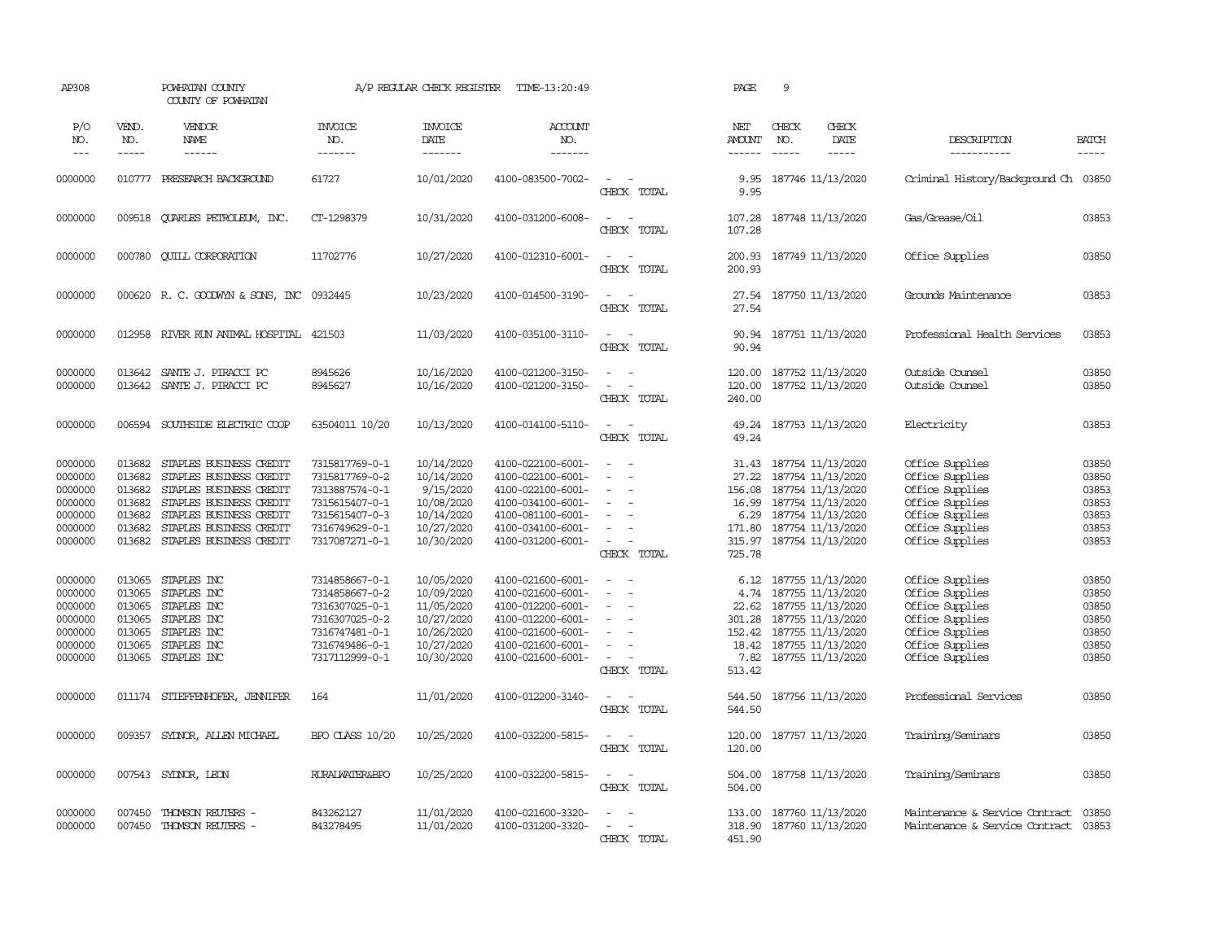| AP308                                                                     |                                                                    | POWHATAN COUNTY<br>COUNTY OF POWHATAN                                                                                                                                                     |                                                                                                                            | A/P REGULAR CHECK REGISTER                                                                     | TIME-13:20:49                                                                                                                                   |                                                                                                                                                                           | PAGE                                                                 | 9                                                                                                                                                            |               |                                                                                                                                   |                                                             |
|---------------------------------------------------------------------------|--------------------------------------------------------------------|-------------------------------------------------------------------------------------------------------------------------------------------------------------------------------------------|----------------------------------------------------------------------------------------------------------------------------|------------------------------------------------------------------------------------------------|-------------------------------------------------------------------------------------------------------------------------------------------------|---------------------------------------------------------------------------------------------------------------------------------------------------------------------------|----------------------------------------------------------------------|--------------------------------------------------------------------------------------------------------------------------------------------------------------|---------------|-----------------------------------------------------------------------------------------------------------------------------------|-------------------------------------------------------------|
| P/O<br>NO.                                                                | VEND.<br>NO.                                                       | VENDOR<br><b>NAME</b>                                                                                                                                                                     | <b>INVOICE</b><br>NO.                                                                                                      | <b>INVOICE</b><br>DATE                                                                         | <b>ACCOUNT</b><br>NO.                                                                                                                           |                                                                                                                                                                           | NET<br><b>AMOUNT</b>                                                 | CHECK<br>NO.                                                                                                                                                 | CHECK<br>DATE | DESCRIPTION                                                                                                                       | <b>BATCH</b>                                                |
| $---$                                                                     | -----                                                              | ------                                                                                                                                                                                    | -------                                                                                                                    | -------                                                                                        | -------                                                                                                                                         |                                                                                                                                                                           | ------                                                               | $- - - - -$                                                                                                                                                  | -----         | -----------                                                                                                                       | -----                                                       |
| 0000000                                                                   |                                                                    | 010777 PRESEARCH BACKGROUND                                                                                                                                                               | 61727                                                                                                                      | 10/01/2020                                                                                     | 4100-083500-7002-                                                                                                                               | $\sim$<br>$\sim$<br>CHECK TOTAL                                                                                                                                           | 9.95<br>9.95                                                         | 187746 11/13/2020                                                                                                                                            |               | Criminal History/Background Ch 03850                                                                                              |                                                             |
| 0000000                                                                   | 009518                                                             | QUARLES PETROLEUM, INC.                                                                                                                                                                   | CT-1298379                                                                                                                 | 10/31/2020                                                                                     | 4100-031200-6008-                                                                                                                               | $\sim$ $ \sim$<br>CHECK TOTAL                                                                                                                                             | 107.28<br>107.28                                                     | 187748 11/13/2020                                                                                                                                            |               | Gas/Grease/Oil                                                                                                                    | 03853                                                       |
| 0000000                                                                   | 000780                                                             | <b>CUILL CORPORATION</b>                                                                                                                                                                  | 11702776                                                                                                                   | 10/27/2020                                                                                     | 4100-012310-6001-                                                                                                                               | $\sim$ $  -$<br>CHECK TOTAL                                                                                                                                               | 200.93<br>200.93                                                     | 187749 11/13/2020                                                                                                                                            |               | Office Supplies                                                                                                                   | 03850                                                       |
| 0000000                                                                   |                                                                    | 000620 R.C. GOODWYN & SONS, INC                                                                                                                                                           | 0932445                                                                                                                    | 10/23/2020                                                                                     | 4100-014500-3190-                                                                                                                               | $\overline{\phantom{a}}$<br>CHECK TOTAL                                                                                                                                   | 27.54<br>27.54                                                       | 187750 11/13/2020                                                                                                                                            |               | Grounds Maintenance                                                                                                               | 03853                                                       |
| 0000000                                                                   | 012958                                                             | RIVER RUN ANIMAL HOSPITAL                                                                                                                                                                 | 421503                                                                                                                     | 11/03/2020                                                                                     | 4100-035100-3110-                                                                                                                               | $\sim$<br>$\sim$<br>CHECK TOTAL                                                                                                                                           | 90.94<br>90.94                                                       | 187751 11/13/2020                                                                                                                                            |               | Professional Health Services                                                                                                      | 03853                                                       |
| 0000000<br>0000000                                                        | 013642<br>013642                                                   | SANTE J. PIRACCI PC<br>SANTE J. PIRACCI PC                                                                                                                                                | 8945626<br>8945627                                                                                                         | 10/16/2020<br>10/16/2020                                                                       | 4100-021200-3150-<br>4100-021200-3150-                                                                                                          | $\sim$<br>$\sim$<br>$\overline{\phantom{a}}$<br>$\overline{\phantom{a}}$<br>CHECK TOTAL                                                                                   | 120.00<br>120.00<br>240.00                                           | 187752 11/13/2020<br>187752 11/13/2020                                                                                                                       |               | Outside Counsel<br>Outside Counsel                                                                                                | 03850<br>03850                                              |
| 0000000                                                                   | 006594                                                             | SOUTHSIDE ELECTRIC COOP                                                                                                                                                                   | 63504011 10/20                                                                                                             | 10/13/2020                                                                                     | 4100-014100-5110-                                                                                                                               | $\sim$<br>$\sim$<br>CHECK TOTAL                                                                                                                                           | 49.24                                                                | 49.24 187753 11/13/2020                                                                                                                                      |               | Electricity                                                                                                                       | 03853                                                       |
| 0000000<br>0000000<br>0000000<br>0000000<br>0000000<br>0000000<br>0000000 | 013682<br>013682<br>013682<br>013682<br>013682<br>013682<br>013682 | STAPLES BUSINESS CREDIT<br>STAPLES BUSINESS CREDIT<br>STAPLES BUSINESS CREDIT<br>STAPLES BUSINESS CREDIT<br>STAPLES BUSINESS CREDIT<br>STAPLES BUSINESS CREDIT<br>STAPLES BUSINESS CREDIT | 7315817769-0-1<br>7315817769-0-2<br>7313887574-0-1<br>7315615407-0-1<br>7315615407-0-3<br>7316749629-0-1<br>7317087271-0-1 | 10/14/2020<br>10/14/2020<br>9/15/2020<br>10/08/2020<br>10/14/2020<br>10/27/2020<br>10/30/2020  | 4100-022100-6001-<br>4100-022100-6001-<br>4100-022100-6001-<br>4100-034100-6001-<br>4100-081100-6001-<br>4100-034100-6001-<br>4100-031200-6001- | $\sim$<br>$\sim$<br>$\equiv$<br>$\sim$<br>$\equiv$<br>$\sim$<br>$\overline{\phantom{a}}$<br>$\overline{\phantom{a}}$<br>$\overline{\phantom{a}}$<br>$\sim$<br>CHECK TOTAL | 27.22<br>156.08<br>16.99<br>6.29<br>171.80<br>725.78                 | 31.43 187754 11/13/2020<br>187754 11/13/2020<br>187754 11/13/2020<br>187754 11/13/2020<br>187754 11/13/2020<br>187754 11/13/2020<br>315.97 187754 11/13/2020 |               | Office Supplies<br>Office Supplies<br>Office Supplies<br>Office Supplies<br>Office Supplies<br>Office Supplies<br>Office Supplies | 03850<br>03850<br>03853<br>03853<br>03853<br>03853<br>03853 |
| 0000000<br>0000000<br>0000000<br>0000000<br>0000000<br>0000000<br>0000000 | 013065<br>013065<br>013065<br>013065<br>013065<br>013065<br>013065 | STAPLES INC<br>STAPLES INC<br>STAPLES INC<br>STAPLES INC<br>STAPLES INC<br>STAPLES INC<br>STAPLES INC                                                                                     | 7314858667-0-1<br>7314858667-0-2<br>7316307025-0-1<br>7316307025-0-2<br>7316747481-0-1<br>7316749486-0-1<br>7317112999-0-1 | 10/05/2020<br>10/09/2020<br>11/05/2020<br>10/27/2020<br>10/26/2020<br>10/27/2020<br>10/30/2020 | 4100-021600-6001-<br>4100-021600-6001-<br>4100-012200-6001-<br>4100-012200-6001-<br>4100-021600-6001-<br>4100-021600-6001-<br>4100-021600-6001- | $\equiv$<br>$\sim$<br>$\sim$<br>$\sim$<br>$\equiv$<br>$\overline{\phantom{a}}$<br>CHECK TOTAL                                                                             | 6.12<br>4.74<br>22.62<br>301.28<br>152.42<br>18.42<br>7.82<br>513.42 | 187755 11/13/2020<br>187755 11/13/2020<br>187755 11/13/2020<br>187755 11/13/2020<br>187755 11/13/2020<br>187755 11/13/2020<br>187755 11/13/2020              |               | Office Supplies<br>Office Supplies<br>Office Supplies<br>Office Supplies<br>Office Supplies<br>Office Supplies<br>Office Supplies | 03850<br>03850<br>03850<br>03850<br>03850<br>03850<br>03850 |
| 0000000                                                                   |                                                                    | 011174 STIEFFENHOFER, JENNIFER                                                                                                                                                            | 164                                                                                                                        | 11/01/2020                                                                                     | 4100-012200-3140-                                                                                                                               | $\overline{\phantom{a}}$<br>$\sim$<br>CHECK TOTAL                                                                                                                         | 544.50<br>544.50                                                     | 187756 11/13/2020                                                                                                                                            |               | Professional Services                                                                                                             | 03850                                                       |
| 0000000                                                                   | 009357                                                             | SYDNOR, ALLEN MICHAEL                                                                                                                                                                     | BPO CLASS 10/20                                                                                                            | 10/25/2020                                                                                     | 4100-032200-5815-                                                                                                                               | $\frac{1}{2} \left( \frac{1}{2} \right) \left( \frac{1}{2} \right) \left( \frac{1}{2} \right)$<br>CHECK TOTAL                                                             | 120.00<br>120.00                                                     | 187757 11/13/2020                                                                                                                                            |               | Training/Seminars                                                                                                                 | 03850                                                       |
| 0000000                                                                   | 007543                                                             | SYDNOR, LEON                                                                                                                                                                              | <b>RURALWATER&amp;BPO</b>                                                                                                  | 10/25/2020                                                                                     | 4100-032200-5815-                                                                                                                               | $\sim$<br>$\sim$<br>CHECK TOTAL                                                                                                                                           | 504.00<br>504.00                                                     | 187758 11/13/2020                                                                                                                                            |               | Training/Seminars                                                                                                                 | 03850                                                       |
| 0000000<br>0000000                                                        | 007450                                                             | THOMSON REUTERS -<br>007450 THOMSON REUTERS -                                                                                                                                             | 843262127<br>843278495                                                                                                     | 11/01/2020<br>11/01/2020                                                                       | 4100-021600-3320-<br>4100-031200-3320-                                                                                                          | $\sim$<br>$\sim$<br>CHECK TOTAL                                                                                                                                           | 133.00<br>451.90                                                     | 187760 11/13/2020<br>318.90 187760 11/13/2020                                                                                                                |               | Maintenance & Service Contract<br>Maintenance & Service Contract 03853                                                            | 03850                                                       |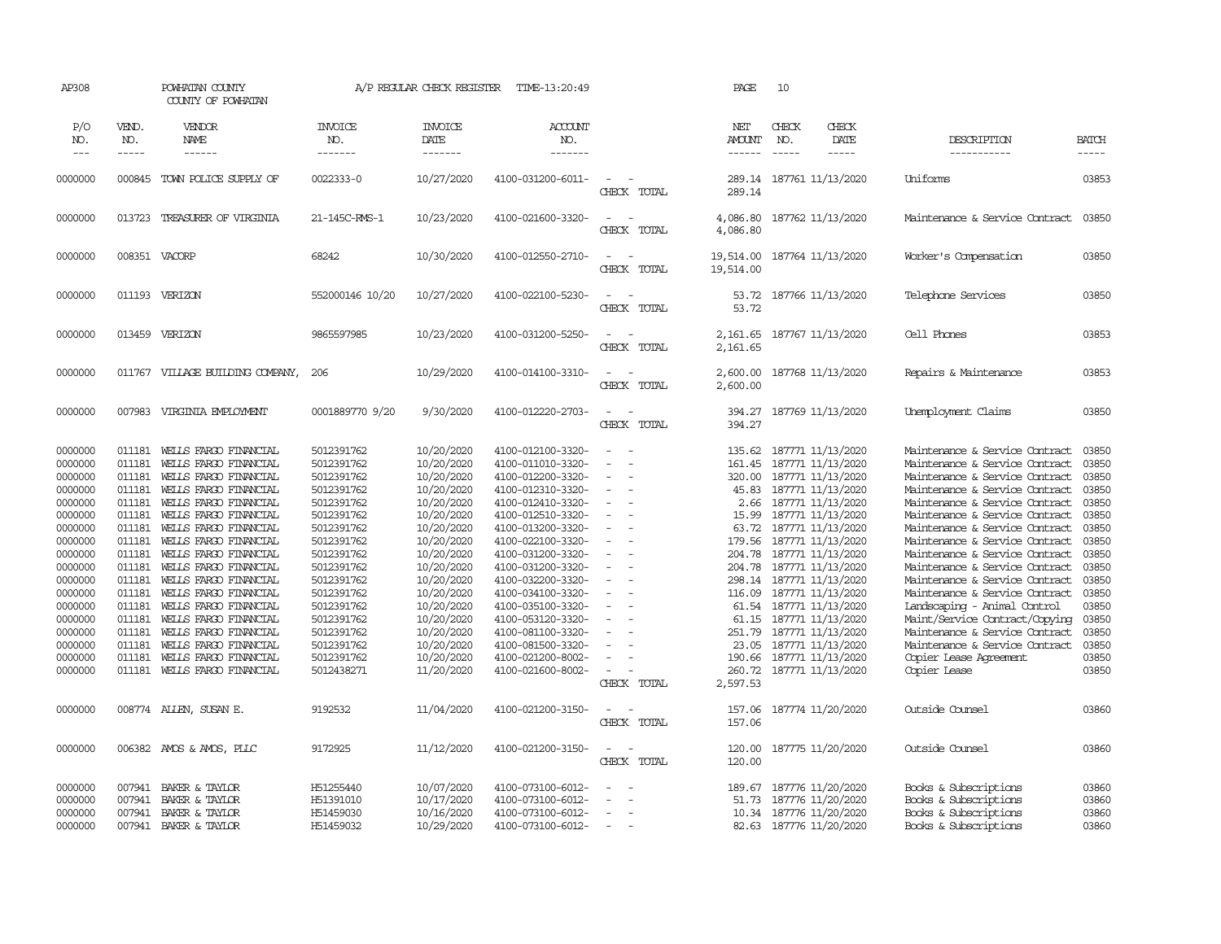| AP308                                                                                                                                                                                              |                                                                                                                                                                                  | POWHATAN COUNTY<br>COUNTY OF POWHATAN                                                                                                                                                                                                                                                                                                                                                                                                                          |                                                                                                                                                                                                                                                          | A/P REGULAR CHECK REGISTER                                                                                                                                                                                                                               | TIME-13:20:49                                                                                                                                                                                                                                                                                                                                                                          |                                                                                                                                                                                                               | PAGE                                                                                                                                  | 10                            |                                                                                                                                                                                                                                                                                                                                                                                                                        |                                                                                                                                                                                                                                                                                                                                                                                                                                                                                                                                                                                                      |                                                                                                                                                                |
|----------------------------------------------------------------------------------------------------------------------------------------------------------------------------------------------------|----------------------------------------------------------------------------------------------------------------------------------------------------------------------------------|----------------------------------------------------------------------------------------------------------------------------------------------------------------------------------------------------------------------------------------------------------------------------------------------------------------------------------------------------------------------------------------------------------------------------------------------------------------|----------------------------------------------------------------------------------------------------------------------------------------------------------------------------------------------------------------------------------------------------------|----------------------------------------------------------------------------------------------------------------------------------------------------------------------------------------------------------------------------------------------------------|----------------------------------------------------------------------------------------------------------------------------------------------------------------------------------------------------------------------------------------------------------------------------------------------------------------------------------------------------------------------------------------|---------------------------------------------------------------------------------------------------------------------------------------------------------------------------------------------------------------|---------------------------------------------------------------------------------------------------------------------------------------|-------------------------------|------------------------------------------------------------------------------------------------------------------------------------------------------------------------------------------------------------------------------------------------------------------------------------------------------------------------------------------------------------------------------------------------------------------------|------------------------------------------------------------------------------------------------------------------------------------------------------------------------------------------------------------------------------------------------------------------------------------------------------------------------------------------------------------------------------------------------------------------------------------------------------------------------------------------------------------------------------------------------------------------------------------------------------|----------------------------------------------------------------------------------------------------------------------------------------------------------------|
| P/O<br>NO.<br>$---$                                                                                                                                                                                | VEND.<br>NO.<br>-----                                                                                                                                                            | VENDOR<br>NAME<br>$- - - - - -$                                                                                                                                                                                                                                                                                                                                                                                                                                | <b>INVOICE</b><br>NO.<br>-------                                                                                                                                                                                                                         | <b>INVOICE</b><br>DATE<br>-------                                                                                                                                                                                                                        | ACCOUNT<br>NO.<br>--------                                                                                                                                                                                                                                                                                                                                                             |                                                                                                                                                                                                               | NET<br><b>AMOUNT</b><br>$- - - - - -$                                                                                                 | CHECK<br>NO.<br>$\frac{1}{2}$ | CHECK<br>DATE<br>$- - - - -$                                                                                                                                                                                                                                                                                                                                                                                           | DESCRIPTION<br>-----------                                                                                                                                                                                                                                                                                                                                                                                                                                                                                                                                                                           | <b>BATCH</b><br>-----                                                                                                                                          |
| 0000000                                                                                                                                                                                            | 000845                                                                                                                                                                           | TOWN POLICE SUPPLY OF                                                                                                                                                                                                                                                                                                                                                                                                                                          | 0022333-0                                                                                                                                                                                                                                                | 10/27/2020                                                                                                                                                                                                                                               | 4100-031200-6011-                                                                                                                                                                                                                                                                                                                                                                      | $\overline{\phantom{a}}$<br>CHECK TOTAL                                                                                                                                                                       | 289.14                                                                                                                                |                               | 289.14 187761 11/13/2020                                                                                                                                                                                                                                                                                                                                                                                               | Uniforms                                                                                                                                                                                                                                                                                                                                                                                                                                                                                                                                                                                             | 03853                                                                                                                                                          |
| 0000000                                                                                                                                                                                            |                                                                                                                                                                                  | 013723 TREASURER OF VIRGINIA                                                                                                                                                                                                                                                                                                                                                                                                                                   | 21-145C-RMS-1                                                                                                                                                                                                                                            | 10/23/2020                                                                                                                                                                                                                                               | 4100-021600-3320-                                                                                                                                                                                                                                                                                                                                                                      | $\sim$<br>$\sim$<br>CHECK TOTAL                                                                                                                                                                               | 4,086.80<br>4,086.80                                                                                                                  |                               | 187762 11/13/2020                                                                                                                                                                                                                                                                                                                                                                                                      | Maintenance & Service Contract                                                                                                                                                                                                                                                                                                                                                                                                                                                                                                                                                                       | 03850                                                                                                                                                          |
| 0000000                                                                                                                                                                                            |                                                                                                                                                                                  | 008351 VACORP                                                                                                                                                                                                                                                                                                                                                                                                                                                  | 68242                                                                                                                                                                                                                                                    | 10/30/2020                                                                                                                                                                                                                                               | 4100-012550-2710-                                                                                                                                                                                                                                                                                                                                                                      | $\overline{\phantom{a}}$<br>$\sim$<br>CHECK TOTAL                                                                                                                                                             | 19,514.00<br>19,514.00                                                                                                                |                               | 187764 11/13/2020                                                                                                                                                                                                                                                                                                                                                                                                      | Worker's Compensation                                                                                                                                                                                                                                                                                                                                                                                                                                                                                                                                                                                | 03850                                                                                                                                                          |
| 0000000                                                                                                                                                                                            |                                                                                                                                                                                  | 011193 VERIZON                                                                                                                                                                                                                                                                                                                                                                                                                                                 | 552000146 10/20                                                                                                                                                                                                                                          | 10/27/2020                                                                                                                                                                                                                                               | 4100-022100-5230-                                                                                                                                                                                                                                                                                                                                                                      | $\sim$<br>CHECK TOTAL                                                                                                                                                                                         | 53.72<br>53.72                                                                                                                        |                               | 187766 11/13/2020                                                                                                                                                                                                                                                                                                                                                                                                      | Telephone Services                                                                                                                                                                                                                                                                                                                                                                                                                                                                                                                                                                                   | 03850                                                                                                                                                          |
| 0000000                                                                                                                                                                                            | 013459                                                                                                                                                                           | VERIZON                                                                                                                                                                                                                                                                                                                                                                                                                                                        | 9865597985                                                                                                                                                                                                                                               | 10/23/2020                                                                                                                                                                                                                                               | 4100-031200-5250-                                                                                                                                                                                                                                                                                                                                                                      | $\overline{\phantom{a}}$<br>$\sim$<br>CHECK TOTAL                                                                                                                                                             | 2,161.65<br>2,161.65                                                                                                                  |                               | 187767 11/13/2020                                                                                                                                                                                                                                                                                                                                                                                                      | Cell Phones                                                                                                                                                                                                                                                                                                                                                                                                                                                                                                                                                                                          | 03853                                                                                                                                                          |
| 0000000                                                                                                                                                                                            |                                                                                                                                                                                  | 011767 VIILAGE BUILDING COMPANY,                                                                                                                                                                                                                                                                                                                                                                                                                               | 206                                                                                                                                                                                                                                                      | 10/29/2020                                                                                                                                                                                                                                               | 4100-014100-3310-                                                                                                                                                                                                                                                                                                                                                                      | $\sim$<br>$\sim$<br>CHECK TOTAL                                                                                                                                                                               | 2,600.00<br>2,600.00                                                                                                                  |                               | 187768 11/13/2020                                                                                                                                                                                                                                                                                                                                                                                                      | Repairs & Maintenance                                                                                                                                                                                                                                                                                                                                                                                                                                                                                                                                                                                | 03853                                                                                                                                                          |
| 0000000                                                                                                                                                                                            | 007983                                                                                                                                                                           | VIRGINIA EMPLOYMENT                                                                                                                                                                                                                                                                                                                                                                                                                                            | 0001889770 9/20                                                                                                                                                                                                                                          | 9/30/2020                                                                                                                                                                                                                                                | 4100-012220-2703-                                                                                                                                                                                                                                                                                                                                                                      | $\sim$<br>$\overline{\phantom{a}}$<br>CHECK TOTAL                                                                                                                                                             | 394.27<br>394.27                                                                                                                      |                               | 187769 11/13/2020                                                                                                                                                                                                                                                                                                                                                                                                      | Unemployment Claims                                                                                                                                                                                                                                                                                                                                                                                                                                                                                                                                                                                  | 03850                                                                                                                                                          |
| 0000000<br>0000000<br>0000000<br>0000000<br>0000000<br>0000000<br>0000000<br>0000000<br>0000000<br>0000000<br>0000000<br>0000000<br>0000000<br>0000000<br>0000000<br>0000000<br>0000000<br>0000000 | 011181<br>011181<br>011181<br>011181<br>011181<br>011181<br>011181<br>011181<br>011181<br>011181<br>011181<br>011181<br>011181<br>011181<br>011181<br>011181<br>011181<br>011181 | WEILS FARGO FINANCIAL<br>WEILS FARGO FINANCIAL<br>WELLS FARGO FINANCIAL<br>WELLS FARGO FINANCIAL<br>WELLS FARGO FINANCIAL<br>WELLS FARGO FINANCIAL<br>WEILS FARGO FINANCIAL<br>WELLS FARGO FINANCIAL<br>WELLS FARGO FINANCIAL<br>WELLS FARGO FINANCIAL<br>WELLS FARGO FINANCIAL<br>WELLS FARGO FINANCIAL<br>WELLS FARGO FINANCIAL<br>WELLS FARGO FINANCIAL<br>WELLS FARGO FINANCIAL<br>WELLS FARGO FINANCIAL<br>WELLS FARGO FINANCIAL<br>WEILS FARGO FINANCIAL | 5012391762<br>5012391762<br>5012391762<br>5012391762<br>5012391762<br>5012391762<br>5012391762<br>5012391762<br>5012391762<br>5012391762<br>5012391762<br>5012391762<br>5012391762<br>5012391762<br>5012391762<br>5012391762<br>5012391762<br>5012438271 | 10/20/2020<br>10/20/2020<br>10/20/2020<br>10/20/2020<br>10/20/2020<br>10/20/2020<br>10/20/2020<br>10/20/2020<br>10/20/2020<br>10/20/2020<br>10/20/2020<br>10/20/2020<br>10/20/2020<br>10/20/2020<br>10/20/2020<br>10/20/2020<br>10/20/2020<br>11/20/2020 | 4100-012100-3320-<br>4100-011010-3320-<br>4100-012200-3320-<br>4100-012310-3320-<br>4100-012410-3320-<br>4100-012510-3320-<br>4100-013200-3320-<br>4100-022100-3320-<br>4100-031200-3320-<br>4100-031200-3320-<br>4100-032200-3320-<br>4100-034100-3320-<br>4100-035100-3320-<br>4100-053120-3320-<br>4100-081100-3320-<br>4100-081500-3320-<br>4100-021200-8002-<br>4100-021600-8002- | $\sim$<br>- -<br>$\sim$<br>$\sim$<br>$\equiv$<br>$\sim$<br>$\sim$<br>$\overline{\phantom{a}}$<br>$\equiv$<br>$\sim$<br>$\sim$<br>$\sim$<br>$\sim$<br>÷<br>$\sim$<br>$\sim$<br>$\sim$<br>$\sim$<br>CHECK TOTAL | 135.62<br>161.45<br>320.00<br>2.66<br>15.99<br>179.56<br>204.78<br>116.09<br>61.15<br>251.79<br>23.05<br>190.66<br>260.72<br>2,597.53 |                               | 187771 11/13/2020<br>187771 11/13/2020<br>187771 11/13/2020<br>45.83 187771 11/13/2020<br>187771 11/13/2020<br>187771 11/13/2020<br>63.72 187771 11/13/2020<br>187771 11/13/2020<br>204.78 187771 11/13/2020<br>187771 11/13/2020<br>298.14 187771 11/13/2020<br>187771 11/13/2020<br>61.54 187771 11/13/2020<br>187771 11/13/2020<br>187771 11/13/2020<br>187771 11/13/2020<br>187771 11/13/2020<br>187771 11/13/2020 | Maintenance & Service Contract<br>Maintenance & Service Contract<br>Maintenance & Service Contract<br>Maintenance & Service Contract<br>Maintenance & Service Contract<br>Maintenance & Service Contract<br>Maintenance & Service Contract<br>Maintenance & Service Contract<br>Maintenance & Service Contract<br>Maintenance & Service Contract<br>Maintenance & Service Contract<br>Maintenance & Service Contract<br>Landscaping - Animal Control<br>Maint/Service Contract/Copying<br>Maintenance & Service Contract<br>Maintenance & Service Contract<br>Copier Lease Agreement<br>Copier Lease | 03850<br>03850<br>03850<br>03850<br>03850<br>03850<br>03850<br>03850<br>03850<br>03850<br>03850<br>03850<br>03850<br>03850<br>03850<br>03850<br>03850<br>03850 |
| 0000000                                                                                                                                                                                            |                                                                                                                                                                                  | 008774 ALLEN, SUSAN E.                                                                                                                                                                                                                                                                                                                                                                                                                                         | 9192532                                                                                                                                                                                                                                                  | 11/04/2020                                                                                                                                                                                                                                               | 4100-021200-3150-                                                                                                                                                                                                                                                                                                                                                                      | $\sim$<br>$\sim$<br>CHECK TOTAL                                                                                                                                                                               | 157.06<br>157.06                                                                                                                      |                               | 187774 11/20/2020                                                                                                                                                                                                                                                                                                                                                                                                      | Outside Counsel                                                                                                                                                                                                                                                                                                                                                                                                                                                                                                                                                                                      | 03860                                                                                                                                                          |
| 0000000                                                                                                                                                                                            |                                                                                                                                                                                  | 006382 AMOS & AMOS, PLLC                                                                                                                                                                                                                                                                                                                                                                                                                                       | 9172925                                                                                                                                                                                                                                                  | 11/12/2020                                                                                                                                                                                                                                               | 4100-021200-3150-                                                                                                                                                                                                                                                                                                                                                                      | $\sim$<br>$\sim$<br>CHECK TOTAL                                                                                                                                                                               | 120.00<br>120.00                                                                                                                      |                               | 187775 11/20/2020                                                                                                                                                                                                                                                                                                                                                                                                      | Outside Counsel                                                                                                                                                                                                                                                                                                                                                                                                                                                                                                                                                                                      | 03860                                                                                                                                                          |
| 0000000<br>0000000<br>0000000<br>0000000                                                                                                                                                           | 007941<br>007941<br>007941<br>007941                                                                                                                                             | BAKER & TAYLOR<br>BAKER & TAYLOR<br>BAKER & TAYLOR<br>BAKER & TAYLOR                                                                                                                                                                                                                                                                                                                                                                                           | H51255440<br>H51391010<br>H51459030<br>H51459032                                                                                                                                                                                                         | 10/07/2020<br>10/17/2020<br>10/16/2020<br>10/29/2020                                                                                                                                                                                                     | 4100-073100-6012-<br>4100-073100-6012-<br>4100-073100-6012-<br>4100-073100-6012-                                                                                                                                                                                                                                                                                                       | $\blacksquare$<br>$\sim$<br>$\sim$<br>$\sim$                                                                                                                                                                  | 189.67<br>51.73                                                                                                                       |                               | 187776 11/20/2020<br>187776 11/20/2020<br>10.34 187776 11/20/2020<br>82.63 187776 11/20/2020                                                                                                                                                                                                                                                                                                                           | Books & Subscriptions<br>Books & Subscriptions<br>Books & Subscriptions<br>Books & Subscriptions                                                                                                                                                                                                                                                                                                                                                                                                                                                                                                     | 03860<br>03860<br>03860<br>03860                                                                                                                               |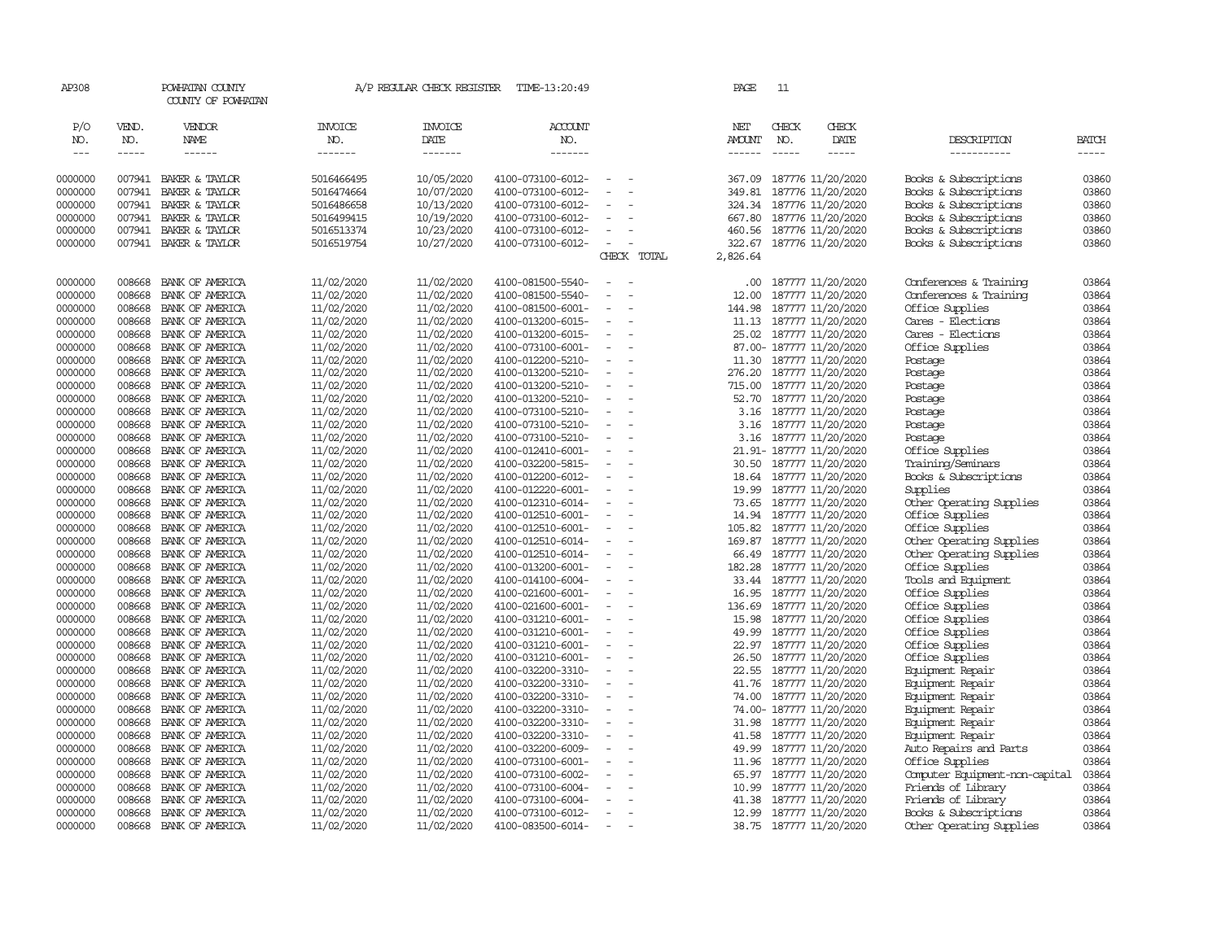| AP308                       |                               | POWHATAN COUNTY<br>COUNTY OF POWHATAN   |                           | A/P REGULAR CHECK REGISTER        | TIME-13:20:49                          |                                    | PAGE                 | 11                            |                                               |                                                |                               |
|-----------------------------|-------------------------------|-----------------------------------------|---------------------------|-----------------------------------|----------------------------------------|------------------------------------|----------------------|-------------------------------|-----------------------------------------------|------------------------------------------------|-------------------------------|
| P/O<br>NO.<br>$\frac{1}{2}$ | VEND.<br>NO.<br>$\frac{1}{2}$ | <b>VENDOR</b><br><b>NAME</b><br>------  | INVOICE<br>NO.<br>------- | <b>INVOICE</b><br>DATE<br>------- | <b>ACCOUNT</b><br>NO.<br>--------      |                                    | NET<br><b>AMOUNT</b> | CHECK<br>NO.<br>$\frac{1}{2}$ | CHECK<br>DATE<br>$- - - - -$                  | DESCRIPTION<br>-----------                     | <b>BATCH</b><br>$\frac{1}{2}$ |
|                             |                               |                                         |                           |                                   |                                        |                                    |                      |                               |                                               |                                                |                               |
| 0000000                     | 007941                        | BAKER & TAYLOR                          | 5016466495                | 10/05/2020                        | 4100-073100-6012-                      | $\equiv$                           | 367.09               |                               | 187776 11/20/2020                             | Books & Subscriptions                          | 03860                         |
| 0000000                     | 007941                        | BAKER & TAYLOR                          | 5016474664                | 10/07/2020                        | 4100-073100-6012-                      | $\blacksquare$                     | 349.81               |                               | 187776 11/20/2020                             | Books & Subscriptions                          | 03860                         |
| 0000000                     | 007941<br>007941              | BAKER & TAYLOR                          | 5016486658                | 10/13/2020                        | 4100-073100-6012-                      | $\equiv$<br>$\sim$                 | 324.34               |                               | 187776 11/20/2020                             | Books & Subscriptions                          | 03860                         |
| 0000000<br>0000000          |                               | BAKER & TAYLOR<br>007941 BAKER & TAYLOR | 5016499415<br>5016513374  | 10/19/2020<br>10/23/2020          | 4100-073100-6012-<br>4100-073100-6012- | $\overline{\phantom{a}}$           | 667.80               |                               | 187776 11/20/2020<br>460.56 187776 11/20/2020 | Books & Subscriptions<br>Books & Subscriptions | 03860<br>03860                |
| 0000000                     |                               | 007941 BAKER & TAYLOR                   | 5016519754                | 10/27/2020                        | 4100-073100-6012-                      | $\sim$                             | 322.67               |                               | 187776 11/20/2020                             | Books & Subscriptions                          | 03860                         |
|                             |                               |                                         |                           |                                   |                                        | CHECK TOTAL                        | 2,826.64             |                               |                                               |                                                |                               |
| 0000000                     | 008668                        | BANK OF AMERICA                         | 11/02/2020                | 11/02/2020                        | 4100-081500-5540-                      | $\equiv$<br>$\sim$                 | .00.                 |                               | 187777 11/20/2020                             | Conferences & Training                         | 03864                         |
| 0000000                     | 008668                        | BANK OF AMERICA                         | 11/02/2020                | 11/02/2020                        | 4100-081500-5540-                      | $\equiv$                           | 12.00                |                               | 187777 11/20/2020                             | Conferences & Training                         | 03864                         |
| 0000000                     | 008668                        | BANK OF AMERICA                         | 11/02/2020                | 11/02/2020                        | 4100-081500-6001-                      |                                    | 144.98               |                               | 187777 11/20/2020                             | Office Supplies                                | 03864                         |
| 0000000                     | 008668                        | BANK OF AMERICA                         | 11/02/2020                | 11/02/2020                        | 4100-013200-6015-                      | $\overline{\phantom{a}}$<br>$\sim$ | 11.13                |                               | 187777 11/20/2020                             | Cares - Elections                              | 03864                         |
| 0000000                     | 008668                        | BANK OF AMERICA                         | 11/02/2020                | 11/02/2020                        | 4100-013200-6015-                      | $\equiv$                           |                      |                               | 25.02 187777 11/20/2020                       | Cares - Elections                              | 03864                         |
| 0000000                     | 008668                        | BANK OF AMERICA                         | 11/02/2020                | 11/02/2020                        | 4100-073100-6001-                      | $\equiv$                           |                      |                               | 87.00- 187777 11/20/2020                      | Office Supplies                                | 03864                         |
| 0000000                     | 008668                        | BANK OF AMERICA                         | 11/02/2020                | 11/02/2020                        | 4100-012200-5210-                      | $\sim$                             |                      |                               | 11.30 187777 11/20/2020                       | Postage                                        | 03864                         |
| 0000000                     | 008668                        | BANK OF AMERICA                         | 11/02/2020                | 11/02/2020                        | 4100-013200-5210-                      | $\equiv$                           | 276.20               |                               | 187777 11/20/2020                             | Postage                                        | 03864                         |
| 0000000                     | 008668                        | BANK OF AMERICA                         | 11/02/2020                | 11/02/2020                        | 4100-013200-5210-                      | $\equiv$                           | 715.00               |                               | 187777 11/20/2020                             | Postage                                        | 03864                         |
| 0000000                     | 008668                        | BANK OF AMERICA                         | 11/02/2020                | 11/02/2020                        | 4100-013200-5210-                      |                                    | 52.70                |                               | 187777 11/20/2020                             | Postage                                        | 03864                         |
| 0000000                     | 008668                        | BANK OF AMERICA                         | 11/02/2020                | 11/02/2020                        | 4100-073100-5210-                      | $\equiv$                           | 3.16                 |                               | 187777 11/20/2020                             | Postage                                        | 03864                         |
| 0000000                     | 008668                        | BANK OF AMERICA                         | 11/02/2020                | 11/02/2020                        | 4100-073100-5210-                      | $\equiv$                           | 3.16                 |                               | 187777 11/20/2020                             | Postage                                        | 03864                         |
| 0000000                     | 008668                        | BANK OF AMERICA                         | 11/02/2020                | 11/02/2020                        | 4100-073100-5210-                      | $\equiv$                           | 3.16                 |                               | 187777 11/20/2020                             | Postage                                        | 03864                         |
| 0000000                     | 008668                        | BANK OF AMERICA                         | 11/02/2020                | 11/02/2020                        | 4100-012410-6001-                      |                                    |                      |                               | 21.91- 187777 11/20/2020                      | Office Supplies                                | 03864                         |
| 0000000                     | 008668                        | BANK OF AMERICA                         | 11/02/2020                | 11/02/2020                        | 4100-032200-5815-                      | $\equiv$                           | 30.50                |                               | 187777 11/20/2020                             | Training/Seminars                              | 03864                         |
| 0000000                     | 008668                        | BANK OF AMERICA                         | 11/02/2020                | 11/02/2020                        | 4100-012200-6012-                      | $\equiv$                           | 18.64                |                               | 187777 11/20/2020                             | Books & Subscriptions                          | 03864                         |
| 0000000                     | 008668                        | BANK OF AMERICA                         | 11/02/2020                | 11/02/2020                        | 4100-012220-6001-                      | $\sim$                             | 19.99                |                               | 187777 11/20/2020                             | Supplies                                       | 03864                         |
| 0000000                     | 008668                        | BANK OF AMERICA                         | 11/02/2020                | 11/02/2020                        | 4100-012310-6014-                      | $\blacksquare$                     | 73.65                |                               | 187777 11/20/2020                             | Other Operating Supplies                       | 03864                         |
| 0000000                     | 008668                        | BANK OF AMERICA                         | 11/02/2020                | 11/02/2020                        | 4100-012510-6001-                      | $\equiv$                           | 14.94                |                               | 187777 11/20/2020                             | Office Supplies                                | 03864                         |
| 0000000                     | 008668                        | BANK OF AMERICA                         | 11/02/2020                | 11/02/2020                        | 4100-012510-6001-                      | $\overline{\phantom{a}}$           | 105.82               |                               | 187777 11/20/2020                             | Office Supplies                                | 03864                         |
| 0000000                     | 008668                        | BANK OF AMERICA                         | 11/02/2020                | 11/02/2020                        | 4100-012510-6014-                      | $\equiv$                           | 169.87               |                               | 187777 11/20/2020                             | Other Operating Supplies                       | 03864                         |
| 0000000                     | 008668                        | BANK OF AMERICA                         | 11/02/2020                | 11/02/2020                        | 4100-012510-6014-                      | $\sim$                             |                      |                               | 66.49 187777 11/20/2020                       | Other Operating Supplies                       | 03864                         |
| 0000000                     | 008668                        | BANK OF AMERICA                         | 11/02/2020                | 11/02/2020                        | 4100-013200-6001-                      | $\overline{\phantom{a}}$           | 182.28               |                               | 187777 11/20/2020                             | Office Supplies                                | 03864                         |
| 0000000                     | 008668                        | BANK OF AMERICA                         | 11/02/2020                | 11/02/2020                        | 4100-014100-6004-                      | $\sim$                             | 33.44                |                               | 187777 11/20/2020                             | Tools and Equipment                            | 03864                         |
| 0000000                     | 008668                        | BANK OF AMERICA                         | 11/02/2020                | 11/02/2020                        | 4100-021600-6001-                      | $\blacksquare$                     | 16.95                |                               | 187777 11/20/2020                             | Office Supplies                                | 03864                         |
| 0000000                     | 008668                        | BANK OF AMERICA                         | 11/02/2020                | 11/02/2020                        | 4100-021600-6001-                      | $\blacksquare$                     | 136.69               |                               | 187777 11/20/2020                             | Office Supplies                                | 03864                         |
| 0000000                     | 008668                        | BANK OF AMERICA                         | 11/02/2020                | 11/02/2020                        | 4100-031210-6001-                      | $\equiv$                           | 15.98                |                               | 187777 11/20/2020                             | Office Supplies                                | 03864                         |
| 0000000                     | 008668                        | BANK OF AMERICA                         | 11/02/2020                | 11/02/2020                        | 4100-031210-6001-                      |                                    | 49.99                |                               | 187777 11/20/2020                             | Office Supplies                                | 03864                         |
| 0000000                     | 008668                        | BANK OF AMERICA                         | 11/02/2020                | 11/02/2020                        | 4100-031210-6001-                      | $\sim$<br>$\overline{\phantom{a}}$ |                      |                               | 22.97 187777 11/20/2020                       | Office Supplies                                | 03864                         |
| 0000000                     | 008668                        | BANK OF AMERICA                         | 11/02/2020                | 11/02/2020                        | 4100-031210-6001-                      | $\equiv$                           | 26.50                |                               | 187777 11/20/2020                             | Office Supplies                                | 03864                         |
| 0000000                     | 008668<br>008668              | BANK OF AMERICA                         | 11/02/2020                | 11/02/2020                        | 4100-032200-3310-                      | $\equiv$<br>$\sim$                 | 22.55                |                               | 187777 11/20/2020                             | Equipment Repair                               | 03864                         |
| 0000000<br>0000000          | 008668                        | BANK OF AMERICA<br>BANK OF AMERICA      | 11/02/2020                | 11/02/2020<br>11/02/2020          | 4100-032200-3310-<br>4100-032200-3310- | $\overline{\phantom{a}}$           | 74.00                |                               | 41.76 187777 11/20/2020                       | Equipment Repair                               | 03864<br>03864                |
| 0000000                     | 008668                        | BANK OF AMERICA                         | 11/02/2020<br>11/02/2020  | 11/02/2020                        | 4100-032200-3310-                      | $\sim$                             |                      |                               | 187777 11/20/2020<br>74.00- 187777 11/20/2020 | Equipment Repair<br>Equipment Repair           | 03864                         |
| 0000000                     | 008668                        | BANK OF AMERICA                         | 11/02/2020                | 11/02/2020                        | 4100-032200-3310-                      |                                    | 31.98                |                               | 187777 11/20/2020                             | Equipment Repair                               | 03864                         |
| 0000000                     | 008668                        | BANK OF AMERICA                         | 11/02/2020                | 11/02/2020                        | 4100-032200-3310-                      | $\blacksquare$                     | 41.58                |                               | 187777 11/20/2020                             | Equipment Repair                               | 03864                         |
| 0000000                     | 008668                        | BANK OF AMERICA                         | 11/02/2020                | 11/02/2020                        | 4100-032200-6009-                      | $\equiv$                           | 49.99                |                               | 187777 11/20/2020                             | Auto Repairs and Parts                         | 03864                         |
| 0000000                     | 008668                        | BANK OF AMERICA                         | 11/02/2020                | 11/02/2020                        | 4100-073100-6001-                      | $\equiv$                           | 11.96                |                               | 187777 11/20/2020                             | Office Supplies                                | 03864                         |
| 0000000                     | 008668                        | BANK OF AMERICA                         | 11/02/2020                | 11/02/2020                        | 4100-073100-6002-                      |                                    |                      |                               | 65.97 187777 11/20/2020                       | Computer Equipment-non-capital                 | 03864                         |
| 0000000                     | 008668                        | BANK OF AMERICA                         | 11/02/2020                | 11/02/2020                        | 4100-073100-6004-                      | $\sim$                             | 10.99                |                               | 187777 11/20/2020                             | Friends of Library                             | 03864                         |
| 0000000                     | 008668                        | BANK OF AMERICA                         | 11/02/2020                | 11/02/2020                        | 4100-073100-6004-                      | $\equiv$                           | 41.38                |                               | 187777 11/20/2020                             | Friends of Library                             | 03864                         |
| 0000000                     | 008668                        | BANK OF AMERICA                         | 11/02/2020                | 11/02/2020                        | 4100-073100-6012-                      | $\sim$                             | 12.99                |                               | 187777 11/20/2020                             | Books & Subscriptions                          | 03864                         |
| 0000000                     |                               | 008668 BANK OF AMERICA                  | 11/02/2020                | 11/02/2020                        | 4100-083500-6014-                      | $\overline{\phantom{a}}$           |                      |                               | 38.75 187777 11/20/2020                       | Other Operating Supplies                       | 03864                         |
|                             |                               |                                         |                           |                                   |                                        |                                    |                      |                               |                                               |                                                |                               |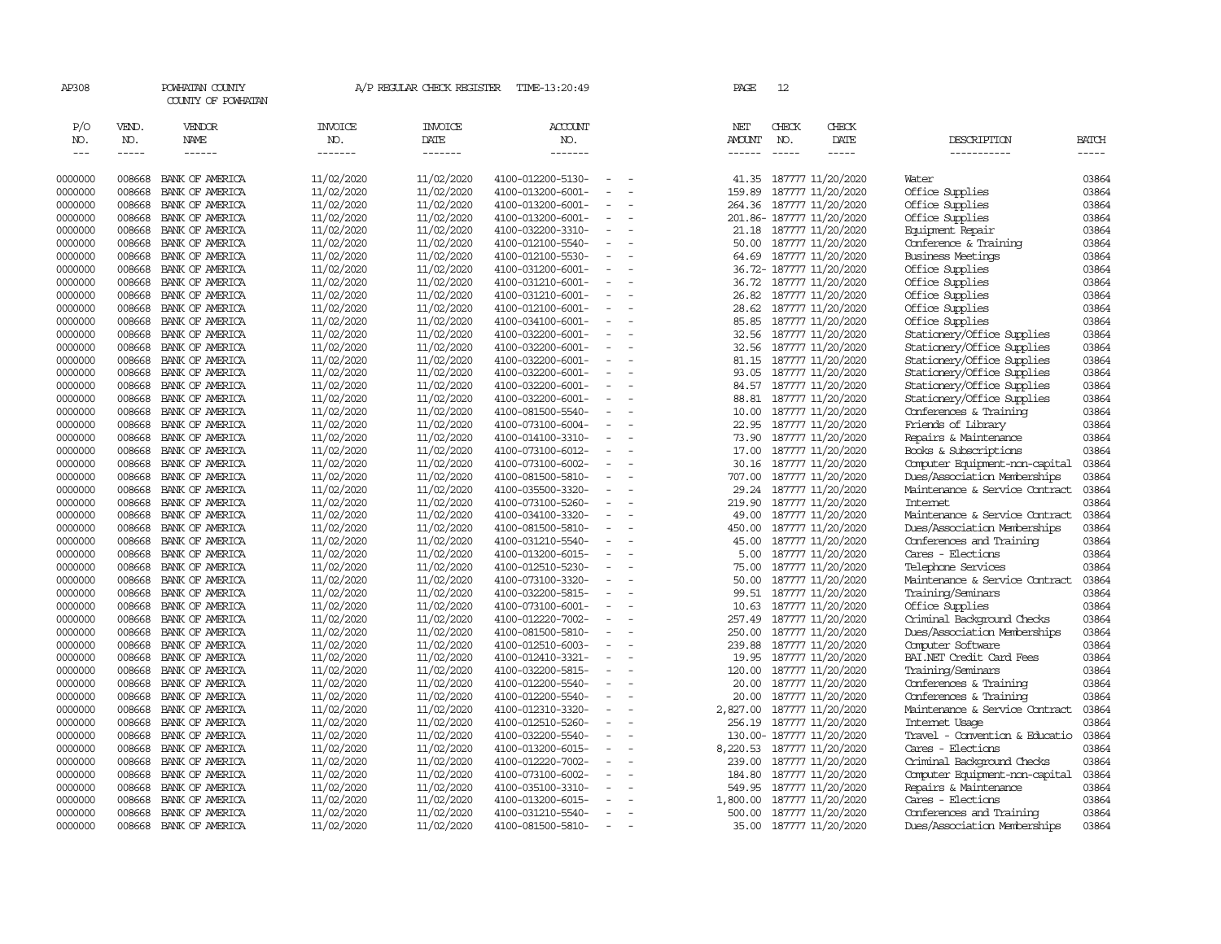| AP308                       |                       | POWHATAN COUNTY<br>COUNTY OF POWHATAN |                                  | A/P REGULAR CHECK REGISTER        | TIME-13:20:49                            |                                    | PAGE                                  | 12                            |                            |                                |                             |
|-----------------------------|-----------------------|---------------------------------------|----------------------------------|-----------------------------------|------------------------------------------|------------------------------------|---------------------------------------|-------------------------------|----------------------------|--------------------------------|-----------------------------|
| P/O<br>NO.<br>$\frac{1}{2}$ | VEND.<br>NO.<br>----- | VENDOR<br>NAME<br>$- - - - - -$       | <b>INVOICE</b><br>NO.<br>------- | <b>INVOICE</b><br>DATE<br>------- | <b>ACCOUNT</b><br>NO.<br>$- - - - - - -$ |                                    | NET<br><b>AMOUNT</b><br>$- - - - - -$ | CHECK<br>NO.<br>$\frac{1}{2}$ | CHECK<br>DATE              | DESCRIPTION<br>-----------     | <b>BATCH</b><br>$- - - - -$ |
| 0000000                     | 008668                | BANK OF AMERICA                       | 11/02/2020                       | 11/02/2020                        | 4100-012200-5130-                        | $\equiv$                           | 41.35                                 |                               | 187777 11/20/2020          | Water                          | 03864                       |
| 0000000                     | 008668                | BANK OF AMERICA                       | 11/02/2020                       | 11/02/2020                        | 4100-013200-6001-                        | $\equiv$                           | 159.89                                |                               | 187777 11/20/2020          | Office Supplies                | 03864                       |
| 0000000                     | 008668                | BANK OF AMERICA                       | 11/02/2020                       | 11/02/2020                        | 4100-013200-6001-                        |                                    | 264.36                                |                               | 187777 11/20/2020          | Office Supplies                | 03864                       |
| 0000000                     | 008668                | BANK OF AMERICA                       | 11/02/2020                       | 11/02/2020                        | 4100-013200-6001-                        | $\overline{\phantom{a}}$           |                                       |                               | 201.86-187777 11/20/2020   | Office Supplies                | 03864                       |
| 0000000                     | 008668                | BANK OF AMERICA                       | 11/02/2020                       | 11/02/2020                        | 4100-032200-3310-                        |                                    |                                       |                               | 21.18 187777 11/20/2020    | Equipment Repair               | 03864                       |
| 0000000                     | 008668                | BANK OF AMERICA                       | 11/02/2020                       | 11/02/2020                        | 4100-012100-5540-                        | $\sim$                             |                                       |                               | 50.00 187777 11/20/2020    | Conference & Training          | 03864                       |
| 0000000                     | 008668                | BANK OF AMERICA                       | 11/02/2020                       | 11/02/2020                        | 4100-012100-5530-                        | $\equiv$                           |                                       |                               | 64.69 187777 11/20/2020    | <b>Business Meetings</b>       | 03864                       |
| 0000000                     | 008668                | BANK OF AMERICA                       | 11/02/2020                       | 11/02/2020                        | 4100-031200-6001-                        |                                    |                                       |                               | 36.72- 187777 11/20/2020   | Office Supplies                | 03864                       |
| 0000000                     | 008668                | BANK OF AMERICA                       | 11/02/2020                       | 11/02/2020                        | 4100-031210-6001-                        |                                    |                                       |                               | 36.72 187777 11/20/2020    | Office Supplies                | 03864                       |
| 0000000                     | 008668                | BANK OF AMERICA                       | 11/02/2020                       | 11/02/2020                        | 4100-031210-6001-                        | $\overline{\phantom{a}}$           | 26.82                                 |                               | 187777 11/20/2020          | Office Supplies                | 03864                       |
| 0000000                     | 008668                | BANK OF AMERICA                       | 11/02/2020                       | 11/02/2020                        | 4100-012100-6001-                        | $\equiv$                           | 28.62                                 |                               | 187777 11/20/2020          | Office Supplies                | 03864                       |
| 0000000                     | 008668                | BANK OF AMERICA                       | 11/02/2020                       | 11/02/2020                        | 4100-034100-6001-                        |                                    |                                       |                               | 85.85 187777 11/20/2020    | Office Supplies                | 03864                       |
| 0000000                     | 008668                | BANK OF AMERICA                       | 11/02/2020                       | 11/02/2020                        | 4100-032200-6001-                        | $\overline{\phantom{a}}$           |                                       |                               | 32.56 187777 11/20/2020    | Stationery/Office Supplies     | 03864                       |
| 0000000                     | 008668                | BANK OF AMERICA                       | 11/02/2020                       | 11/02/2020                        | 4100-032200-6001-                        | $\overline{\phantom{a}}$           |                                       |                               | 32.56 187777 11/20/2020    | Stationery/Office Supplies     | 03864                       |
| 0000000                     | 008668                | BANK OF AMERICA                       | 11/02/2020                       | 11/02/2020                        | 4100-032200-6001-                        | $\equiv$                           |                                       |                               | 81.15 187777 11/20/2020    | Stationery/Office Supplies     | 03864                       |
| 0000000                     | 008668                | BANK OF AMERICA                       | 11/02/2020                       | 11/02/2020                        | 4100-032200-6001-                        |                                    |                                       |                               | 93.05 187777 11/20/2020    | Stationery/Office Supplies     | 03864                       |
| 0000000                     | 008668                | BANK OF AMERICA                       | 11/02/2020                       | 11/02/2020                        | 4100-032200-6001-                        | $\equiv$                           |                                       |                               | 84.57 187777 11/20/2020    | Stationery/Office Supplies     | 03864                       |
| 0000000                     | 008668                | BANK OF AMERICA                       | 11/02/2020                       | 11/02/2020                        | 4100-032200-6001-                        | $\overline{\phantom{a}}$           | 88.81                                 |                               | 187777 11/20/2020          | Stationery/Office Supplies     | 03864                       |
| 0000000                     | 008668                | BANK OF AMERICA                       | 11/02/2020                       | 11/02/2020                        | 4100-081500-5540-                        |                                    | 10.00                                 |                               | 187777 11/20/2020          | Conferences & Training         | 03864                       |
| 0000000                     | 008668                | BANK OF AMERICA                       | 11/02/2020                       | 11/02/2020                        | 4100-073100-6004-                        |                                    |                                       |                               | 22.95 187777 11/20/2020    | Friends of Library             | 03864                       |
| 0000000                     | 008668                | BANK OF AMERICA                       | 11/02/2020                       | 11/02/2020                        | 4100-014100-3310-                        | $\equiv$                           | 73.90                                 |                               | 187777 11/20/2020          | Repairs & Maintenance          | 03864                       |
| 0000000                     | 008668                | BANK OF AMERICA                       | 11/02/2020                       | 11/02/2020                        | 4100-073100-6012-                        | $\overline{\phantom{a}}$           | 17.00                                 |                               | 187777 11/20/2020          | Books & Subscriptions          | 03864                       |
| 0000000                     | 008668                | BANK OF AMERICA                       | 11/02/2020                       | 11/02/2020                        | 4100-073100-6002-                        |                                    |                                       |                               | 30.16 187777 11/20/2020    | Computer Equipment-non-capital | 03864                       |
| 0000000                     | 008668                | BANK OF AMERICA                       | 11/02/2020                       | 11/02/2020                        | 4100-081500-5810-                        | $\overline{\phantom{a}}$           | 707.00                                |                               | 187777 11/20/2020          | Dues/Association Memberships   | 03864                       |
| 0000000                     | 008668                | BANK OF AMERICA                       | 11/02/2020                       | 11/02/2020                        | 4100-035500-3320-                        | $\overline{\phantom{a}}$           | 29.24                                 |                               | 187777 11/20/2020          | Maintenance & Service Contract | 03864                       |
| 0000000                     | 008668                | BANK OF AMERICA                       | 11/02/2020                       | 11/02/2020                        | 4100-073100-5260-                        |                                    | 219.90                                |                               | 187777 11/20/2020          | Internet                       | 03864                       |
| 0000000                     | 008668                | BANK OF AMERICA                       | 11/02/2020                       | 11/02/2020                        | 4100-034100-3320-                        | $\blacksquare$                     | 49.00                                 |                               | 187777 11/20/2020          | Maintenance & Service Contract | 03864                       |
| 0000000                     | 008668                | BANK OF AMERICA                       | 11/02/2020                       | 11/02/2020                        | 4100-081500-5810-                        | $\equiv$                           | 450.00                                |                               | 187777 11/20/2020          | Dues/Association Memberships   | 03864                       |
| 0000000                     | 008668                | BANK OF AMERICA                       | 11/02/2020                       | 11/02/2020                        | 4100-031210-5540-                        | $\sim$                             | 45.00                                 |                               | 187777 11/20/2020          | Conferences and Training       | 03864                       |
| 0000000                     | 008668                | BANK OF AMERICA                       | 11/02/2020                       | 11/02/2020                        | 4100-013200-6015-                        |                                    | 5.00                                  |                               | 187777 11/20/2020          | Cares - Elections              | 03864                       |
| 0000000                     | 008668                | BANK OF AMERICA                       | 11/02/2020                       | 11/02/2020                        | 4100-012510-5230-                        | $\sim$                             |                                       |                               | 75.00 187777 11/20/2020    | Telephone Services             | 03864                       |
| 0000000                     | 008668                | BANK OF AMERICA                       | 11/02/2020                       | 11/02/2020                        | 4100-073100-3320-                        | $\overline{\phantom{a}}$           | 50.00                                 |                               | 187777 11/20/2020          | Maintenance & Service Contract | 03864                       |
| 0000000                     | 008668                | BANK OF AMERICA                       | 11/02/2020                       | 11/02/2020                        | 4100-032200-5815-                        |                                    | 99.51                                 |                               | 187777 11/20/2020          | Training/Seminars              | 03864                       |
| 0000000                     | 008668                | BANK OF AMERICA                       | 11/02/2020                       | 11/02/2020                        | 4100-073100-6001-                        | $\sim$                             | 10.63                                 |                               | 187777 11/20/2020          | Office Supplies                | 03864                       |
| 0000000                     | 008668                | BANK OF AMERICA                       | 11/02/2020                       | 11/02/2020                        | 4100-012220-7002-                        | $\sim$                             | 257.49                                |                               | 187777 11/20/2020          | Criminal Background Checks     | 03864                       |
| 0000000                     | 008668                | BANK OF AMERICA                       | 11/02/2020                       | 11/02/2020                        | 4100-081500-5810-                        | $\equiv$                           | 250.00                                |                               | 187777 11/20/2020          | Dues/Association Memberships   | 03864                       |
| 0000000                     | 008668                | BANK OF AMERICA                       | 11/02/2020                       | 11/02/2020                        | 4100-012510-6003-                        |                                    |                                       |                               | 239.88 187777 11/20/2020   | Computer Software              | 03864                       |
| 0000000                     | 008668                | BANK OF AMERICA                       | 11/02/2020                       | 11/02/2020                        | 4100-012410-3321-                        | $\sim$                             |                                       |                               | 19.95 187777 11/20/2020    | BAI.NET Credit Card Fees       | 03864                       |
| 0000000                     | 008668                | BANK OF AMERICA                       | 11/02/2020                       | 11/02/2020                        | 4100-032200-5815-                        |                                    |                                       |                               | 120.00 187777 11/20/2020   | Training/Seminars              | 03864                       |
| 0000000                     | 008668                | BANK OF AMERICA                       | 11/02/2020                       | 11/02/2020                        | 4100-012200-5540-                        | $\sim$                             |                                       |                               | 20.00 187777 11/20/2020    | Conferences & Training         | 03864                       |
| 0000000                     | 008668                | BANK OF AMERICA                       | 11/02/2020                       | 11/02/2020                        | 4100-012200-5540-                        |                                    | 20.00                                 |                               | 187777 11/20/2020          | Conferences & Training         | 03864                       |
| 0000000                     | 008668                | BANK OF AMERICA                       | 11/02/2020                       | 11/02/2020                        | 4100-012310-3320-                        | $\overline{\phantom{a}}$           | 2,827.00                              |                               | 187777 11/20/2020          | Maintenance & Service Contract | 03864                       |
| 0000000                     | 008668                | BANK OF AMERICA                       | 11/02/2020                       | 11/02/2020                        | 4100-012510-5260-                        | $\equiv$                           |                                       |                               | 256.19 187777 11/20/2020   | Internet Usage                 | 03864                       |
| 0000000                     | 008668                | BANK OF AMERICA                       | 11/02/2020                       | 11/02/2020                        | 4100-032200-5540-                        |                                    |                                       |                               | 130.00- 187777 11/20/2020  | Travel - Convention & Educatio | 03864                       |
| 0000000                     | 008668                | BANK OF AMERICA                       | 11/02/2020                       | 11/02/2020                        | 4100-013200-6015-                        | $\overline{\phantom{a}}$           |                                       |                               | 8,220.53 187777 11/20/2020 | Cares - Elections              | 03864                       |
| 0000000                     | 008668                | BANK OF AMERICA                       | 11/02/2020                       | 11/02/2020                        | 4100-012220-7002-                        | $\equiv$                           | 239.00                                |                               | 187777 11/20/2020          | Criminal Background Checks     | 03864                       |
| 0000000                     | 008668                | BANK OF AMERICA                       | 11/02/2020                       | 11/02/2020                        | 4100-073100-6002-                        | $\sim$                             |                                       |                               | 184.80 187777 11/20/2020   | Computer Equipment-non-capital | 03864                       |
| 0000000                     | 008668                | BANK OF AMERICA                       | 11/02/2020                       | 11/02/2020                        | 4100-035100-3310-                        |                                    | 549.95                                |                               | 187777 11/20/2020          | Repairs & Maintenance          | 03864                       |
| 0000000                     | 008668                | BANK OF AMERICA                       | 11/02/2020                       | 11/02/2020                        | 4100-013200-6015-                        | $\sim$<br>$\overline{\phantom{a}}$ | 1,800.00                              |                               | 187777 11/20/2020          | Cares - Elections              | 03864                       |
| 0000000                     | 008668                | BANK OF AMERICA                       | 11/02/2020                       | 11/02/2020                        | 4100-031210-5540-                        |                                    | 500.00                                |                               | 187777 11/20/2020          | Conferences and Training       | 03864                       |
| 0000000                     | 008668                | BANK OF AMERICA                       | 11/02/2020                       | 11/02/2020                        | 4100-081500-5810-                        | $\overline{\phantom{a}}$           |                                       |                               | 35.00 187777 11/20/2020    | Dues/Association Memberships   | 03864                       |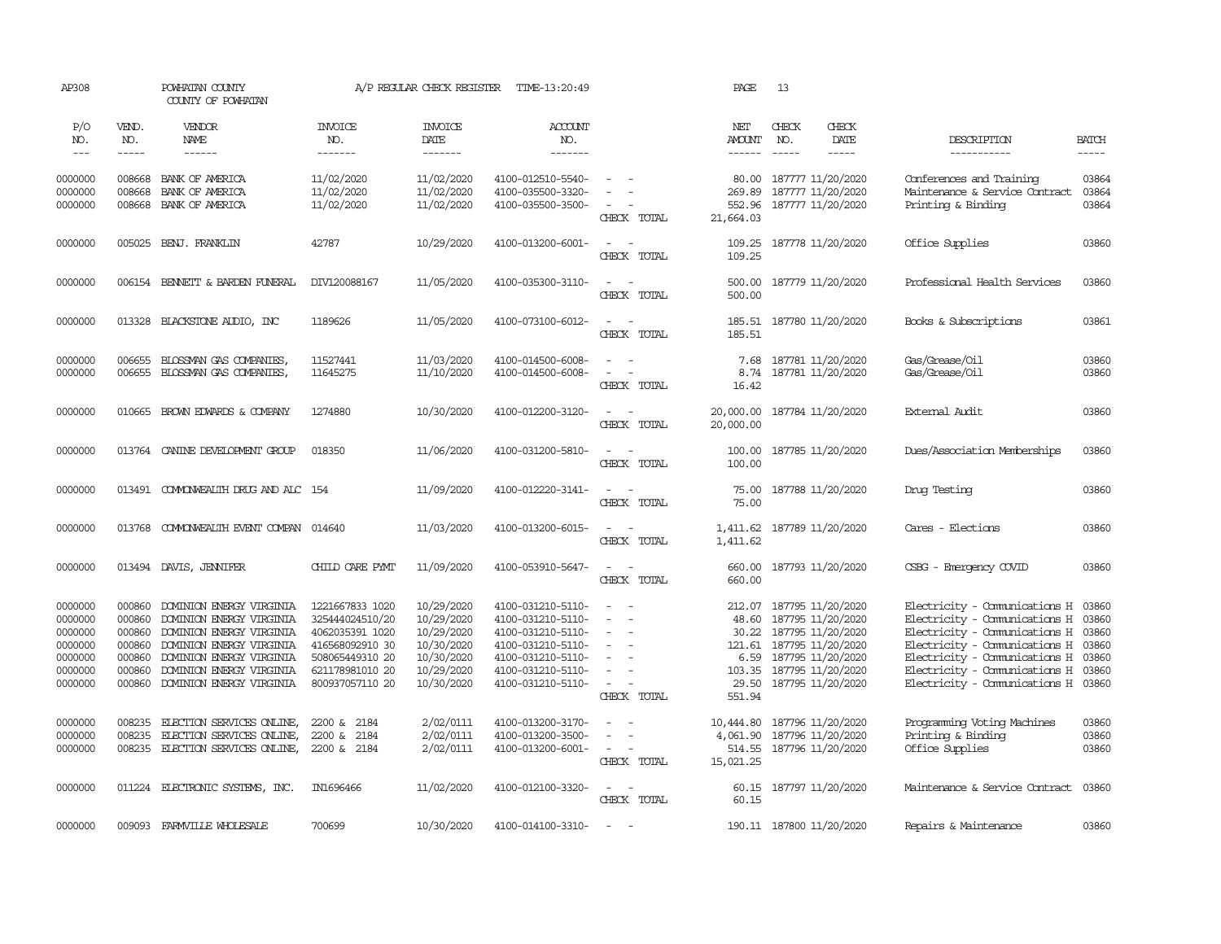| AP308                                                                     |                                                                    | POWHATAN COUNTY<br>COUNTY OF POWHATAN                                                                                                                                                            |                                                                                                                                   | A/P REGULAR CHECK REGISTER                                                                     | TIME-13:20:49                                                                                                                                   |                                                                                                                                                                                                                     | PAGE                                   | 13                                                                                                                                                                             |                                                                                                                                                                                                                                                                         |                         |
|---------------------------------------------------------------------------|--------------------------------------------------------------------|--------------------------------------------------------------------------------------------------------------------------------------------------------------------------------------------------|-----------------------------------------------------------------------------------------------------------------------------------|------------------------------------------------------------------------------------------------|-------------------------------------------------------------------------------------------------------------------------------------------------|---------------------------------------------------------------------------------------------------------------------------------------------------------------------------------------------------------------------|----------------------------------------|--------------------------------------------------------------------------------------------------------------------------------------------------------------------------------|-------------------------------------------------------------------------------------------------------------------------------------------------------------------------------------------------------------------------------------------------------------------------|-------------------------|
| P/O<br>NO.<br>$\qquad \qquad -$                                           | VEND.<br>NO.<br>-----                                              | VENDOR<br><b>NAME</b>                                                                                                                                                                            | <b>INVOICE</b><br>NO.<br>-------                                                                                                  | <b>INVOICE</b><br>DATE<br>--------                                                             | <b>ACCOUNT</b><br>NO.<br>-------                                                                                                                |                                                                                                                                                                                                                     | NET<br>AMOUNT<br>------                | CHECK<br>CHECK<br>DATE<br>NO.<br>-----                                                                                                                                         | DESCRIPTION<br>-----------                                                                                                                                                                                                                                              | <b>BATCH</b><br>-----   |
| 0000000<br>0000000<br>0000000                                             | 008668<br>008668<br>008668                                         | BANK OF AMERICA<br>BANK OF AMERICA<br>BANK OF AMERICA                                                                                                                                            | 11/02/2020<br>11/02/2020<br>11/02/2020                                                                                            | 11/02/2020<br>11/02/2020<br>11/02/2020                                                         | 4100-012510-5540-<br>4100-035500-3320-<br>4100-035500-3500-                                                                                     | $\overline{\phantom{a}}$<br>CHECK TOTAL                                                                                                                                                                             | 80.00<br>269.89<br>552.96<br>21,664.03 | 187777 11/20/2020<br>187777 11/20/2020<br>187777 11/20/2020                                                                                                                    | Conferences and Training<br>Maintenance & Service Contract<br>Printing & Binding                                                                                                                                                                                        | 03864<br>03864<br>03864 |
| 0000000                                                                   |                                                                    | 005025 BENJ. FRANKLIN                                                                                                                                                                            | 42787                                                                                                                             | 10/29/2020                                                                                     | 4100-013200-6001-                                                                                                                               | $\sim$ $\sim$<br>CHECK TOTAL                                                                                                                                                                                        | 109.25                                 | 109.25 187778 11/20/2020                                                                                                                                                       | Office Supplies                                                                                                                                                                                                                                                         | 03860                   |
| 0000000                                                                   |                                                                    | 006154 BENNETT & BARDEN FUNERAL                                                                                                                                                                  | DIV120088167                                                                                                                      | 11/05/2020                                                                                     | 4100-035300-3110-                                                                                                                               | $ -$<br>CHECK TOTAL                                                                                                                                                                                                 | 500.00<br>500.00                       | 187779 11/20/2020                                                                                                                                                              | Professional Health Services                                                                                                                                                                                                                                            | 03860                   |
| 0000000                                                                   |                                                                    | 013328 BLACKSTONE AUDIO, INC                                                                                                                                                                     | 1189626                                                                                                                           | 11/05/2020                                                                                     | 4100-073100-6012-                                                                                                                               | $\overline{\phantom{a}}$<br>$\sim$<br>CHECK TOTAL                                                                                                                                                                   | 185.51<br>185.51                       | 187780 11/20/2020                                                                                                                                                              | Books & Subscriptions                                                                                                                                                                                                                                                   | 03861                   |
| 0000000<br>0000000                                                        | 006655<br>006655                                                   | BLOSSMAN GAS COMPANIES,<br>BLOSSMAN GAS COMPANIES,                                                                                                                                               | 11527441<br>11645275                                                                                                              | 11/03/2020<br>11/10/2020                                                                       | 4100-014500-6008-<br>4100-014500-6008-                                                                                                          | $\sim$<br>$\sim$<br>$\sim$<br>$\sim$<br>CHECK TOTAL                                                                                                                                                                 | 7.68<br>16.42                          | 187781 11/20/2020<br>8.74 187781 11/20/2020                                                                                                                                    | Gas/Grease/Oil<br>Gas/Grease/Oil                                                                                                                                                                                                                                        | 03860<br>03860          |
| 0000000                                                                   |                                                                    | 010665 BROWN EDWARDS & COMPANY                                                                                                                                                                   | 1274880                                                                                                                           | 10/30/2020                                                                                     | 4100-012200-3120-                                                                                                                               | $\sim$<br>$\sim$<br>CHECK TOTAL                                                                                                                                                                                     | 20,000.00<br>20,000.00                 | 187784 11/20/2020                                                                                                                                                              | External Audit                                                                                                                                                                                                                                                          | 03860                   |
| 0000000                                                                   |                                                                    | 013764 CANINE DEVELOPMENT GROUP                                                                                                                                                                  | 018350                                                                                                                            | 11/06/2020                                                                                     | 4100-031200-5810-                                                                                                                               | $\sim$<br>$\sim$<br>CHECK TOTAL                                                                                                                                                                                     | 100.00<br>100.00                       | 187785 11/20/2020                                                                                                                                                              | Dues/Association Memberships                                                                                                                                                                                                                                            | 03860                   |
| 0000000                                                                   |                                                                    | 013491 COMONWEALTH DRUG AND ALC 154                                                                                                                                                              |                                                                                                                                   | 11/09/2020                                                                                     | 4100-012220-3141-                                                                                                                               | $\overline{\phantom{a}}$<br>$\sim$<br>CHECK TOTAL                                                                                                                                                                   | 75.00<br>75.00                         | 187788 11/20/2020                                                                                                                                                              | Drug Testing                                                                                                                                                                                                                                                            | 03860                   |
| 0000000                                                                   |                                                                    | 013768 COMMONWEALTH EVENT COMPAN 014640                                                                                                                                                          |                                                                                                                                   | 11/03/2020                                                                                     | 4100-013200-6015-                                                                                                                               | $\sim$<br>$\sim$<br>CHECK TOTAL                                                                                                                                                                                     | 1,411.62                               | 1,411.62 187789 11/20/2020                                                                                                                                                     | Cares - Elections                                                                                                                                                                                                                                                       | 03860                   |
| 0000000                                                                   |                                                                    | 013494 DAVIS, JENNIFER                                                                                                                                                                           | CHILD CARE PYMT                                                                                                                   | 11/09/2020                                                                                     | 4100-053910-5647-                                                                                                                               | $\sim$<br>$\sim$<br>CHECK TOTAL                                                                                                                                                                                     | 660.00                                 | 660.00 187793 11/20/2020                                                                                                                                                       | CSBG - Emergency COVID                                                                                                                                                                                                                                                  | 03860                   |
| 0000000<br>0000000<br>0000000<br>0000000<br>0000000<br>0000000<br>0000000 | 000860<br>000860<br>000860<br>000860<br>000860<br>000860<br>000860 | DOMINION ENERGY VIRGINIA<br>DOMINION ENERGY VIRGINIA<br>DOMINION ENERGY VIRGINIA<br>DOMINION ENERGY VIRGINIA<br>DOMINION ENERGY VIRGINIA<br>DOMINION ENERGY VIRGINIA<br>DOMINION ENERGY VIRGINIA | 1221667833 1020<br>325444024510/20<br>4062035391 1020<br>416568092910 30<br>508065449310 20<br>621178981010 20<br>800937057110 20 | 10/29/2020<br>10/29/2020<br>10/29/2020<br>10/30/2020<br>10/30/2020<br>10/29/2020<br>10/30/2020 | 4100-031210-5110-<br>4100-031210-5110-<br>4100-031210-5110-<br>4100-031210-5110-<br>4100-031210-5110-<br>4100-031210-5110-<br>4100-031210-5110- | $\sim$<br>$\sim$<br>$\sim$<br>$\sim$<br>$\overline{\phantom{a}}$<br>$\overline{\phantom{a}}$<br>$\sim$<br>$\overline{\phantom{a}}$<br>$\overline{\phantom{a}}$<br>$\sim$<br>$\overline{\phantom{a}}$<br>CHECK TOTAL | 212.07<br>30.22<br>551.94              | 187795 11/20/2020<br>48.60 187795 11/20/2020<br>187795 11/20/2020<br>121.61 187795 11/20/2020<br>6.59 187795 11/20/2020<br>103.35 187795 11/20/2020<br>29.50 187795 11/20/2020 | Electricity - Comunications H<br>Electricity - Comunications H 03860<br>Electricity - Comunications H 03860<br>Electricity - Comunications H 03860<br>Electricity - Comunications H 03860<br>Electricity - Comunications H 03860<br>Electricity - Comunications H 03860 | 03860                   |
| 0000000<br>0000000<br>0000000                                             | 008235<br>008235                                                   | ELECTION SERVICES ONLINE,<br>ELECTION SERVICES ONLINE,<br>008235 ELECTION SERVICES ONLINE,                                                                                                       | 2200 & 2184<br>2200 & 2184<br>2200 & 2184                                                                                         | 2/02/0111<br>2/02/0111<br>2/02/0111                                                            | 4100-013200-3170-<br>4100-013200-3500-<br>4100-013200-6001-                                                                                     | $\sim$<br>$\overline{\phantom{a}}$<br>CHECK TOTAL                                                                                                                                                                   | 10,444.80<br>15,021.25                 | 187796 11/20/2020<br>4,061.90 187796 11/20/2020<br>514.55 187796 11/20/2020                                                                                                    | Programming Voting Machines<br>Printing & Binding<br>Office Supplies                                                                                                                                                                                                    | 03860<br>03860<br>03860 |
| 0000000                                                                   |                                                                    | 011224 ELECTRONIC SYSTEMS, INC.                                                                                                                                                                  | IN1696466                                                                                                                         | 11/02/2020                                                                                     | 4100-012100-3320-                                                                                                                               | $\sim$ $ -$<br>CHECK TOTAL                                                                                                                                                                                          | 60.15                                  | 60.15 187797 11/20/2020                                                                                                                                                        | Maintenance & Service Contract                                                                                                                                                                                                                                          | 03860                   |
| 0000000                                                                   |                                                                    | 009093 FARMVILLE WHOLESALE                                                                                                                                                                       | 700699                                                                                                                            | 10/30/2020                                                                                     | 4100-014100-3310-                                                                                                                               | $\sim$                                                                                                                                                                                                              |                                        | 190.11 187800 11/20/2020                                                                                                                                                       | Repairs & Maintenance                                                                                                                                                                                                                                                   | 03860                   |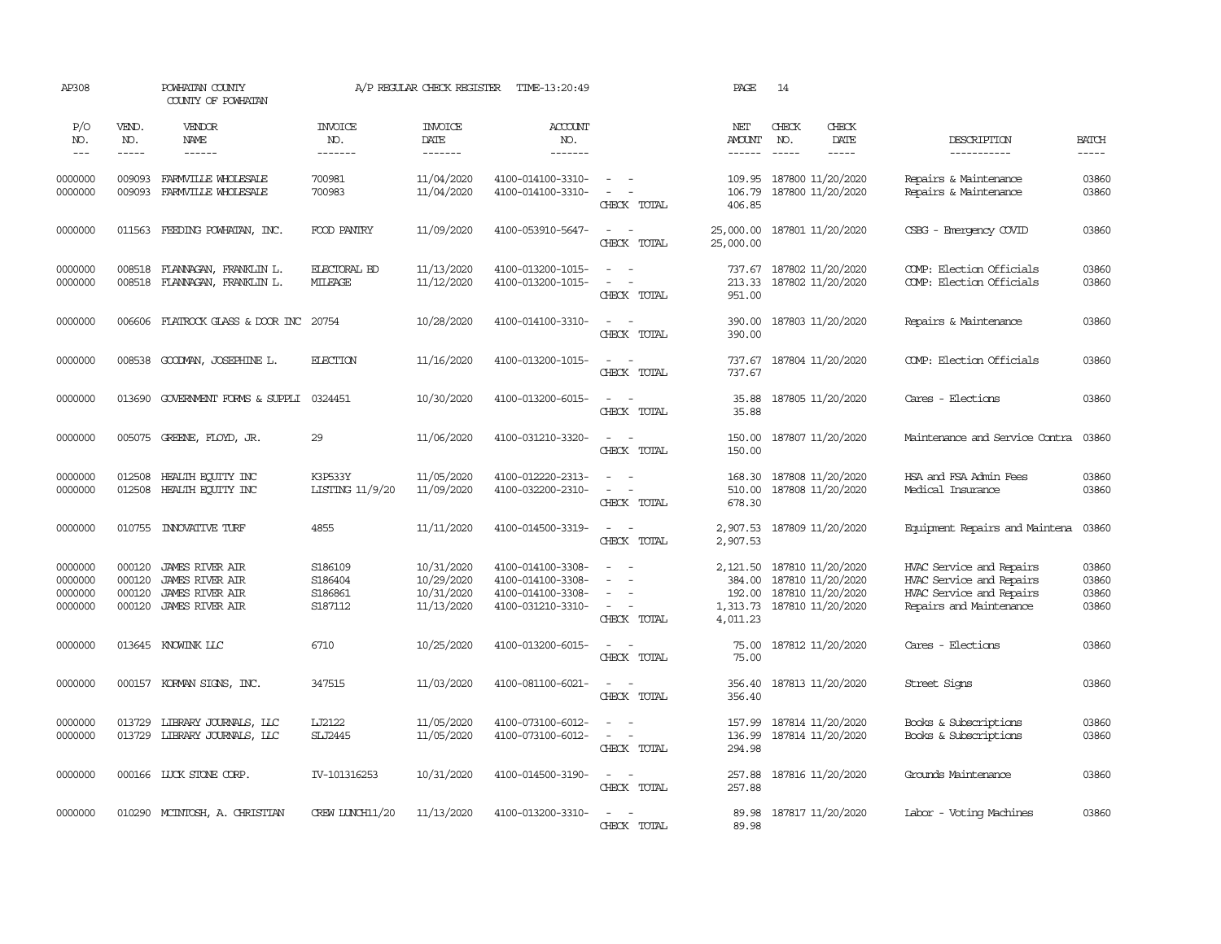| AP308                                    |                                      | POWHATAN COUNTY<br>COUNTY OF POWHATAN                                                                |                                          | A/P REGULAR CHECK REGISTER                           | TIME-13:20:49                                                                    |                                                                                                                                                                       | PAGE                                                         | 14                                                                 |                              |                                                                                                             |                                  |
|------------------------------------------|--------------------------------------|------------------------------------------------------------------------------------------------------|------------------------------------------|------------------------------------------------------|----------------------------------------------------------------------------------|-----------------------------------------------------------------------------------------------------------------------------------------------------------------------|--------------------------------------------------------------|--------------------------------------------------------------------|------------------------------|-------------------------------------------------------------------------------------------------------------|----------------------------------|
| P/O<br>NO.<br>$---$                      | VEND.<br>NO.<br>-----                | VENDOR<br>NAME<br>$- - - - - -$                                                                      | <b>INVOICE</b><br>NO.<br>-------         | <b>INVOICE</b><br>DATE<br>--------                   | ACCOUNT<br>NO.<br>-------                                                        |                                                                                                                                                                       | NET<br>AMOUNT<br>$- - - - - -$                               | CHECK<br>NO.<br>$\frac{1}{2}$                                      | CHECK<br>DATE<br>$- - - - -$ | DESCRIPTION<br>------------                                                                                 | <b>BATCH</b><br>$\frac{1}{2}$    |
| 0000000<br>0000000                       | 009093<br>009093                     | FARMVILLE WHOLESALE<br>FARMVILLE WHOLESALE                                                           | 700981<br>700983                         | 11/04/2020<br>11/04/2020                             | 4100-014100-3310-<br>4100-014100-3310-                                           | $\sim$ $ \sim$<br>$\sim$<br>$\sim$<br>CHECK TOTAL                                                                                                                     | 109.95<br>106.79<br>406.85                                   | 187800 11/20/2020<br>187800 11/20/2020                             |                              | Repairs & Maintenance<br>Repairs & Maintenance                                                              | 03860<br>03860                   |
| 0000000                                  | 011563                               | FEEDING POWHATAN, INC.                                                                               | FOOD PANTRY                              | 11/09/2020                                           | 4100-053910-5647-                                                                | $\sim$<br>$\sim$<br>CHECK TOTAL                                                                                                                                       | 25,000.00<br>25,000.00                                       | 187801 11/20/2020                                                  |                              | CSBG - Emergency COVID                                                                                      | 03860                            |
| 0000000<br>0000000                       | 008518<br>008518                     | FLANNAGAN, FRANKLIN L.<br>FLANNAGAN, FRANKLIN L.                                                     | <b>ELECTORAL BD</b><br>MILEAGE           | 11/13/2020<br>11/12/2020                             | 4100-013200-1015-<br>4100-013200-1015-                                           | $\sim$<br>$\sim$<br>$\sim$<br>CHECK TOTAL                                                                                                                             | 737.67<br>213.33<br>951.00                                   | 187802 11/20/2020<br>187802 11/20/2020                             |                              | COMP: Election Officials<br>COMP: Election Officials                                                        | 03860<br>03860                   |
| 0000000                                  | 006606                               | FLATROCK GLASS & DOOR INC                                                                            | 20754                                    | 10/28/2020                                           | 4100-014100-3310-                                                                | $\overline{\phantom{a}}$<br>$\sim$<br>CHECK TOTAL                                                                                                                     | 390.00<br>390.00                                             | 187803 11/20/2020                                                  |                              | Repairs & Maintenance                                                                                       | 03860                            |
| 0000000                                  | 008538                               | GOODMAN, JOSEPHINE L.                                                                                | <b>ELECTION</b>                          | 11/16/2020                                           | 4100-013200-1015-                                                                | $\sim$<br>$\sim$<br>CHECK TOTAL                                                                                                                                       | 737.67<br>737.67                                             | 187804 11/20/2020                                                  |                              | COMP: Election Officials                                                                                    | 03860                            |
| 0000000                                  | 013690                               | GOVERNMENT FORMS & SUPPLI                                                                            | 0324451                                  | 10/30/2020                                           | 4100-013200-6015-                                                                | $\sim$<br>$\sim$<br>CHECK TOTAL                                                                                                                                       | 35.88<br>35.88                                               | 187805 11/20/2020                                                  |                              | Cares - Elections                                                                                           | 03860                            |
| 0000000                                  |                                      | 005075 GREENE, FLOYD, JR.                                                                            | 29                                       | 11/06/2020                                           | 4100-031210-3320-                                                                | $\sim$ $ \sim$<br>CHECK TOTAL                                                                                                                                         | 150.00<br>150.00                                             | 187807 11/20/2020                                                  |                              | Maintenance and Service Contra                                                                              | 03860                            |
| 0000000<br>0000000                       | 012508<br>012508                     | HEALTH EQUITY INC<br>HEALTH ECUTTY INC                                                               | K3P533Y<br><b>LISTING 11/9/20</b>        | 11/05/2020<br>11/09/2020                             | 4100-012220-2313-<br>4100-032200-2310-                                           | $\sim$<br>$\sim$<br>$\sim$<br>$\sim$<br>CHECK TOTAL                                                                                                                   | 168.30<br>510.00<br>678.30                                   | 187808 11/20/2020<br>187808 11/20/2020                             |                              | HSA and FSA Admin Fees<br>Medical Insurance                                                                 | 03860<br>03860                   |
| 0000000                                  |                                      | 010755 INNOVATIVE TURF                                                                               | 4855                                     | 11/11/2020                                           | 4100-014500-3319-                                                                | $\sim$<br>$\sim$ $-$<br>CHECK TOTAL                                                                                                                                   | 2,907.53<br>2,907.53                                         | 187809 11/20/2020                                                  |                              | Equipment Repairs and Maintena                                                                              | 03860                            |
| 0000000<br>0000000<br>0000000<br>0000000 | 000120<br>000120<br>000120<br>000120 | <b>JAMES RIVER AIR</b><br><b>JAMES RIVER AIR</b><br><b>JAMES RIVER AIR</b><br><b>JAMES RIVER AIR</b> | S186109<br>S186404<br>S186861<br>S187112 | 10/31/2020<br>10/29/2020<br>10/31/2020<br>11/13/2020 | 4100-014100-3308-<br>4100-014100-3308-<br>4100-014100-3308-<br>4100-031210-3310- | $\frac{1}{2} \left( \frac{1}{2} \right) \left( \frac{1}{2} \right) = \frac{1}{2} \left( \frac{1}{2} \right)$<br>$\sim$<br>$\equiv$<br>$\sim$<br>$\sim$<br>CHECK TOTAL | 2,121.50 187810 11/20/2020<br>384.00<br>1,313.73<br>4,011.23 | 187810 11/20/2020<br>192.00 187810 11/20/2020<br>187810 11/20/2020 |                              | HVAC Service and Repairs<br>HVAC Service and Repairs<br>HVAC Service and Repairs<br>Repairs and Maintenance | 03860<br>03860<br>03860<br>03860 |
| 0000000                                  |                                      | 013645 KNOWINK LLC                                                                                   | 6710                                     | 10/25/2020                                           | 4100-013200-6015-                                                                | $\sim$ $ \sim$<br>CHECK TOTAL                                                                                                                                         | 75.00<br>75.00                                               | 187812 11/20/2020                                                  |                              | Cares - Elections                                                                                           | 03860                            |
| 0000000                                  |                                      | 000157 KORMAN SIGNS, INC.                                                                            | 347515                                   | 11/03/2020                                           | 4100-081100-6021-                                                                | $\sim$<br>$\sim$<br>CHECK TOTAL                                                                                                                                       | 356.40<br>356.40                                             | 187813 11/20/2020                                                  |                              | Street Signs                                                                                                | 03860                            |
| 0000000<br>0000000                       | 013729<br>013729                     | LIBRARY JOURNALS, LLC<br>LIBRARY JOURNALS, LLC                                                       | LJ2122<br><b>SLJ2445</b>                 | 11/05/2020<br>11/05/2020                             | 4100-073100-6012-<br>4100-073100-6012-                                           | $\equiv$<br>$\sim$<br>$\frac{1}{2} \left( \frac{1}{2} \right) \left( \frac{1}{2} \right) = \frac{1}{2} \left( \frac{1}{2} \right)$<br>CHECK TOTAL                     | 157.99<br>136.99<br>294.98                                   | 187814 11/20/2020<br>187814 11/20/2020                             |                              | Books & Subscriptions<br>Books & Subscriptions                                                              | 03860<br>03860                   |
| 0000000                                  |                                      | 000166 LUCK STONE CORP.                                                                              | IV-101316253                             | 10/31/2020                                           | 4100-014500-3190-                                                                | $\sim$ $\sim$<br>CHECK TOTAL                                                                                                                                          | 257.88<br>257.88                                             | 187816 11/20/2020                                                  |                              | Grounds Maintenance                                                                                         | 03860                            |
| 0000000                                  |                                      | 010290 MCINTOSH, A. CHRISTIAN                                                                        | CREW LUNCH11/20                          | 11/13/2020                                           | 4100-013200-3310-                                                                | $\overline{a}$<br>$\sim$<br>CHECK TOTAL                                                                                                                               | 89.98<br>89.98                                               | 187817 11/20/2020                                                  |                              | Labor - Voting Machines                                                                                     | 03860                            |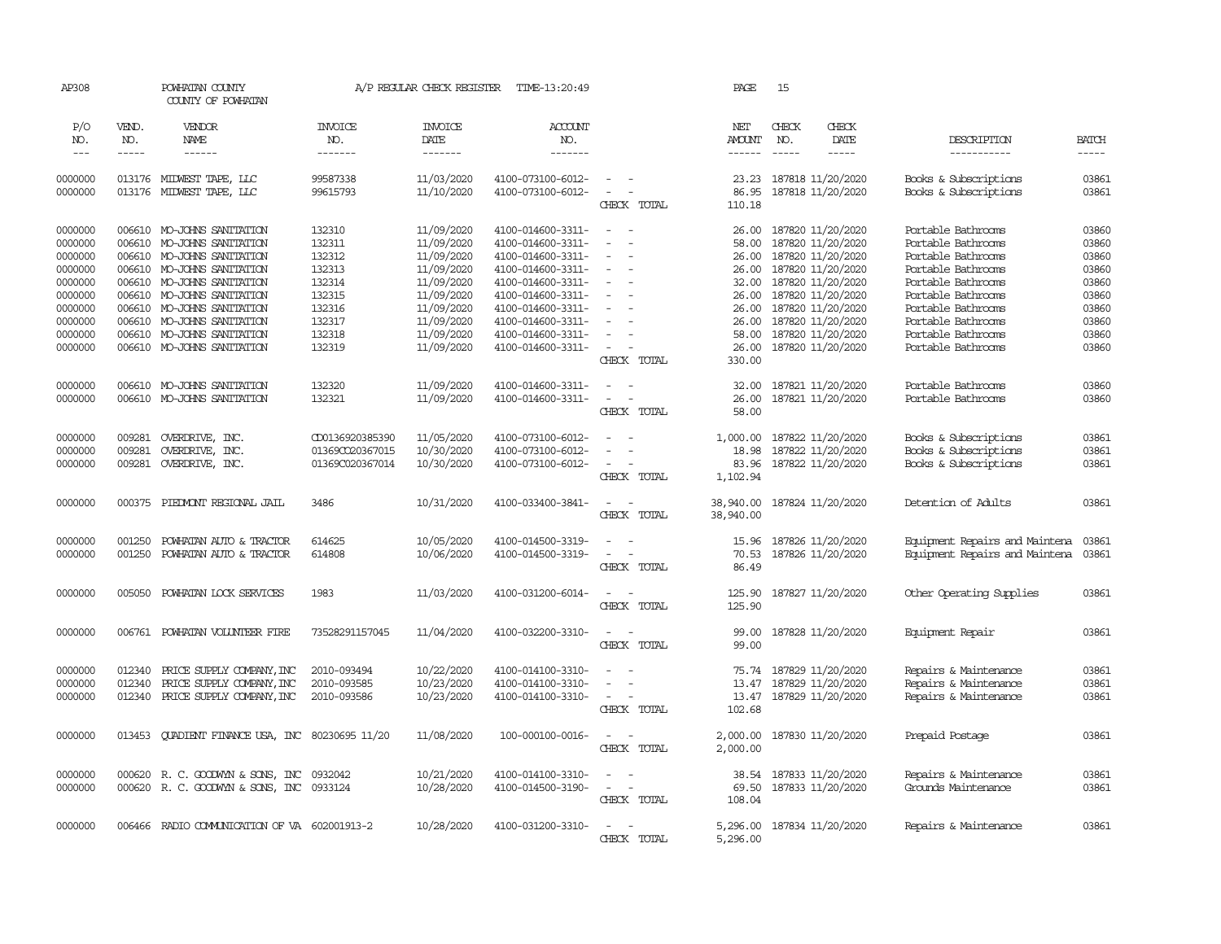| AP308              |              | POWHATAN COUNTY<br>COUNTY OF POWHATAN           |                       | A/P REGULAR CHECK REGISTER | TIME-13:20:49                          |                                                                                                              | PAGE                 | 15                                     |               |                                                |                |
|--------------------|--------------|-------------------------------------------------|-----------------------|----------------------------|----------------------------------------|--------------------------------------------------------------------------------------------------------------|----------------------|----------------------------------------|---------------|------------------------------------------------|----------------|
| P/O<br>NO.         | VEND.<br>NO. | VENDOR<br>NAME                                  | <b>INVOICE</b><br>NO. | <b>INVOICE</b><br>DATE     | <b>ACCOUNT</b><br>NO.                  |                                                                                                              | NET<br><b>AMOUNT</b> | CHECK<br>NO.                           | CHECK<br>DATE | DESCRIPTION                                    | <b>BATCH</b>   |
| $---$              | $- - - - -$  | ------                                          | -------               | --------                   | -------                                |                                                                                                              | $- - - - - -$        | $\frac{1}{2}$                          | -----         | -----------                                    | $\frac{1}{2}$  |
| 0000000<br>0000000 | 013176       | 013176 MIDWEST TAPE, LLC<br>MIDWEST TAPE, LLC   | 99587338<br>99615793  | 11/03/2020<br>11/10/2020   | 4100-073100-6012-<br>4100-073100-6012- | $\equiv$<br>$\equiv$<br>$\overline{\phantom{a}}$                                                             | 23.23<br>86.95       | 187818 11/20/2020<br>187818 11/20/2020 |               | Books & Subscriptions<br>Books & Subscriptions | 03861<br>03861 |
|                    |              |                                                 |                       |                            |                                        | CHECK TOTAL                                                                                                  | 110.18               |                                        |               |                                                |                |
| 0000000            | 006610       | MO-JOHNS SANITATION                             | 132310                | 11/09/2020                 | 4100-014600-3311-                      | $\sim$<br>- -                                                                                                | 26.00                | 187820 11/20/2020                      |               | Portable Bathrooms                             | 03860          |
| 0000000            | 006610       | MO-JOHNS SANITATION                             | 132311                | 11/09/2020                 | 4100-014600-3311-                      | $\overline{\phantom{a}}$                                                                                     | 58.00                | 187820 11/20/2020                      |               | Portable Bathrooms                             | 03860          |
| 0000000            | 006610       | MO-JOHNS SANITATION                             | 132312                | 11/09/2020                 | 4100-014600-3311-                      | $\equiv$                                                                                                     | 26.00                | 187820 11/20/2020                      |               | Portable Bathrooms                             | 03860          |
| 0000000            | 006610       | MO-JOHNS SANITATION                             | 132313                | 11/09/2020                 | 4100-014600-3311-                      |                                                                                                              | 26.00                | 187820 11/20/2020                      |               | Portable Bathrooms                             | 03860          |
| 0000000            |              | 006610 MO-JOHNS SANITATION                      | 132314                | 11/09/2020                 | 4100-014600-3311-                      |                                                                                                              | 32.00                | 187820 11/20/2020                      |               | Portable Bathrooms                             | 03860          |
| 0000000            | 006610       | MO-JOHNS SANITATION                             | 132315                | 11/09/2020                 | 4100-014600-3311-                      |                                                                                                              | 26.00                | 187820 11/20/2020                      |               | Portable Bathrooms                             | 03860          |
|                    | 006610       |                                                 |                       |                            |                                        | $\sim$                                                                                                       |                      |                                        |               |                                                |                |
| 0000000            |              | MO-JOHNS SANITATION                             | 132316                | 11/09/2020                 | 4100-014600-3311-                      |                                                                                                              | 26.00                | 187820 11/20/2020                      |               | Portable Bathrooms                             | 03860          |
| 0000000            | 006610       | MO-JOHNS SANITATION                             | 132317                | 11/09/2020                 | 4100-014600-3311-                      |                                                                                                              | 26.00                | 187820 11/20/2020                      |               | Portable Bathrooms                             | 03860          |
| 0000000            | 006610       | MO-JOHNS SANITATION                             | 132318                | 11/09/2020                 | 4100-014600-3311-                      | $\overline{\phantom{a}}$                                                                                     | 58.00                | 187820 11/20/2020                      |               | Portable Bathrooms                             | 03860          |
| 0000000            | 006610       | MO-JOHNS SANITATION                             | 132319                | 11/09/2020                 | 4100-014600-3311-                      | $\sim$                                                                                                       | 26.00                | 187820 11/20/2020                      |               | Portable Bathrooms                             | 03860          |
|                    |              |                                                 |                       |                            |                                        | CHECK TOTAL                                                                                                  | 330.00               |                                        |               |                                                |                |
| 0000000            |              | 006610 MO-JOHNS SANITATION                      | 132320                | 11/09/2020                 | 4100-014600-3311-                      | $\omega_{\rm{max}}$ and $\omega_{\rm{max}}$                                                                  | 32.00                | 187821 11/20/2020                      |               | Portable Bathrooms                             | 03860          |
| 0000000            | 006610       | MO-JOHNS SANITATION                             | 132321                | 11/09/2020                 | 4100-014600-3311-                      | $\equiv$<br>$\overline{\phantom{a}}$                                                                         | 26.00                | 187821 11/20/2020                      |               | Portable Bathrooms                             | 03860          |
|                    |              |                                                 |                       |                            |                                        | CHECK TOTAL                                                                                                  | 58.00                |                                        |               |                                                |                |
| 0000000            | 009281       | OVERDRIVE, INC.                                 | CD0136920385390       | 11/05/2020                 | 4100-073100-6012-                      | $\sim$                                                                                                       | 1,000.00             | 187822 11/20/2020                      |               | Books & Subscriptions                          | 03861          |
| 0000000            | 009281       | OVERDRIVE, INC.                                 | 01369CO20367015       | 10/30/2020                 | 4100-073100-6012-                      | $\sim$                                                                                                       | 18.98                | 187822 11/20/2020                      |               | Books & Subscriptions                          | 03861          |
| 0000000            | 009281       | OVERDRIVE, INC.                                 | 01369C020367014       | 10/30/2020                 | 4100-073100-6012-                      | $\sim$ $ \sim$                                                                                               | 83.96                | 187822 11/20/2020                      |               | Books & Subscriptions                          | 03861          |
|                    |              |                                                 |                       |                            |                                        | CHECK TOTAL                                                                                                  | 1,102.94             |                                        |               |                                                |                |
| 0000000            | 000375       | PIEDMONT REGIONAL JAIL                          | 3486                  | 10/31/2020                 | 4100-033400-3841-                      | $\overline{\phantom{a}}$<br>$\sim$                                                                           | 38,940.00            | 187824 11/20/2020                      |               | Detention of Adults                            | 03861          |
|                    |              |                                                 |                       |                            |                                        | CHECK TOTAL                                                                                                  | 38,940.00            |                                        |               |                                                |                |
| 0000000            | 001250       | POWHATAN AUTO & TRACTOR                         | 614625                | 10/05/2020                 | 4100-014500-3319-                      | $\sim$                                                                                                       | 15.96                | 187826 11/20/2020                      |               | Equipment Repairs and Maintena                 | 03861          |
| 0000000            | 001250       | POWHATAN AUTO & TRACTOR                         | 614808                | 10/06/2020                 | 4100-014500-3319-                      | $\sim$                                                                                                       | 70.53                | 187826 11/20/2020                      |               | Equipment Repairs and Maintena                 | 03861          |
|                    |              |                                                 |                       |                            |                                        | CHECK TOTAL                                                                                                  | 86.49                |                                        |               |                                                |                |
| 0000000            | 005050       | POWHATAN LOCK SERVICES                          | 1983                  | 11/03/2020                 | 4100-031200-6014-                      | $\sim$<br>$\sim$                                                                                             | 125.90               | 187827 11/20/2020                      |               | Other Operating Supplies                       | 03861          |
|                    |              |                                                 |                       |                            |                                        | CHECK TOTAL                                                                                                  | 125.90               |                                        |               |                                                |                |
| 0000000            |              | 006761 POWHATAN VOLUNTEER FIRE                  | 73528291157045        | 11/04/2020                 | 4100-032200-3310-                      | $\sim$<br>$\sim$                                                                                             | 99.00                | 187828 11/20/2020                      |               | Equipment Repair                               | 03861          |
|                    |              |                                                 |                       |                            |                                        | CHECK TOTAL                                                                                                  | 99.00                |                                        |               |                                                |                |
| 0000000            | 012340       | PRICE SUPPLY COMPANY, INC                       | 2010-093494           | 10/22/2020                 | 4100-014100-3310-                      | $\sim$                                                                                                       | 75.74                | 187829 11/20/2020                      |               | Repairs & Maintenance                          | 03861          |
| 0000000            | 012340       | PRICE SUPPLY COMPANY, INC                       | 2010-093585           | 10/23/2020                 | 4100-014100-3310-                      | $\equiv$                                                                                                     | 13.47                | 187829 11/20/2020                      |               | Repairs & Maintenance                          | 03861          |
| 0000000            | 012340       | PRICE SUPPLY COMPANY, INC                       | 2010-093586           | 10/23/2020                 | 4100-014100-3310-                      | $\overline{\phantom{a}}$                                                                                     | 13.47                | 187829 11/20/2020                      |               | Repairs & Maintenance                          | 03861          |
|                    |              |                                                 |                       |                            |                                        | CHECK TOTAL                                                                                                  | 102.68               |                                        |               |                                                |                |
|                    |              |                                                 |                       |                            |                                        |                                                                                                              |                      |                                        |               |                                                |                |
| 0000000            | 013453       | <b>OUADIENT FINANCE USA, INC 80230695 11/20</b> |                       | 11/08/2020                 | 100-000100-0016-                       | $\sim$<br>$\sim$ $-$                                                                                         | 2,000.00             | 187830 11/20/2020                      |               | Prepaid Postage                                | 03861          |
|                    |              |                                                 |                       |                            |                                        | CHECK TOTAL                                                                                                  | 2,000.00             |                                        |               |                                                |                |
| 0000000            |              | 000620 R. C. GOODWYN & SONS, INC                | 0932042               | 10/21/2020                 | 4100-014100-3310-                      |                                                                                                              | 38.54                | 187833 11/20/2020                      |               | Repairs & Maintenance                          | 03861          |
| 0000000            |              | 000620 R. C. GOODWYN & SONS, INC 0933124        |                       | 10/28/2020                 | 4100-014500-3190-                      | $\sim$<br>$\sim$                                                                                             | 69.50                | 187833 11/20/2020                      |               | Grands Maintenance                             | 03861          |
|                    |              |                                                 |                       |                            |                                        | CHECK TOTAL                                                                                                  | 108.04               |                                        |               |                                                |                |
| 0000000            |              | 006466 RADIO COMMUNICATION OF VA 602001913-2    |                       | 10/28/2020                 | 4100-031200-3310-                      | $\frac{1}{2} \left( \frac{1}{2} \right) \left( \frac{1}{2} \right) = \frac{1}{2} \left( \frac{1}{2} \right)$ | 5,296.00             | 187834 11/20/2020                      |               | Repairs & Maintenance                          | 03861          |
|                    |              |                                                 |                       |                            |                                        | CHECK TOTAL                                                                                                  | 5,296.00             |                                        |               |                                                |                |
|                    |              |                                                 |                       |                            |                                        |                                                                                                              |                      |                                        |               |                                                |                |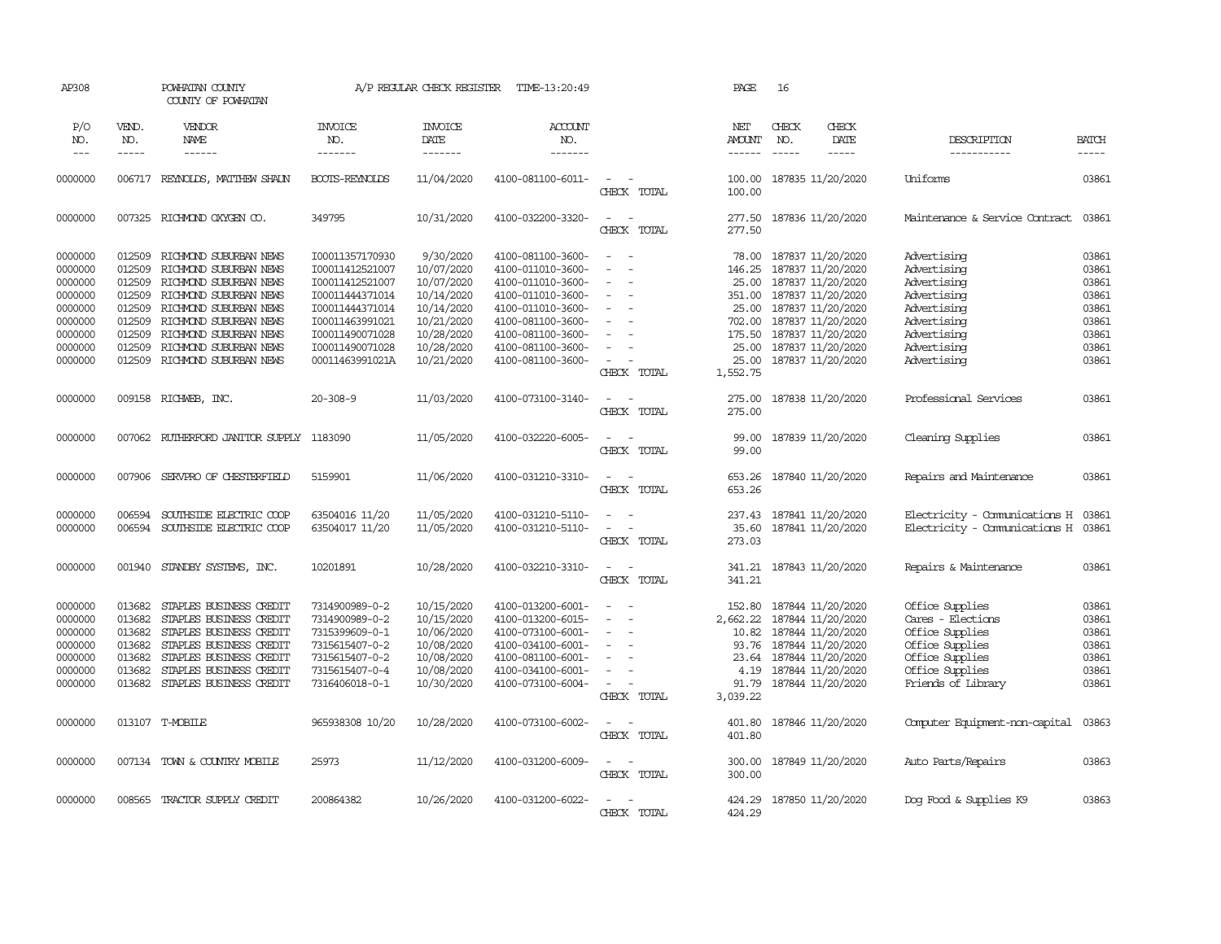| AP308                                                                     |                                                                    | POWHATAN COUNTY<br>COUNTY OF POWHATAN                                                                                                                                                     |                                                                                                                            | A/P REGULAR CHECK REGISTER                                                                     | TIME-13:20:49                                                                                                                                   |                                                                                                                                       | PAGE                                                                       | 16                                                                                                                                                                                                                                                                                                                                                                                                                                                                                                  |                                                                                                                                                 |                                                                                                                                        |                                                             |
|---------------------------------------------------------------------------|--------------------------------------------------------------------|-------------------------------------------------------------------------------------------------------------------------------------------------------------------------------------------|----------------------------------------------------------------------------------------------------------------------------|------------------------------------------------------------------------------------------------|-------------------------------------------------------------------------------------------------------------------------------------------------|---------------------------------------------------------------------------------------------------------------------------------------|----------------------------------------------------------------------------|-----------------------------------------------------------------------------------------------------------------------------------------------------------------------------------------------------------------------------------------------------------------------------------------------------------------------------------------------------------------------------------------------------------------------------------------------------------------------------------------------------|-------------------------------------------------------------------------------------------------------------------------------------------------|----------------------------------------------------------------------------------------------------------------------------------------|-------------------------------------------------------------|
| P/O<br>NO.<br>$\frac{1}{2}$                                               | VEND.<br>NO.<br>-----                                              | VENDOR<br>NAME<br>------                                                                                                                                                                  | <b>INVOICE</b><br>NO.<br>-------                                                                                           | <b>INVOICE</b><br>DATE<br>-------                                                              | <b>ACCOUNT</b><br>NO.<br>-------                                                                                                                |                                                                                                                                       | NET<br><b>AMOUNT</b><br>$- - - - - -$                                      | CHECK<br>NO.<br>$\begin{tabular}{ccccc} \multicolumn{2}{c}{} & \multicolumn{2}{c}{} & \multicolumn{2}{c}{} & \multicolumn{2}{c}{} & \multicolumn{2}{c}{} & \multicolumn{2}{c}{} & \multicolumn{2}{c}{} & \multicolumn{2}{c}{} & \multicolumn{2}{c}{} & \multicolumn{2}{c}{} & \multicolumn{2}{c}{} & \multicolumn{2}{c}{} & \multicolumn{2}{c}{} & \multicolumn{2}{c}{} & \multicolumn{2}{c}{} & \multicolumn{2}{c}{} & \multicolumn{2}{c}{} & \multicolumn{2}{c}{} & \multicolumn{2}{c}{} & \mult$ | CHECK<br>DATE<br>-----                                                                                                                          | DESCRIPTION<br>-----------                                                                                                             | <b>BATCH</b><br>$- - - - -$                                 |
| 0000000                                                                   |                                                                    | 006717 REYNOLDS, MATTHEW SHALN                                                                                                                                                            | BOOTS-REYNOLDS                                                                                                             | 11/04/2020                                                                                     | 4100-081100-6011-                                                                                                                               | $\sim$<br>$\sim$<br>CHECK TOTAL                                                                                                       | 100.00<br>100.00                                                           |                                                                                                                                                                                                                                                                                                                                                                                                                                                                                                     | 187835 11/20/2020                                                                                                                               | Uniforms                                                                                                                               | 03861                                                       |
| 0000000                                                                   |                                                                    | 007325 RICHMOND OXYGEN CO.                                                                                                                                                                | 349795                                                                                                                     | 10/31/2020                                                                                     | 4100-032200-3320-                                                                                                                               | $\sim$<br>$\sim$<br>CHECK TOTAL                                                                                                       | 277.50<br>277.50                                                           |                                                                                                                                                                                                                                                                                                                                                                                                                                                                                                     | 187836 11/20/2020                                                                                                                               | Maintenance & Service Contract                                                                                                         | 03861                                                       |
| 0000000<br>0000000<br>0000000<br>0000000<br>0000000                       | 012509<br>012509<br>012509<br>012509<br>012509                     | RICHMOND SUBURBAN NEWS<br>RICHMOND SUBURBAN NEWS<br>RICHMOND SUBURBAN NEWS<br>RICHMOND SUBURBAN NEWS<br>RICHMOND SUBURBAN NEWS                                                            | 100011357170930<br>I00011412521007<br>100011412521007<br>100011444371014<br>100011444371014                                | 9/30/2020<br>10/07/2020<br>10/07/2020<br>10/14/2020<br>10/14/2020                              | 4100-081100-3600-<br>4100-011010-3600-<br>4100-011010-3600-<br>4100-011010-3600-<br>4100-011010-3600-                                           | $\sim$<br>$\overline{\phantom{a}}$<br>$\sim$                                                                                          | 78.00<br>146.25<br>25.00<br>351.00<br>25.00                                |                                                                                                                                                                                                                                                                                                                                                                                                                                                                                                     | 187837 11/20/2020<br>187837 11/20/2020<br>187837 11/20/2020<br>187837 11/20/2020<br>187837 11/20/2020                                           | Advertising<br>Advertising<br>Advertising<br>Advertising<br>Advertising                                                                | 03861<br>03861<br>03861<br>03861<br>03861                   |
| 0000000<br>0000000<br>0000000<br>0000000                                  | 012509<br>012509<br>012509<br>012509                               | RICHMOND SUBURBAN NEWS<br>RICHMOND SUBURBAN NEWS<br>RICHMOND SUBURBAN NEWS<br>RICHMOND SUBURBAN NEWS                                                                                      | I00011463991021<br>I00011490071028<br>I00011490071028<br>00011463991021A                                                   | 10/21/2020<br>10/28/2020<br>10/28/2020<br>10/21/2020                                           | 4100-081100-3600-<br>4100-081100-3600-<br>4100-081100-3600-<br>4100-081100-3600-                                                                | $\sim$<br>$\overline{\phantom{a}}$<br>÷<br>$\sim$<br>CHECK TOTAL                                                                      | 702.00<br>175.50<br>25.00<br>25.00<br>1,552.75                             |                                                                                                                                                                                                                                                                                                                                                                                                                                                                                                     | 187837 11/20/2020<br>187837 11/20/2020<br>187837 11/20/2020<br>187837 11/20/2020                                                                | Advertising<br>Advertising<br>Advertising<br>Advertising                                                                               | 03861<br>03861<br>03861<br>03861                            |
| 0000000                                                                   |                                                                    | 009158 RICHWEB, INC.                                                                                                                                                                      | $20 - 308 - 9$                                                                                                             | 11/03/2020                                                                                     | 4100-073100-3140-                                                                                                                               | $\sim$<br>$\sim$<br>CHECK TOTAL                                                                                                       | 275.00<br>275.00                                                           |                                                                                                                                                                                                                                                                                                                                                                                                                                                                                                     | 187838 11/20/2020                                                                                                                               | Professional Services                                                                                                                  | 03861                                                       |
| 0000000                                                                   |                                                                    | 007062 RUTHERFORD JANITOR SUPPLY 1183090                                                                                                                                                  |                                                                                                                            | 11/05/2020                                                                                     | 4100-032220-6005-                                                                                                                               | $\overline{\phantom{a}}$<br>$\sim$<br>CHECK TOTAL                                                                                     | 99.00<br>99.00                                                             |                                                                                                                                                                                                                                                                                                                                                                                                                                                                                                     | 187839 11/20/2020                                                                                                                               | Cleaning Supplies                                                                                                                      | 03861                                                       |
| 0000000                                                                   | 007906                                                             | SERVPRO OF CHESTERFIELD                                                                                                                                                                   | 5159901                                                                                                                    | 11/06/2020                                                                                     | 4100-031210-3310-                                                                                                                               | $\sim$<br>$\sim$<br>CHECK TOTAL                                                                                                       | 653.26<br>653.26                                                           |                                                                                                                                                                                                                                                                                                                                                                                                                                                                                                     | 187840 11/20/2020                                                                                                                               | Repairs and Maintenance                                                                                                                | 03861                                                       |
| 0000000<br>0000000                                                        | 006594<br>006594                                                   | SOUTHSIDE ELECTRIC COOP<br>SOUTHSIDE ELECTRIC COOP                                                                                                                                        | 63504016 11/20<br>63504017 11/20                                                                                           | 11/05/2020<br>11/05/2020                                                                       | 4100-031210-5110-<br>4100-031210-5110-                                                                                                          | $\equiv$<br>$\sim$<br>$\sim$<br>CHECK TOTAL                                                                                           | 237.43<br>35.60<br>273.03                                                  |                                                                                                                                                                                                                                                                                                                                                                                                                                                                                                     | 187841 11/20/2020<br>187841 11/20/2020                                                                                                          | Electricity - Comunications H<br>Electricity - Comunications H                                                                         | 03861<br>03861                                              |
| 0000000                                                                   |                                                                    | 001940 STANDBY SYSTEMS, INC.                                                                                                                                                              | 10201891                                                                                                                   | 10/28/2020                                                                                     | 4100-032210-3310-                                                                                                                               | $\sim$<br>$\sim$<br>CHECK TOTAL                                                                                                       | 341.21                                                                     |                                                                                                                                                                                                                                                                                                                                                                                                                                                                                                     | 341.21 187843 11/20/2020                                                                                                                        | Repairs & Maintenance                                                                                                                  | 03861                                                       |
| 0000000<br>0000000<br>0000000<br>0000000<br>0000000<br>0000000<br>0000000 | 013682<br>013682<br>013682<br>013682<br>013682<br>013682<br>013682 | STAPLES BUSINESS CREDIT<br>STAPLES BUSINESS CREDIT<br>STAPLES BUSINESS CREDIT<br>STAPLES BUSINESS CREDIT<br>STAPLES BUSINESS CREDIT<br>STAPLES BUSINESS CREDIT<br>STAPLES BUSINESS CREDIT | 7314900989-0-2<br>7314900989-0-2<br>7315399609-0-1<br>7315615407-0-2<br>7315615407-0-2<br>7315615407-0-4<br>7316406018-0-1 | 10/15/2020<br>10/15/2020<br>10/06/2020<br>10/08/2020<br>10/08/2020<br>10/08/2020<br>10/30/2020 | 4100-013200-6001-<br>4100-013200-6015-<br>4100-073100-6001-<br>4100-034100-6001-<br>4100-081100-6001-<br>4100-034100-6001-<br>4100-073100-6004- | $\overline{\phantom{a}}$<br>$\sim$<br>$\equiv$<br>$\sim$<br>$\equiv$<br>$\equiv$<br>$\sim$<br>$\overline{\phantom{a}}$<br>CHECK TOTAL | 152.80<br>2,662.22<br>10.82<br>93.76<br>23.64<br>4.19<br>91.79<br>3,039.22 |                                                                                                                                                                                                                                                                                                                                                                                                                                                                                                     | 187844 11/20/2020<br>187844 11/20/2020<br>187844 11/20/2020<br>187844 11/20/2020<br>187844 11/20/2020<br>187844 11/20/2020<br>187844 11/20/2020 | Office Supplies<br>Cares - Elections<br>Office Supplies<br>Office Supplies<br>Office Supplies<br>Office Supplies<br>Friends of Library | 03861<br>03861<br>03861<br>03861<br>03861<br>03861<br>03861 |
| 0000000                                                                   |                                                                    | 013107 T-MOBILE                                                                                                                                                                           | 965938308 10/20                                                                                                            | 10/28/2020                                                                                     | 4100-073100-6002-                                                                                                                               | $\sim$ $ \sim$<br>CHECK TOTAL                                                                                                         | 401.80<br>401.80                                                           |                                                                                                                                                                                                                                                                                                                                                                                                                                                                                                     | 187846 11/20/2020                                                                                                                               | Computer Equipment-non-capital                                                                                                         | 03863                                                       |
| 0000000                                                                   |                                                                    | 007134 TOWN & COUNTRY MOBILE                                                                                                                                                              | 25973                                                                                                                      | 11/12/2020                                                                                     | 4100-031200-6009-                                                                                                                               | $\sim$ $\sim$<br>CHECK TOTAL                                                                                                          | 300.00<br>300.00                                                           |                                                                                                                                                                                                                                                                                                                                                                                                                                                                                                     | 187849 11/20/2020                                                                                                                               | Auto Parts/Repairs                                                                                                                     | 03863                                                       |
| 0000000                                                                   |                                                                    | 008565 TRACTOR SUPPLY CREDIT                                                                                                                                                              | 200864382                                                                                                                  | 10/26/2020                                                                                     | 4100-031200-6022-                                                                                                                               | CHFCK<br>TOTAL                                                                                                                        | 424.29<br>424.29                                                           |                                                                                                                                                                                                                                                                                                                                                                                                                                                                                                     | 187850 11/20/2020                                                                                                                               | Dog Food & Supplies K9                                                                                                                 | 03863                                                       |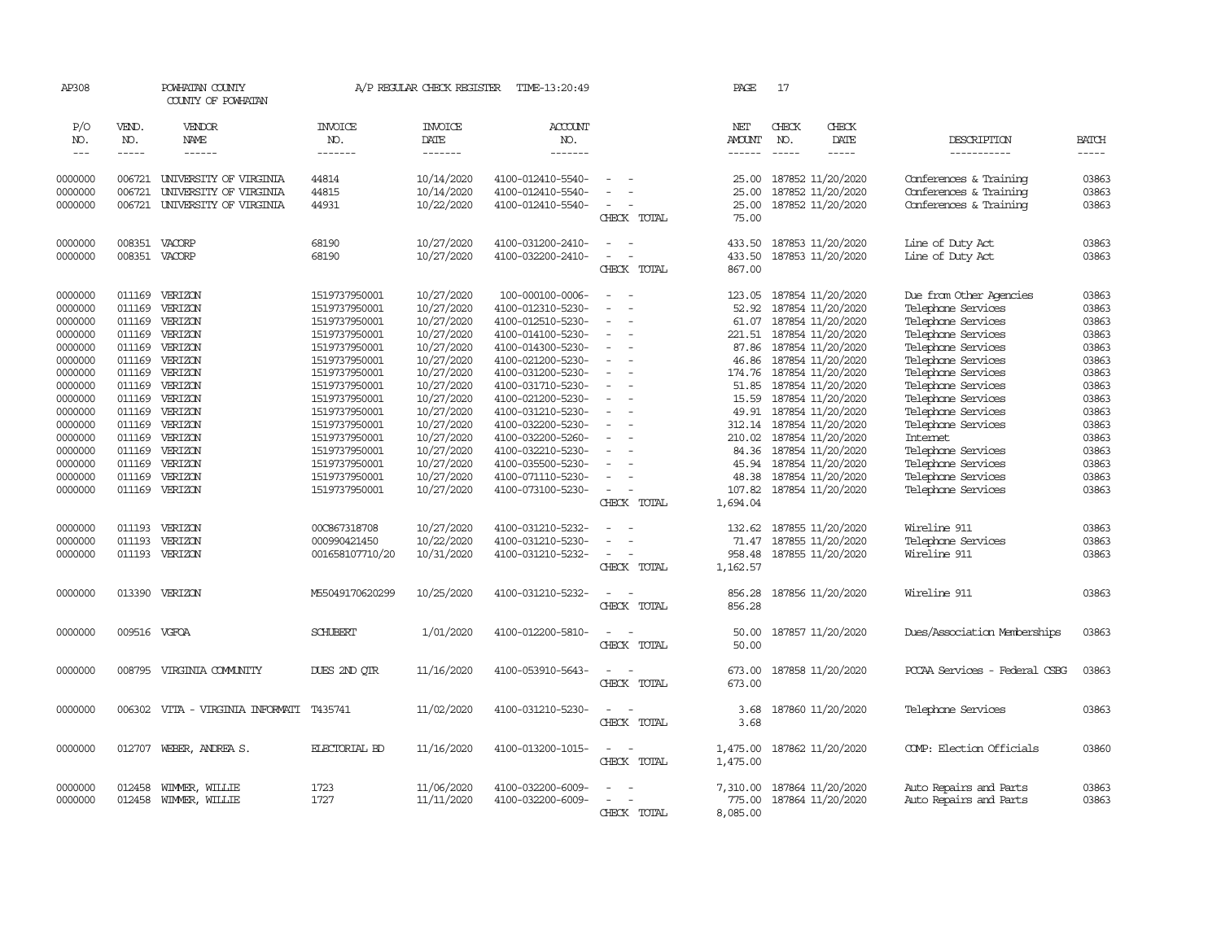| AP308              |                  | POWHATAN COUNTY<br>COUNTY OF POWHATAN            |                       | A/P REGULAR CHECK REGISTER | TIME-13:20:49                          |                                                                                                              | PAGE                        | 17            |                                        |                                                  |                                                                                                                                                                                                                                                                                                                                                                                              |
|--------------------|------------------|--------------------------------------------------|-----------------------|----------------------------|----------------------------------------|--------------------------------------------------------------------------------------------------------------|-----------------------------|---------------|----------------------------------------|--------------------------------------------------|----------------------------------------------------------------------------------------------------------------------------------------------------------------------------------------------------------------------------------------------------------------------------------------------------------------------------------------------------------------------------------------------|
| P/O<br>NO.         | VEND.<br>NO.     | VENDOR<br>NAME                                   | <b>INVOICE</b><br>NO. | <b>INVOICE</b><br>DATE     | <b>ACCOUNT</b><br>NO.                  |                                                                                                              | <b>NET</b><br><b>AMOUNT</b> | CHECK<br>NO.  | CHECK<br>DATE                          | DESCRIPTION                                      | <b>BATCH</b>                                                                                                                                                                                                                                                                                                                                                                                 |
| $---$              | $- - - - -$      | ------                                           | -------               | -------                    | -------                                |                                                                                                              | ------                      | $\frac{1}{2}$ | -----                                  | -----------                                      | $\frac{1}{2} \frac{1}{2} \frac{1}{2} \frac{1}{2} \frac{1}{2} \frac{1}{2} \frac{1}{2} \frac{1}{2} \frac{1}{2} \frac{1}{2} \frac{1}{2} \frac{1}{2} \frac{1}{2} \frac{1}{2} \frac{1}{2} \frac{1}{2} \frac{1}{2} \frac{1}{2} \frac{1}{2} \frac{1}{2} \frac{1}{2} \frac{1}{2} \frac{1}{2} \frac{1}{2} \frac{1}{2} \frac{1}{2} \frac{1}{2} \frac{1}{2} \frac{1}{2} \frac{1}{2} \frac{1}{2} \frac{$ |
|                    |                  |                                                  |                       |                            |                                        |                                                                                                              |                             |               |                                        |                                                  |                                                                                                                                                                                                                                                                                                                                                                                              |
| 0000000<br>0000000 | 006721<br>006721 | UNIVERSITY OF VIRGINIA<br>UNIVERSITY OF VIRGINIA | 44814<br>44815        | 10/14/2020<br>10/14/2020   | 4100-012410-5540-<br>4100-012410-5540- |                                                                                                              | 25.00<br>25.00              |               | 187852 11/20/2020<br>187852 11/20/2020 | Conferences & Training<br>Conferences & Training | 03863<br>03863                                                                                                                                                                                                                                                                                                                                                                               |
| 0000000            | 006721           | UNIVERSITY OF VIRGINIA                           | 44931                 |                            | 4100-012410-5540-                      |                                                                                                              |                             |               |                                        | Conferences & Training                           | 03863                                                                                                                                                                                                                                                                                                                                                                                        |
|                    |                  |                                                  |                       | 10/22/2020                 |                                        | CHECK TOTAL                                                                                                  | 25.00<br>75.00              |               | 187852 11/20/2020                      |                                                  |                                                                                                                                                                                                                                                                                                                                                                                              |
|                    |                  |                                                  |                       |                            |                                        |                                                                                                              |                             |               |                                        |                                                  |                                                                                                                                                                                                                                                                                                                                                                                              |
| 0000000            |                  | 008351 VACORP                                    | 68190                 | 10/27/2020                 | 4100-031200-2410-                      | $\sim$                                                                                                       | 433.50                      |               | 187853 11/20/2020                      | Line of Duty Act                                 | 03863                                                                                                                                                                                                                                                                                                                                                                                        |
| 0000000            |                  | 008351 VACORP                                    | 68190                 | 10/27/2020                 | 4100-032200-2410-                      | $\blacksquare$<br>$\overline{\phantom{a}}$                                                                   | 433.50                      |               | 187853 11/20/2020                      | Line of Duty Act                                 | 03863                                                                                                                                                                                                                                                                                                                                                                                        |
|                    |                  |                                                  |                       |                            |                                        | CHECK TOTAL                                                                                                  | 867.00                      |               |                                        |                                                  |                                                                                                                                                                                                                                                                                                                                                                                              |
| 0000000            | 011169           | VERIZON                                          | 1519737950001         | 10/27/2020                 | 100-000100-0006-                       | $\frac{1}{2} \left( \frac{1}{2} \right) \left( \frac{1}{2} \right) = \frac{1}{2} \left( \frac{1}{2} \right)$ |                             |               | 123.05 187854 11/20/2020               | Due from Other Agencies                          | 03863                                                                                                                                                                                                                                                                                                                                                                                        |
| 0000000            | 011169           | VERIZON                                          | 1519737950001         | 10/27/2020                 | 4100-012310-5230-                      | $\equiv$                                                                                                     | 52.92                       |               | 187854 11/20/2020                      | Telephone Services                               | 03863                                                                                                                                                                                                                                                                                                                                                                                        |
| 0000000            | 011169           | VERIZON                                          | 1519737950001         | 10/27/2020                 | 4100-012510-5230-                      | $\sim$                                                                                                       | 61.07                       |               | 187854 11/20/2020                      | Telephone Services                               | 03863                                                                                                                                                                                                                                                                                                                                                                                        |
| 0000000            | 011169           | VERIZON                                          | 1519737950001         | 10/27/2020                 | 4100-014100-5230-                      | $\overline{\phantom{a}}$                                                                                     | 221.51                      |               | 187854 11/20/2020                      | Telephone Services                               | 03863                                                                                                                                                                                                                                                                                                                                                                                        |
| 0000000            | 011169           | VERIZON                                          | 1519737950001         | 10/27/2020                 | 4100-014300-5230-                      | $\sim$                                                                                                       | 87.86                       |               | 187854 11/20/2020                      | Telephone Services                               | 03863                                                                                                                                                                                                                                                                                                                                                                                        |
| 0000000            | 011169           | VERIZON                                          | 1519737950001         | 10/27/2020                 | 4100-021200-5230-                      | $\sim$                                                                                                       | 46.86                       |               | 187854 11/20/2020                      | Telephone Services                               | 03863                                                                                                                                                                                                                                                                                                                                                                                        |
| 0000000            | 011169           | VERIZON                                          | 1519737950001         | 10/27/2020                 | 4100-031200-5230-                      | $\sim$                                                                                                       | 174.76                      |               | 187854 11/20/2020                      | Telephone Services                               | 03863                                                                                                                                                                                                                                                                                                                                                                                        |
| 0000000            | 011169           | VERIZON                                          | 1519737950001         | 10/27/2020                 | 4100-031710-5230-                      | $\blacksquare$                                                                                               | 51.85                       |               | 187854 11/20/2020                      | Telephone Services                               | 03863                                                                                                                                                                                                                                                                                                                                                                                        |
| 0000000            | 011169           | VERIZON                                          | 1519737950001         | 10/27/2020                 | 4100-021200-5230-                      | $\equiv$                                                                                                     | 15.59                       |               | 187854 11/20/2020                      | Telephone Services                               | 03863                                                                                                                                                                                                                                                                                                                                                                                        |
| 0000000            | 011169           | VERIZON                                          | 1519737950001         | 10/27/2020                 | 4100-031210-5230-                      |                                                                                                              | 49.91                       |               | 187854 11/20/2020                      | Telephone Services                               | 03863                                                                                                                                                                                                                                                                                                                                                                                        |
| 0000000            | 011169           | VERIZON                                          | 1519737950001         | 10/27/2020                 | 4100-032200-5230-                      | $\sim$                                                                                                       |                             |               | 312.14 187854 11/20/2020               | Telephone Services                               | 03863                                                                                                                                                                                                                                                                                                                                                                                        |
| 0000000            | 011169           | VERIZON                                          | 1519737950001         | 10/27/2020                 | 4100-032200-5260-                      | $\sim$                                                                                                       | 210.02                      |               | 187854 11/20/2020                      | Internet                                         | 03863                                                                                                                                                                                                                                                                                                                                                                                        |
| 0000000            | 011169           | VERIZON                                          | 1519737950001         | 10/27/2020                 | 4100-032210-5230-                      |                                                                                                              | 84.36                       |               | 187854 11/20/2020                      | Telephone Services                               | 03863                                                                                                                                                                                                                                                                                                                                                                                        |
| 0000000            | 011169           | VERIZON                                          | 1519737950001         | 10/27/2020                 | 4100-035500-5230-                      | $\equiv$                                                                                                     | 45.94                       |               | 187854 11/20/2020                      | Telephone Services                               | 03863                                                                                                                                                                                                                                                                                                                                                                                        |
| 0000000            | 011169           | VERIZON                                          | 1519737950001         | 10/27/2020                 | 4100-071110-5230-                      | $\equiv$                                                                                                     | 48.38                       |               | 187854 11/20/2020                      | Telephone Services                               | 03863                                                                                                                                                                                                                                                                                                                                                                                        |
| 0000000            | 011169           | VERIZON                                          | 1519737950001         | 10/27/2020                 | 4100-073100-5230-                      | $\sim$<br>$\overline{\phantom{a}}$                                                                           | 107.82                      |               | 187854 11/20/2020                      | Telephone Services                               | 03863                                                                                                                                                                                                                                                                                                                                                                                        |
|                    |                  |                                                  |                       |                            |                                        | CHECK TOTAL                                                                                                  | 1,694.04                    |               |                                        |                                                  |                                                                                                                                                                                                                                                                                                                                                                                              |
|                    |                  |                                                  |                       |                            |                                        |                                                                                                              |                             |               |                                        |                                                  |                                                                                                                                                                                                                                                                                                                                                                                              |
| 0000000            | 011193           | VERIZON                                          | 00C867318708          | 10/27/2020                 | 4100-031210-5232-                      | $\sim$                                                                                                       | 132.62                      |               | 187855 11/20/2020                      | Wireline 911                                     | 03863                                                                                                                                                                                                                                                                                                                                                                                        |
| 0000000            | 011193           | VERIZON                                          | 000990421450          | 10/22/2020                 | 4100-031210-5230-                      |                                                                                                              | 71.47                       |               | 187855 11/20/2020                      | Telephone Services                               | 03863                                                                                                                                                                                                                                                                                                                                                                                        |
| 0000000            |                  | 011193 VERIZON                                   | 001658107710/20       | 10/31/2020                 | 4100-031210-5232-                      | $\equiv$                                                                                                     | 958.48                      |               | 187855 11/20/2020                      | Wireline 911                                     | 03863                                                                                                                                                                                                                                                                                                                                                                                        |
|                    |                  |                                                  |                       |                            |                                        | CHECK TOTAL                                                                                                  | 1,162.57                    |               |                                        |                                                  |                                                                                                                                                                                                                                                                                                                                                                                              |
| 0000000            |                  | 013390 VERIZON                                   | M55049170620299       | 10/25/2020                 | 4100-031210-5232-                      | $\sim$<br>$\sim$                                                                                             | 856.28                      |               | 187856 11/20/2020                      | Wireline 911                                     | 03863                                                                                                                                                                                                                                                                                                                                                                                        |
|                    |                  |                                                  |                       |                            |                                        | CHECK TOTAL                                                                                                  | 856.28                      |               |                                        |                                                  |                                                                                                                                                                                                                                                                                                                                                                                              |
| 0000000            | 009516 VGFOA     |                                                  | <b>SCHUBERT</b>       | 1/01/2020                  | 4100-012200-5810-                      | $\sim$                                                                                                       | 50.00                       |               | 187857 11/20/2020                      | Dues/Association Memberships                     | 03863                                                                                                                                                                                                                                                                                                                                                                                        |
|                    |                  |                                                  |                       |                            |                                        | CHECK TOTAL                                                                                                  | 50.00                       |               |                                        |                                                  |                                                                                                                                                                                                                                                                                                                                                                                              |
|                    |                  |                                                  |                       |                            |                                        |                                                                                                              |                             |               |                                        |                                                  |                                                                                                                                                                                                                                                                                                                                                                                              |
| 0000000            | 008795           | VIRGINIA COMUNITY                                | DUES 2ND OTR          | 11/16/2020                 | 4100-053910-5643-                      | $\overline{\phantom{a}}$<br>$\sim$                                                                           | 673.00                      |               | 187858 11/20/2020                      | PCCAA Services - Federal CSBG                    | 03863                                                                                                                                                                                                                                                                                                                                                                                        |
|                    |                  |                                                  |                       |                            |                                        | CHECK TOTAL                                                                                                  | 673.00                      |               |                                        |                                                  |                                                                                                                                                                                                                                                                                                                                                                                              |
| 0000000            |                  | 006302 VITA - VIRGINIA INFORMATI                 | T435741               | 11/02/2020                 | 4100-031210-5230-                      | $\sim$ $\sim$                                                                                                | 3.68                        |               | 187860 11/20/2020                      | Telephone Services                               | 03863                                                                                                                                                                                                                                                                                                                                                                                        |
|                    |                  |                                                  |                       |                            |                                        | CHECK TOTAL                                                                                                  | 3.68                        |               |                                        |                                                  |                                                                                                                                                                                                                                                                                                                                                                                              |
| 0000000            | 012707           | WEBER, ANDREA S.                                 | <b>ELECTORIAL BD</b>  | 11/16/2020                 | 4100-013200-1015-                      | $\sim$ $-$<br>$\overline{\phantom{a}}$                                                                       | 1,475.00                    |               | 187862 11/20/2020                      | COMP: Election Officials                         | 03860                                                                                                                                                                                                                                                                                                                                                                                        |
|                    |                  |                                                  |                       |                            |                                        | CHECK TOTAL                                                                                                  | 1,475.00                    |               |                                        |                                                  |                                                                                                                                                                                                                                                                                                                                                                                              |
|                    |                  |                                                  |                       |                            |                                        |                                                                                                              |                             |               |                                        |                                                  |                                                                                                                                                                                                                                                                                                                                                                                              |
| 0000000            | 012458           | WIMMER, WILLIE                                   | 1723                  | 11/06/2020                 | 4100-032200-6009-                      |                                                                                                              | 7,310.00                    |               | 187864 11/20/2020                      | Auto Repairs and Parts                           | 03863                                                                                                                                                                                                                                                                                                                                                                                        |
| 0000000            | 012458           | WIMMER, WILLIE                                   | 1727                  | 11/11/2020                 | 4100-032200-6009-                      |                                                                                                              | 775.00                      |               | 187864 11/20/2020                      | Auto Repairs and Parts                           | 03863                                                                                                                                                                                                                                                                                                                                                                                        |
|                    |                  |                                                  |                       |                            |                                        | CHECK TOTAL                                                                                                  | 8,085.00                    |               |                                        |                                                  |                                                                                                                                                                                                                                                                                                                                                                                              |
|                    |                  |                                                  |                       |                            |                                        |                                                                                                              |                             |               |                                        |                                                  |                                                                                                                                                                                                                                                                                                                                                                                              |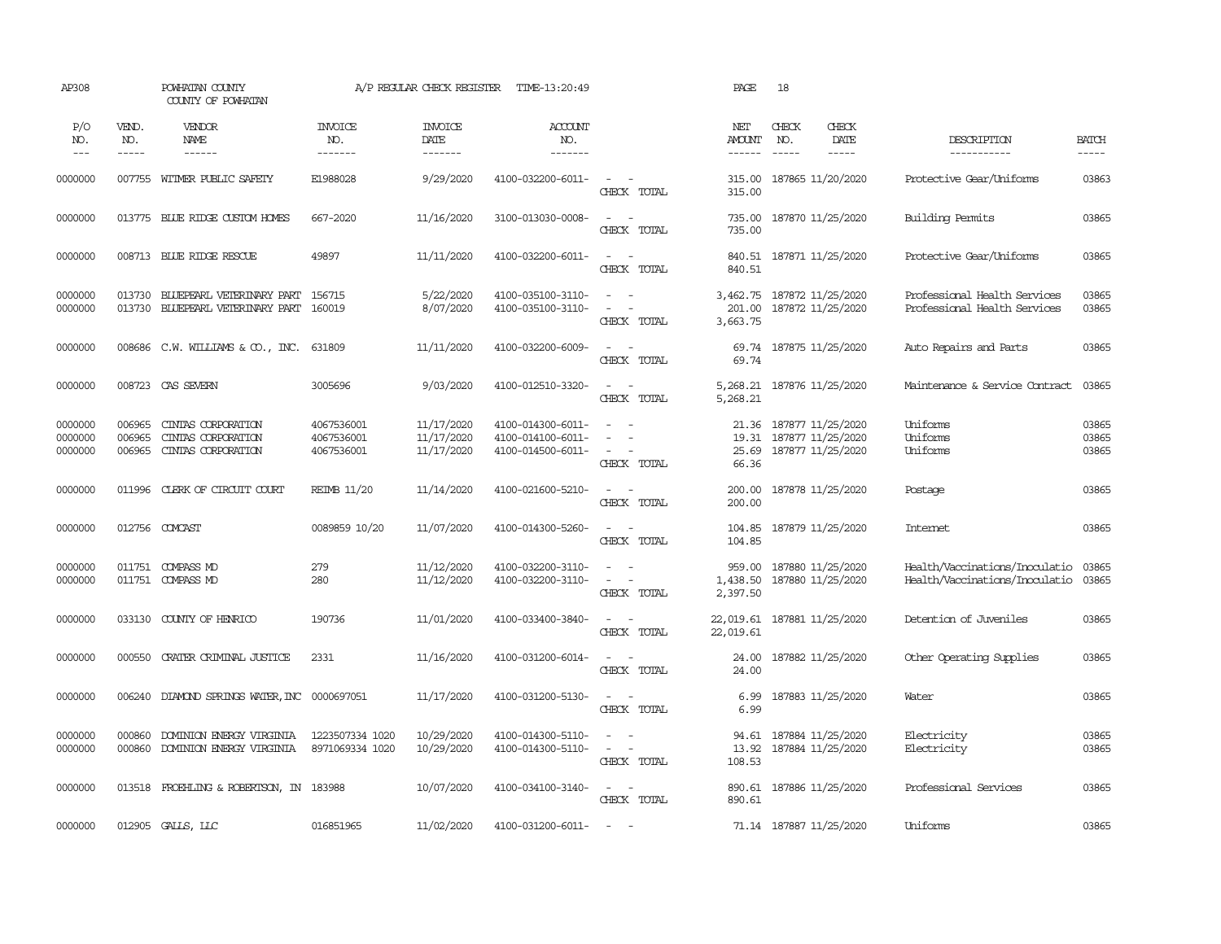| AP308                         |                            | POWHATAN COUNTY<br>COUNTY OF POWHATAN                          |                                        | A/P REGULAR CHECK REGISTER             | TIME-13:20:49                                               |                                                                                                 | PAGE                                     | 18                                                          |                              |                                                                  |                             |
|-------------------------------|----------------------------|----------------------------------------------------------------|----------------------------------------|----------------------------------------|-------------------------------------------------------------|-------------------------------------------------------------------------------------------------|------------------------------------------|-------------------------------------------------------------|------------------------------|------------------------------------------------------------------|-----------------------------|
| P/O<br>NO.<br>$---$           | VEND.<br>NO.<br>-----      | VENDOR<br>NAME                                                 | <b>INVOICE</b><br>NO.<br>-------       | <b>INVOICE</b><br>DATE<br>--------     | <b>ACCOUNT</b><br>NO.<br>-------                            |                                                                                                 | NET<br><b>AMOUNT</b><br>$- - - - - -$    | CHECK<br>NO.<br>$\frac{1}{2}$                               | CHECK<br>DATE<br>$- - - - -$ | DESCRIPTION<br>-----------                                       | <b>BATCH</b><br>$- - - - -$ |
| 0000000                       | 007755                     | WITMER PUBLIC SAFETY                                           | E1988028                               | 9/29/2020                              | 4100-032200-6011-                                           | $\sim$<br>$\sim$<br>CHECK TOTAL                                                                 | 315.00<br>315.00                         | 187865 11/20/2020                                           |                              | Protective Gear/Uniforms                                         | 03863                       |
| 0000000                       |                            | 013775 BLUE RIDGE CUSTOM HOMES                                 | 667-2020                               | 11/16/2020                             | 3100-013030-0008-                                           | $\sim$<br>$\sim$<br>CHECK TOTAL                                                                 | 735.00<br>735.00                         | 187870 11/25/2020                                           |                              | Building Permits                                                 | 03865                       |
| 0000000                       |                            | 008713 BLUE RIDGE RESCUE                                       | 49897                                  | 11/11/2020                             | 4100-032200-6011-                                           | $\sim$<br>$\sim$ $-$<br>CHECK TOTAL                                                             | 840.51                                   | 840.51 187871 11/25/2020                                    |                              | Protective Gear/Uniforms                                         | 03865                       |
| 0000000<br>0000000            | 013730<br>013730           | BLUEPEARL VETERINARY PART<br>BLUEPEARL VETERINARY PART         | 156715<br>160019                       | 5/22/2020<br>8/07/2020                 | 4100-035100-3110-<br>4100-035100-3110-                      | $\sim$<br>$\overline{a}$<br>$\overline{\phantom{a}}$<br>$\overline{\phantom{a}}$<br>CHECK TOTAL | 201.00<br>3,663.75                       | 3,462.75 187872 11/25/2020<br>187872 11/25/2020             |                              | Professional Health Services<br>Professional Health Services     | 03865<br>03865              |
| 0000000                       | 008686                     | C.W. WILLIAMS & CO., INC.                                      | 631809                                 | 11/11/2020                             | 4100-032200-6009-                                           | $\sim$<br>$\sim$<br>CHECK TOTAL                                                                 | 69.74<br>69.74                           | 187875 11/25/2020                                           |                              | Auto Repairs and Parts                                           | 03865                       |
| 0000000                       |                            | 008723 CAS SEVERN                                              | 3005696                                | 9/03/2020                              | 4100-012510-3320-                                           | $\sim$<br>$\sim$ $-$<br>CHECK TOTAL                                                             | 5,268.21<br>5,268.21                     | 187876 11/25/2020                                           |                              | Maintenance & Service Contract                                   | 03865                       |
| 0000000<br>0000000<br>0000000 | 006965<br>006965<br>006965 | CINIAS CORPORATION<br>CINIAS CORPORATION<br>CINIAS CORPORATION | 4067536001<br>4067536001<br>4067536001 | 11/17/2020<br>11/17/2020<br>11/17/2020 | 4100-014300-6011-<br>4100-014100-6011-<br>4100-014500-6011- | $\sim$<br>$\sim$<br>$\overline{\phantom{a}}$<br>$\overline{a}$<br>CHECK TOTAL                   | 21.36<br>19.31<br>25.69<br>66.36         | 187877 11/25/2020<br>187877 11/25/2020<br>187877 11/25/2020 |                              | Uniforms<br>Uniforms<br>Uniforms                                 | 03865<br>03865<br>03865     |
| 0000000                       | 011996                     | CLERK OF CIRCUIT COURT                                         | <b>REIMB 11/20</b>                     | 11/14/2020                             | 4100-021600-5210-                                           | $\sim$<br>$\sim$<br>CHECK TOTAL                                                                 | 200.00<br>200.00                         | 187878 11/25/2020                                           |                              | Postage                                                          | 03865                       |
| 0000000                       |                            | 012756 COMCAST                                                 | 0089859 10/20                          | 11/07/2020                             | 4100-014300-5260-                                           | $\sim$<br>$\sim$<br>CHECK TOTAL                                                                 | 104.85<br>104.85                         | 187879 11/25/2020                                           |                              | Internet                                                         | 03865                       |
| 0000000<br>0000000            | 011751                     | 011751 COMPASS MD<br><b>COMPASS MD</b>                         | 279<br>280                             | 11/12/2020<br>11/12/2020               | 4100-032200-3110-<br>4100-032200-3110-                      | $\equiv$<br>$\sim$<br>$\sim$<br>CHECK TOTAL                                                     | 959.00<br>1,438.50<br>2,397.50           | 187880 11/25/2020<br>187880 11/25/2020                      |                              | Health/Vaccinations/Inoculatio<br>Health/Vaccinations/Inoculatio | 03865<br>03865              |
| 0000000                       | 033130                     | COUNTY OF HENRICO                                              | 190736                                 | 11/01/2020                             | 4100-033400-3840-                                           | $\sim$<br>$\sim$<br>CHECK TOTAL                                                                 | 22,019.61 187881 11/25/2020<br>22,019.61 |                                                             |                              | Detention of Juveniles                                           | 03865                       |
| 0000000                       | 000550                     | CRATER CRIMINAL JUSTICE                                        | 2331                                   | 11/16/2020                             | 4100-031200-6014-                                           | $\sim$ $-$<br>$\sim$<br>CHECK TOTAL                                                             | 24.00<br>24.00                           | 187882 11/25/2020                                           |                              | Other Operating Supplies                                         | 03865                       |
| 0000000                       | 006240                     | DIAMOND SPRINGS WATER, INC 0000697051                          |                                        | 11/17/2020                             | 4100-031200-5130-                                           | $\sim$ $\sim$<br>CHECK TOTAL                                                                    | 6.99<br>6.99                             | 187883 11/25/2020                                           |                              | Water                                                            | 03865                       |
| 0000000<br>0000000            | 000860<br>000860           | DOMINION ENERGY VIRGINIA<br>DOMINION ENERGY VIRGINIA           | 1223507334 1020<br>8971069334 1020     | 10/29/2020<br>10/29/2020               | 4100-014300-5110-<br>4100-014300-5110-                      | $\equiv$<br>$\sim$<br>$\sim$<br>$\sim$<br>CHECK TOTAL                                           | 94.61<br>13.92<br>108.53                 | 187884 11/25/2020<br>187884 11/25/2020                      |                              | Electricity<br>Electricity                                       | 03865<br>03865              |
| 0000000                       | 013518                     | FROEHLING & ROBERTSON, IN 183988                               |                                        | 10/07/2020                             | 4100-034100-3140-                                           | $\sim$ $ -$<br>CHECK TOTAL                                                                      | 890.61<br>890.61                         | 187886 11/25/2020                                           |                              | Professional Services                                            | 03865                       |
| 0000000                       |                            | 012905 GALLS, LLC                                              | 016851965                              | 11/02/2020                             | 4100-031200-6011-                                           | $\sim$                                                                                          |                                          | 71.14 187887 11/25/2020                                     |                              | Uniforms                                                         | 03865                       |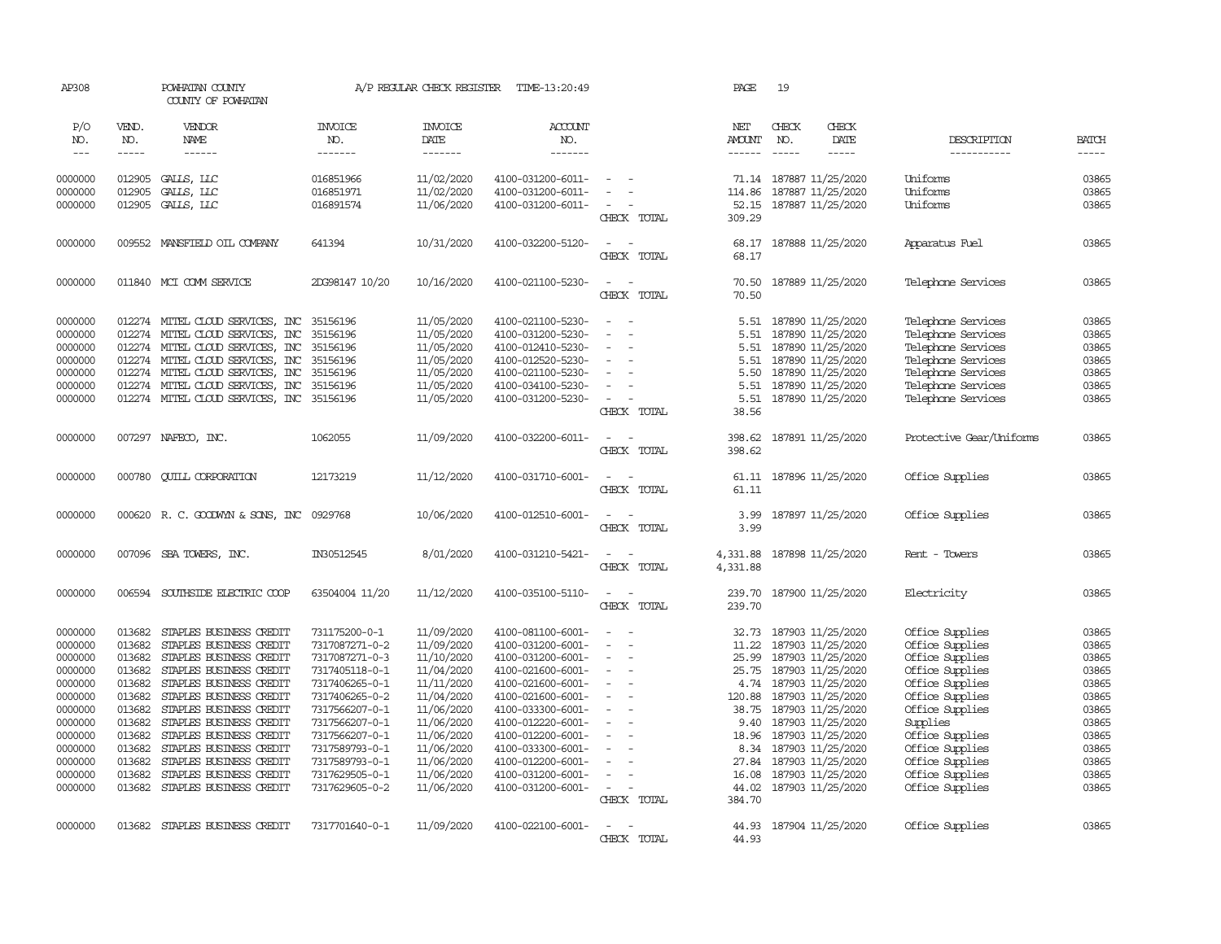| AP308         |              | POWHATAN COUNTY<br>COUNTY OF POWHATAN     |                       | A/P REGULAR CHECK REGISTER | TIME-13:20:49         |                                    | PAGE                 | 19                            |                          |              |
|---------------|--------------|-------------------------------------------|-----------------------|----------------------------|-----------------------|------------------------------------|----------------------|-------------------------------|--------------------------|--------------|
| P/O<br>NO.    | VEND.<br>NO. | VENDOR<br>NAME                            | <b>INVOICE</b><br>NO. | <b>INVOICE</b><br>DATE     | <b>ACCOUNT</b><br>NO. |                                    | NET<br><b>AMOUNT</b> | CHECK<br>CHECK<br>NO.<br>DATE | DESCRIPTION              | <b>BATCH</b> |
| $\frac{1}{2}$ | -----        | $- - - - - -$                             | -------               | -------                    | --------              |                                    | $- - - - - -$        | $\frac{1}{2}$<br>-----        | -----------              | $- - - - -$  |
| 0000000       | 012905       | GALLS, LLC                                | 016851966             | 11/02/2020                 | 4100-031200-6011-     | $\overline{\phantom{a}}$           |                      | 71.14 187887 11/25/2020       | Uniforms                 | 03865        |
| 0000000       | 012905       | GALLS, LLC                                | 016851971             | 11/02/2020                 | 4100-031200-6011-     |                                    | 114.86               | 187887 11/25/2020             | Uniforms                 | 03865        |
| 0000000       | 012905       | GALLS, LLC                                | 016891574             | 11/06/2020                 | 4100-031200-6011-     |                                    | 52.15                | 187887 11/25/2020             | Uniforms                 | 03865        |
|               |              |                                           |                       |                            |                       | CHECK TOTAL                        | 309.29               |                               |                          |              |
| 0000000       |              | 009552 MANSFIELD OIL COMPANY              | 641394                | 10/31/2020                 | 4100-032200-5120-     | $\sim$<br>$\overline{\phantom{a}}$ | 68.17                | 187888 11/25/2020             | Apparatus Fuel           | 03865        |
|               |              |                                           |                       |                            |                       | CHECK TOTAL                        | 68.17                |                               |                          |              |
| 0000000       |              | 011840 MCI COMM SERVICE                   | 2DG98147 10/20        | 10/16/2020                 | 4100-021100-5230-     | $\sim$<br>$\sim$                   | 70.50                | 187889 11/25/2020             | Telephone Services       | 03865        |
|               |              |                                           |                       |                            |                       | CHECK TOTAL                        | 70.50                |                               |                          |              |
| 0000000       |              | 012274 MITEL CLOUD SERVICES, INC 35156196 |                       | 11/05/2020                 | 4100-021100-5230-     | $\sim$<br>$\sim$                   |                      | 5.51 187890 11/25/2020        | Telephone Services       | 03865        |
| 0000000       |              | 012274 MITEL CLOUD SERVICES, INC          | 35156196              | 11/05/2020                 | 4100-031200-5230-     | $\blacksquare$                     | 5.51                 | 187890 11/25/2020             | Telephone Services       | 03865        |
| 0000000       |              | 012274 MITEL CLOUD SERVICES, INC          | 35156196              | 11/05/2020                 | 4100-012410-5230-     |                                    | 5.51                 | 187890 11/25/2020             | Telephone Services       | 03865        |
| 0000000       |              | 012274 MITEL CLOUD SERVICES, INC          | 35156196              | 11/05/2020                 | 4100-012520-5230-     | $\blacksquare$                     | 5.51                 | 187890 11/25/2020             | Telephone Services       | 03865        |
| 0000000       | 012274       | MITEL CLOUD SERVICES, INC                 | 35156196              | 11/05/2020                 | 4100-021100-5230-     |                                    | 5.50                 | 187890 11/25/2020             | Telephone Services       | 03865        |
| 0000000       | 012274       | MITEL CLOUD SERVICES, INC                 | 35156196              | 11/05/2020                 | 4100-034100-5230-     | $\sim$                             | 5.51                 | 187890 11/25/2020             | Telephone Services       | 03865        |
| 0000000       |              | 012274 MITEL CLOUD SERVICES, INC 35156196 |                       | 11/05/2020                 | 4100-031200-5230-     | $\equiv$                           | 5.51                 | 187890 11/25/2020             | Telephone Services       | 03865        |
|               |              |                                           |                       |                            |                       | CHECK TOTAL                        | 38.56                |                               |                          |              |
| 0000000       |              | 007297 NAFECO, INC.                       | 1062055               | 11/09/2020                 | 4100-032200-6011-     | $\sim$<br>$\sim$                   | 398.62               | 187891 11/25/2020             | Protective Gear/Uniforms | 03865        |
|               |              |                                           |                       |                            |                       | CHECK TOTAL                        | 398.62               |                               |                          |              |
| 0000000       | 000780       | <b>QUILL CORPORATION</b>                  | 12173219              | 11/12/2020                 | 4100-031710-6001-     | $\sim$<br>$\sim$                   | 61.11                | 187896 11/25/2020             | Office Supplies          | 03865        |
|               |              |                                           |                       |                            |                       | CHECK TOTAL                        | 61.11                |                               |                          |              |
| 0000000       |              | 000620 R. C. GOODWYN & SONS, INC 0929768  |                       | 10/06/2020                 | 4100-012510-6001-     | $\overline{\phantom{a}}$<br>- -    | 3.99                 | 187897 11/25/2020             | Office Supplies          | 03865        |
|               |              |                                           |                       |                            |                       | CHECK TOTAL                        | 3.99                 |                               |                          |              |
| 0000000       |              | 007096 SBA TOWERS, INC.                   | IN30512545            | 8/01/2020                  | 4100-031210-5421-     | $\sim$<br>$\sim$                   | 4,331.88             | 187898 11/25/2020             | Rent - Towers            | 03865        |
|               |              |                                           |                       |                            |                       | CHECK TOTAL                        | 4,331.88             |                               |                          |              |
| 0000000       | 006594       | SOUTHSIDE ELECTRIC COOP                   | 63504004 11/20        | 11/12/2020                 | 4100-035100-5110-     | $\sim$<br>$\sim$                   | 239.70               | 187900 11/25/2020             | Electricity              | 03865        |
|               |              |                                           |                       |                            |                       | CHECK TOTAL                        | 239.70               |                               |                          |              |
| 0000000       | 013682       | STAPLES BUSINESS CREDIT                   | 731175200-0-1         | 11/09/2020                 | 4100-081100-6001-     | $\equiv$                           | 32.73                | 187903 11/25/2020             | Office Supplies          | 03865        |
| 0000000       | 013682       | STAPLES BUSINESS CREDIT                   | 7317087271-0-2        | 11/09/2020                 | 4100-031200-6001-     |                                    | 11.22                | 187903 11/25/2020             | Office Supplies          | 03865        |
| 0000000       | 013682       | STAPLES BUSINESS CREDIT                   | 7317087271-0-3        | 11/10/2020                 | 4100-031200-6001-     | $\sim$                             | 25.99                | 187903 11/25/2020             | Office Supplies          | 03865        |
| 0000000       | 013682       | STAPLES BUSINESS CREDIT                   | 7317405118-0-1        | 11/04/2020                 | 4100-021600-6001-     | $\equiv$                           | 25.75                | 187903 11/25/2020             | Office Supplies          | 03865        |
| 0000000       | 013682       | STAPLES BUSINESS CREDIT                   | 7317406265-0-1        | 11/11/2020                 | 4100-021600-6001-     | $\equiv$                           |                      | 4.74 187903 11/25/2020        | Office Supplies          | 03865        |
| 0000000       | 013682       | STAPLES BUSINESS CREDIT                   | 7317406265-0-2        | 11/04/2020                 | 4100-021600-6001-     | $\equiv$                           | 120.88               | 187903 11/25/2020             | Office Supplies          | 03865        |
| 0000000       | 013682       | STAPLES BUSINESS CREDIT                   | 7317566207-0-1        | 11/06/2020                 | 4100-033300-6001-     | $\equiv$                           | 38.75                | 187903 11/25/2020             | Office Supplies          | 03865        |
| 0000000       | 013682       | STAPLES BUSINESS CREDIT                   | 7317566207-0-1        | 11/06/2020                 | 4100-012220-6001-     | $\overline{\phantom{a}}$           | 9.40                 | 187903 11/25/2020             | Supplies                 | 03865        |
| 0000000       | 013682       | STAPLES BUSINESS CREDIT                   | 7317566207-0-1        | 11/06/2020                 | 4100-012200-6001-     |                                    | 18.96                | 187903 11/25/2020             | Office Supplies          | 03865        |
| 0000000       | 013682       | STAPLES BUSINESS CREDIT                   | 7317589793-0-1        | 11/06/2020                 | 4100-033300-6001-     |                                    | 8.34                 | 187903 11/25/2020             | Office Supplies          | 03865        |
| 0000000       | 013682       | STAPLES BUSINESS CREDIT                   | 7317589793-0-1        | 11/06/2020                 | 4100-012200-6001-     | $\sim$                             | 27.84                | 187903 11/25/2020             | Office Supplies          | 03865        |
| 0000000       | 013682       | STAPLES BUSINESS CREDIT                   | 7317629505-0-1        | 11/06/2020                 | 4100-031200-6001-     | $\equiv$                           | 16.08                | 187903 11/25/2020             | Office Supplies          | 03865        |
| 0000000       |              | 013682 STAPLES BUSINESS CREDIT            | 7317629605-0-2        | 11/06/2020                 | 4100-031200-6001-     | $\sim$                             |                      | 44.02 187903 11/25/2020       | Office Supplies          | 03865        |
|               |              |                                           |                       |                            |                       | CHECK TOTAL                        | 384.70               |                               |                          |              |
| 0000000       |              | 013682 STAPLES BUSINESS CREDIT            | 7317701640-0-1        | 11/09/2020                 | 4100-022100-6001-     | $\sim$<br>$\sim$                   | 44.93                | 187904 11/25/2020             | Office Supplies          | 03865        |
|               |              |                                           |                       |                            |                       | CHECK TOTAL                        | 44.93                |                               |                          |              |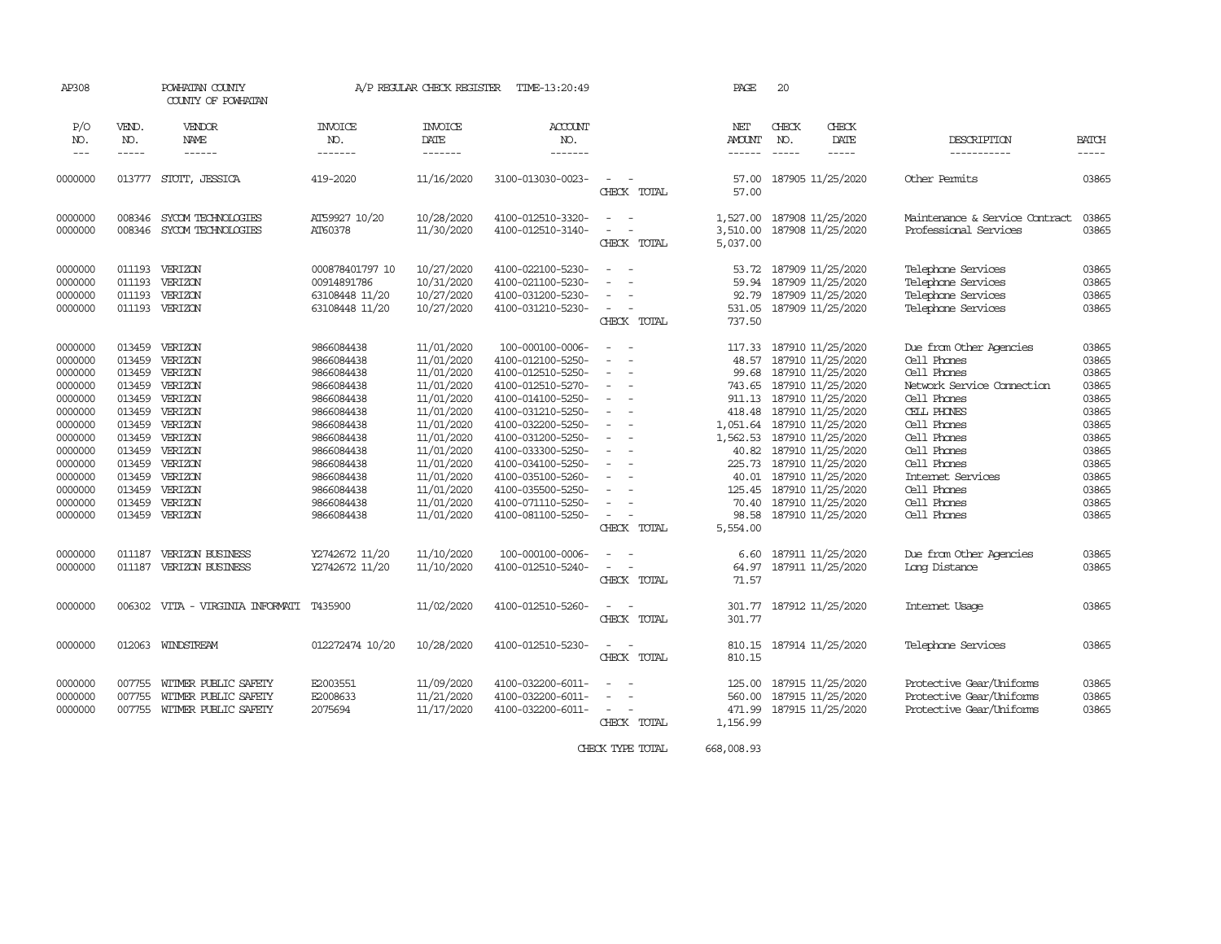| AP308                                                                                                                                                             |                                                                                                                                                    | POWHATAN COUNTY<br>COUNTY OF POWHATAN                                                                                                                                      |                                                                                                                                                                                                                    | A/P REGULAR CHECK REGISTER                                                                                                                                                                                     | TIME-13:20:49                                                                                                                                                                                                                                                                                                         |                                                                                                                                                                                                                          | PAGE                                                                                                                                                                                 | 20                                                                                                                                                     |                                                                                                                            |                                                                                                                                                                                                                                                                            |                                                                                                                                     |
|-------------------------------------------------------------------------------------------------------------------------------------------------------------------|----------------------------------------------------------------------------------------------------------------------------------------------------|----------------------------------------------------------------------------------------------------------------------------------------------------------------------------|--------------------------------------------------------------------------------------------------------------------------------------------------------------------------------------------------------------------|----------------------------------------------------------------------------------------------------------------------------------------------------------------------------------------------------------------|-----------------------------------------------------------------------------------------------------------------------------------------------------------------------------------------------------------------------------------------------------------------------------------------------------------------------|--------------------------------------------------------------------------------------------------------------------------------------------------------------------------------------------------------------------------|--------------------------------------------------------------------------------------------------------------------------------------------------------------------------------------|--------------------------------------------------------------------------------------------------------------------------------------------------------|----------------------------------------------------------------------------------------------------------------------------|----------------------------------------------------------------------------------------------------------------------------------------------------------------------------------------------------------------------------------------------------------------------------|-------------------------------------------------------------------------------------------------------------------------------------|
| P/O<br>NO.<br>$\frac{1}{2}$                                                                                                                                       | VEND.<br>NO.<br>-----                                                                                                                              | VENDOR<br>NAME<br>------                                                                                                                                                   | INVOICE<br>NO.<br>-------                                                                                                                                                                                          | INVOICE<br>DATE<br>-------                                                                                                                                                                                     | ACCOUNT<br>NO.<br>-------                                                                                                                                                                                                                                                                                             |                                                                                                                                                                                                                          | NET<br><b>AMOUNT</b><br>------                                                                                                                                                       | CHECK<br>NO.                                                                                                                                           | CHECK<br>DATE<br>-----                                                                                                     | DESCRIPTION<br>-----------                                                                                                                                                                                                                                                 | BATCH<br>-----                                                                                                                      |
| 0000000                                                                                                                                                           |                                                                                                                                                    | 013777 STOTT, JESSICA                                                                                                                                                      | 419-2020                                                                                                                                                                                                           | 11/16/2020                                                                                                                                                                                                     | 3100-013030-0023-                                                                                                                                                                                                                                                                                                     | $\overline{\phantom{a}}$<br>CHECK TOTAL                                                                                                                                                                                  | 57.00<br>57.00                                                                                                                                                                       |                                                                                                                                                        | 187905 11/25/2020                                                                                                          | Other Permits                                                                                                                                                                                                                                                              | 03865                                                                                                                               |
| 0000000<br>0000000                                                                                                                                                | 008346<br>008346                                                                                                                                   | SYCOM TECHNOLOGIES<br>SYCOM TECHNOLOGIES                                                                                                                                   | AT59927 10/20<br>AT60378                                                                                                                                                                                           | 10/28/2020<br>11/30/2020                                                                                                                                                                                       | 4100-012510-3320-<br>4100-012510-3140-                                                                                                                                                                                                                                                                                | $\overline{\phantom{a}}$<br>- -<br>$\overline{\phantom{a}}$<br>CHECK TOTAL                                                                                                                                               | 1,527.00 187908 11/25/2020<br>3,510.00<br>5,037.00                                                                                                                                   |                                                                                                                                                        | 187908 11/25/2020                                                                                                          | Maintenance & Service Contract<br>Professional Services                                                                                                                                                                                                                    | 03865<br>03865                                                                                                                      |
| 0000000<br>0000000<br>0000000<br>0000000                                                                                                                          | 011193<br>011193<br>011193<br>011193                                                                                                               | VERIZON<br>VERIZON<br>VERIZON<br>VERIZON                                                                                                                                   | 000878401797 10<br>00914891786<br>63108448 11/20<br>63108448 11/20                                                                                                                                                 | 10/27/2020<br>10/31/2020<br>10/27/2020<br>10/27/2020                                                                                                                                                           | 4100-022100-5230-<br>4100-021100-5230-<br>4100-031200-5230-<br>4100-031210-5230-                                                                                                                                                                                                                                      | $\overline{\phantom{a}}$<br>- -<br>$\overline{\phantom{a}}$<br>$\overline{\phantom{a}}$<br>$\sim$<br>$\sim$<br>CHECK TOTAL                                                                                               | 53.72<br>59.94<br>92.79<br>531.05<br>737.50                                                                                                                                          | 187909 11/25/2020<br>187909 11/25/2020                                                                                                                 | 187909 11/25/2020<br>187909 11/25/2020                                                                                     | Telephone Services<br>Telephone Services<br>Telephone Services<br>Telephone Services                                                                                                                                                                                       | 03865<br>03865<br>03865<br>03865                                                                                                    |
| 0000000<br>0000000<br>0000000<br>0000000<br>0000000<br>0000000<br>0000000<br>0000000<br>0000000<br>0000000<br>0000000<br>0000000<br>0000000<br>0000000<br>0000000 | 013459<br>013459<br>013459<br>013459<br>013459<br>013459<br>013459<br>013459<br>013459<br>013459<br>013459<br>013459<br>013459<br>013459<br>011187 | VERIZON<br>VERIZON<br>VERIZON<br>VERIZON<br>VERIZON<br>VERIZON<br>VERIZON<br>VERIZON<br>VERIZON<br>VERIZON<br>VERIZON<br>VERIZON<br>VERIZON<br>VERIZON<br>VERIZON BUSINESS | 9866084438<br>9866084438<br>9866084438<br>9866084438<br>9866084438<br>9866084438<br>9866084438<br>9866084438<br>9866084438<br>9866084438<br>9866084438<br>9866084438<br>9866084438<br>9866084438<br>Y2742672 11/20 | 11/01/2020<br>11/01/2020<br>11/01/2020<br>11/01/2020<br>11/01/2020<br>11/01/2020<br>11/01/2020<br>11/01/2020<br>11/01/2020<br>11/01/2020<br>11/01/2020<br>11/01/2020<br>11/01/2020<br>11/01/2020<br>11/10/2020 | 100-000100-0006-<br>4100-012100-5250-<br>4100-012510-5250-<br>4100-012510-5270-<br>4100-014100-5250-<br>4100-031210-5250-<br>4100-032200-5250-<br>4100-031200-5250-<br>4100-033300-5250-<br>4100-034100-5250-<br>4100-035100-5260-<br>4100-035500-5250-<br>4100-071110-5250-<br>4100-081100-5250-<br>100-000100-0006- | $\sim$<br>$\sim$<br>$\sim$<br>$\sim$<br>$\overline{\phantom{a}}$<br>$\sim$<br>$\sim$<br>$\overline{\phantom{a}}$<br>$\overline{\phantom{a}}$<br>$\equiv$<br>$\sim$<br>$\equiv$<br>$\equiv$<br>÷<br>$\sim$<br>CHECK TOTAL | 117.33<br>48.57<br>99.68<br>743.65<br>418.48<br>1,051.64 187910 11/25/2020<br>1,562.53 187910 11/25/2020<br>40.82<br>225.73<br>40.01<br>125.45<br>70.40<br>98.58<br>5,554.00<br>6.60 | 187910 11/25/2020<br>187910 11/25/2020<br>911.13 187910 11/25/2020<br>187910 11/25/2020<br>187910 11/25/2020<br>187910 11/25/2020<br>187910 11/25/2020 | 187910 11/25/2020<br>187910 11/25/2020<br>187910 11/25/2020<br>187910 11/25/2020<br>187910 11/25/2020<br>187911 11/25/2020 | Due from Other Agencies<br>Cell Phones<br>Cell Phones<br>Network Service Connection<br>Cell Phones<br>CELL PHONES<br>Cell Phones<br>Cell Phones<br>Cell Phones<br>Cell Phones<br>Internet Services<br>Cell Phones<br>Cell Phones<br>Cell Phones<br>Due from Other Agencies | 03865<br>03865<br>03865<br>03865<br>03865<br>03865<br>03865<br>03865<br>03865<br>03865<br>03865<br>03865<br>03865<br>03865<br>03865 |
| 0000000                                                                                                                                                           | 011187                                                                                                                                             | VERIZON BUSINESS                                                                                                                                                           | Y2742672 11/20                                                                                                                                                                                                     | 11/10/2020                                                                                                                                                                                                     | 4100-012510-5240-                                                                                                                                                                                                                                                                                                     | $\sim$<br>$\sim$<br>CHRCK TOTAL                                                                                                                                                                                          | 64.97<br>71.57                                                                                                                                                                       |                                                                                                                                                        | 187911 11/25/2020                                                                                                          | Long Distance                                                                                                                                                                                                                                                              | 03865                                                                                                                               |
| 0000000                                                                                                                                                           | 006302                                                                                                                                             | VITA - VIRGINIA INFORMATI T435900                                                                                                                                          |                                                                                                                                                                                                                    | 11/02/2020                                                                                                                                                                                                     | 4100-012510-5260-                                                                                                                                                                                                                                                                                                     | $\sim$<br>CHECK TOTAL                                                                                                                                                                                                    | 301.77                                                                                                                                                                               | 301.77 187912 11/25/2020                                                                                                                               |                                                                                                                            | Internet Usage                                                                                                                                                                                                                                                             | 03865                                                                                                                               |
| 0000000                                                                                                                                                           |                                                                                                                                                    | 012063 WINDSTREAM                                                                                                                                                          | 012272474 10/20                                                                                                                                                                                                    | 10/28/2020                                                                                                                                                                                                     | 4100-012510-5230-                                                                                                                                                                                                                                                                                                     | $\sim$ $ \sim$<br>CHECK TOTAL                                                                                                                                                                                            | 810.15<br>810.15                                                                                                                                                                     |                                                                                                                                                        | 187914 11/25/2020                                                                                                          | Telephone Services                                                                                                                                                                                                                                                         | 03865                                                                                                                               |
| 0000000<br>0000000<br>0000000                                                                                                                                     | 007755<br>007755<br>007755                                                                                                                         | WITMER PUBLIC SAFETY<br>WITMER PUBLIC SAFETY<br>WITMER PUBLIC SAFETY                                                                                                       | E2003551<br>E2008633<br>2075694                                                                                                                                                                                    | 11/09/2020<br>11/21/2020<br>11/17/2020                                                                                                                                                                         | 4100-032200-6011-<br>4100-032200-6011-<br>4100-032200-6011-                                                                                                                                                                                                                                                           | $\overline{\phantom{a}}$<br>$\overline{\phantom{a}}$<br>CHECK TOTAL                                                                                                                                                      | 471.99<br>1,156.99                                                                                                                                                                   | 125.00 187915 11/25/2020<br>560.00 187915 11/25/2020                                                                                                   | 187915 11/25/2020                                                                                                          | Protective Gear/Uniforms<br>Protective Gear/Uniforms<br>Protective Gear/Uniforms                                                                                                                                                                                           | 03865<br>03865<br>03865                                                                                                             |

CHECK TYPE TOTAL 668,008.93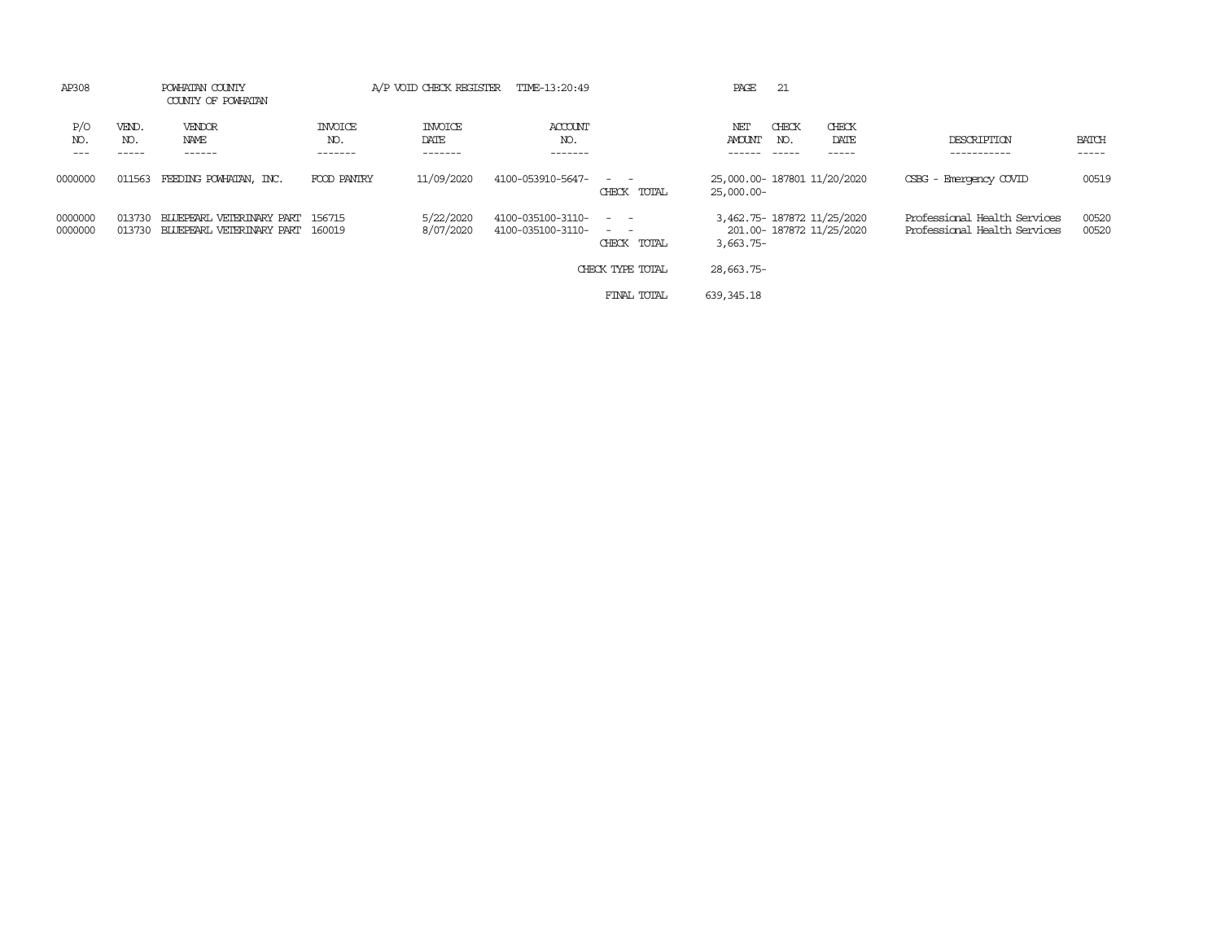| AP308              |                  | POWHATAN COUNTY<br>COUNTY OF POWHATAN                  |                                  |                                   | A/P VOID CHECK REGISTER TIME-13:20:49  |                                                | PAGE                                      | 21           |                           |                                                              |                |
|--------------------|------------------|--------------------------------------------------------|----------------------------------|-----------------------------------|----------------------------------------|------------------------------------------------|-------------------------------------------|--------------|---------------------------|--------------------------------------------------------------|----------------|
| P/O<br>NO.         | VEND.<br>NO.     | VENDOR<br>NAME<br>------                               | <b>INVOICE</b><br>NO.<br>------- | <b>INVOICE</b><br>DATE<br>------- | ACCOUNT<br>NO.<br>-------              |                                                | NET<br><b>AMOUNT</b>                      | CHECK<br>NO. | CHECK<br>DATE<br>-----    | DESCRIPTION                                                  | BATCH<br>----- |
| 0000000            | 011563           | FEEDING POWHATAN, INC.                                 | FOOD PANIRY                      | 11/09/2020                        | 4100-053910-5647-                      | $\sim$ $ \sim$<br>CHECK TOTAL                  | 25,000.00-187801 11/20/2020<br>25,000.00- |              |                           | CSBG - Emergency COVID                                       | 00519          |
| 0000000<br>0000000 | 013730<br>013730 | BLUEPEARL VETERINARY PART<br>BLUEPEARL VETERINARY PART | 156715<br>160019                 | 5/22/2020<br>8/07/2020            | 4100-035100-3110-<br>4100-035100-3110- | $\sim$ $\sim$<br>$\sim$ $ \sim$<br>CHECK TOTAL | 3,462.75-187872 11/25/2020<br>$3,663.75-$ |              | 201.00- 187872 11/25/2020 | Professional Health Services<br>Professional Health Services | 00520<br>00520 |
|                    |                  |                                                        |                                  |                                   |                                        | CHECK TYPE TOTAL                               | 28,663.75-                                |              |                           |                                                              |                |
|                    |                  |                                                        |                                  |                                   |                                        | FINAL TOTAL                                    | 639,345.18                                |              |                           |                                                              |                |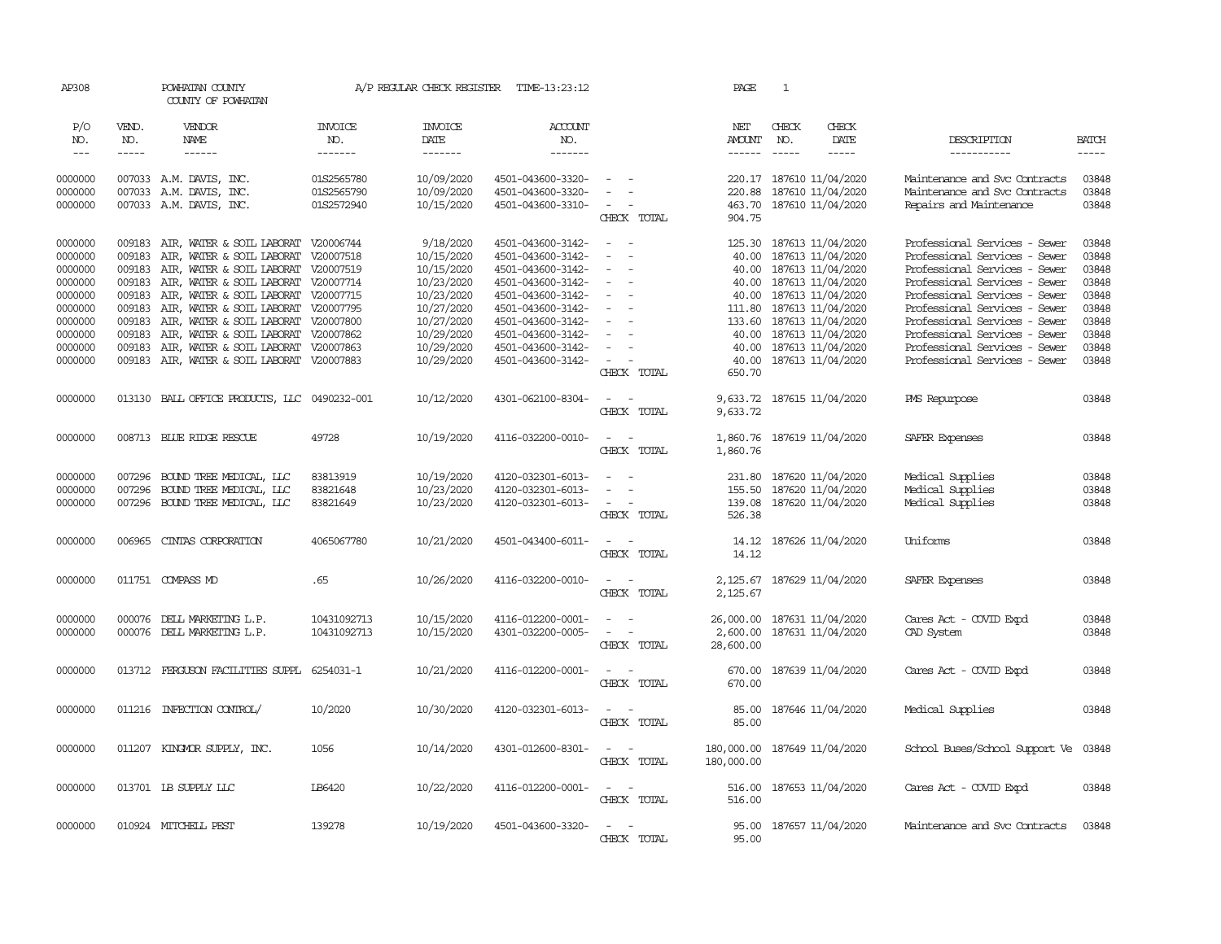| AP308      |              | POWHATAN COUNTY<br>COUNTY OF POWHATAN        |                       | A/P REGULAR CHECK REGISTER | TIME-13:23:12         |                                                | PAGE                                   | $\mathbf{1}$ |                             |                                |              |
|------------|--------------|----------------------------------------------|-----------------------|----------------------------|-----------------------|------------------------------------------------|----------------------------------------|--------------|-----------------------------|--------------------------------|--------------|
| P/O<br>NO. | VEND.<br>NO. | VENDOR<br>NAME                               | <b>INVOICE</b><br>NO. | <b>INVOICE</b><br>DATE     | <b>ACCOUNT</b><br>NO. |                                                | NET<br><b>AMOUNT</b>                   | CHECK<br>NO. | CHECK<br>DATE               | DESCRIPTION                    | <b>BATCH</b> |
| $---$      | $- - - - -$  | $- - - - - -$                                | -------               | --------                   | -------               |                                                | $- - - - - -$                          | $\cdots$     | $- - - - -$                 | -----------                    | $- - - - -$  |
| 0000000    |              | 007033 A.M. DAVIS, INC.                      | 01S2565780            | 10/09/2020                 | 4501-043600-3320-     | $\sim$                                         |                                        |              | 220.17 187610 11/04/2020    | Maintenance and Svc Contracts  | 03848        |
| 0000000    |              | 007033 A.M. DAVIS, INC.                      | 01S2565790            | 10/09/2020                 | 4501-043600-3320-     |                                                | 220.88                                 |              | 187610 11/04/2020           | Maintenance and Svc Contracts  | 03848        |
| 0000000    |              | 007033 A.M. DAVIS, INC.                      | 01S2572940            | 10/15/2020                 | 4501-043600-3310-     | CHECK TOTAL                                    | 904.75                                 |              | 463.70 187610 11/04/2020    | Repairs and Maintenance        | 03848        |
| 0000000    |              | 009183 AIR, WATER & SOIL LABORAT V20006744   |                       | 9/18/2020                  | 4501-043600-3142-     | $\sim$                                         | 125.30                                 |              | 187613 11/04/2020           | Professional Services - Sewer  | 03848        |
| 0000000    | 009183       | AIR, WATER & SOIL LABORAT V20007518          |                       | 10/15/2020                 | 4501-043600-3142-     | $\equiv$                                       | 40.00                                  |              | 187613 11/04/2020           | Professional Services - Sewer  | 03848        |
| 0000000    | 009183       | AIR, WATER & SOIL LABORAT V20007519          |                       | 10/15/2020                 | 4501-043600-3142-     | $\sim$<br>$\sim$                               |                                        |              | 40.00 187613 11/04/2020     | Professional Services - Sewer  | 03848        |
| 0000000    | 009183       | AIR, WATER & SOIL LABORAT                    | V20007714             | 10/23/2020                 | 4501-043600-3142-     | $\sim$                                         | 40.00                                  |              | 187613 11/04/2020           | Professional Services - Sewer  | 03848        |
| 0000000    | 009183       | AIR, WATER & SOIL LABORAT V20007715          |                       | 10/23/2020                 | 4501-043600-3142-     | $\sim$                                         |                                        |              | 40.00 187613 11/04/2020     | Professional Services - Sewer  | 03848        |
| 0000000    | 009183       | AIR, WATER & SOIL LABORAT V20007795          |                       | 10/27/2020                 | 4501-043600-3142-     | $\sim$                                         | 111.80                                 |              | 187613 11/04/2020           | Professional Services - Sewer  | 03848        |
| 0000000    | 009183       | AIR, WATER & SOIL LABORAT V20007800          |                       | 10/27/2020                 | 4501-043600-3142-     | $\overline{\phantom{a}}$                       | 133.60                                 |              | 187613 11/04/2020           | Professional Services - Sewer  | 03848        |
| 0000000    | 009183       | AIR, WATER & SOIL LABORAT V20007862          |                       | 10/29/2020                 | 4501-043600-3142-     |                                                | 40.00                                  |              | 187613 11/04/2020           | Professional Services - Sewer  | 03848        |
| 0000000    | 009183       | AIR, WATER & SOIL LABORAT V20007863          |                       | 10/29/2020                 | 4501-043600-3142-     | $\overline{\phantom{a}}$                       | 40.00                                  |              | 187613 11/04/2020           | Professional Services - Sewer  | 03848        |
| 0000000    |              | 009183 AIR, WATER & SOIL LABORAT V20007883   |                       | 10/29/2020                 | 4501-043600-3142-     | $\sim$<br>CHECK TOTAL                          | 40.00<br>650.70                        |              | 187613 11/04/2020           | Professional Services - Sewer  | 03848        |
| 0000000    |              | 013130 BALL OFFICE PRODUCTS, LLC 0490232-001 |                       | 10/12/2020                 | 4301-062100-8304-     | $\sim$ $ \sim$                                 |                                        |              | 9,633.72 187615 11/04/2020  | PMS Repurpose                  | 03848        |
|            |              |                                              |                       |                            |                       | CHECK TOTAL                                    | 9,633.72                               |              |                             |                                |              |
| 0000000    |              | 008713 BLUE RIDGE RESCUE                     | 49728                 | 10/19/2020                 | 4116-032200-0010-     | $\sim$ $\sim$<br>CHECK TOTAL                   | 1,860.76 187619 11/04/2020<br>1,860.76 |              |                             | SAFER Expenses                 | 03848        |
| 0000000    | 007296       | BOUND TREE MEDICAL, LLC                      | 83813919              | 10/19/2020                 | 4120-032301-6013-     | $\sim$<br>$\sim$                               |                                        |              | 187620 11/04/2020           | Medical Supplies               | 03848        |
| 0000000    | 007296       | BOUND TREE MEDICAL, LLC                      | 83821648              | 10/23/2020                 | 4120-032301-6013-     | $\overline{\phantom{a}}$                       | 231.80                                 |              | 155.50 187620 11/04/2020    | Medical Supplies               | 03848        |
| 0000000    |              | 007296 BOUND TREE MEDICAL, LLC               | 83821649              | 10/23/2020                 | 4120-032301-6013-     | $\sim$<br>$\sim$                               |                                        |              | 139.08 187620 11/04/2020    | Medical Supplies               | 03848        |
|            |              |                                              |                       |                            |                       | CHECK TOTAL                                    | 526.38                                 |              |                             |                                |              |
| 0000000    | 006965       | CINIAS CORPORATION                           | 4065067780            | 10/21/2020                 | 4501-043400-6011-     | $\sim$ $\sim$                                  |                                        |              | 14.12 187626 11/04/2020     | Uniforms                       | 03848        |
|            |              |                                              |                       |                            |                       | CHECK TOTAL                                    | 14.12                                  |              |                             |                                |              |
| 0000000    |              | 011751 COMPASS MD                            | .65                   | 10/26/2020                 | 4116-032200-0010-     | $\sim$<br>$\sim$<br>CHECK TOTAL                | 2,125.67                               |              | 2, 125.67 187629 11/04/2020 | SAFER Expenses                 | 03848        |
| 0000000    | 000076       | DELL MARKETING L.P.                          | 10431092713           | 10/15/2020                 | 4116-012200-0001-     | $\sim$                                         | 26,000.00                              |              | 187631 11/04/2020           | Cares Act - COVID Expd         | 03848        |
| 0000000    | 000076       | DELL MARKETING L.P.                          | 10431092713           | 10/15/2020                 | 4301-032200-0005-     | $\equiv$<br>$\sim$                             | 2,600.00                               |              | 187631 11/04/2020           | CAD System                     | 03848        |
|            |              |                                              |                       |                            |                       | CHECK TOTAL                                    | 28,600.00                              |              |                             |                                |              |
| 0000000    | 013712       | FERGUSON FACILITIES SUPPL                    | 6254031-1             | 10/21/2020                 | 4116-012200-0001-     | $\overline{\phantom{a}}$<br>CHECK TOTAL        | 670.00<br>670.00                       |              | 187639 11/04/2020           | Cares Act - COVID Expd         | 03848        |
| 0000000    |              | 011216 INFECTION CONTROL/                    | 10/2020               | 10/30/2020                 | 4120-032301-6013-     | $\sim$                                         | 85.00                                  |              | 187646 11/04/2020           | Medical Supplies               | 03848        |
|            |              |                                              |                       |                            |                       | CHECK TOTAL                                    | 85.00                                  |              |                             |                                |              |
| 0000000    |              | 011207 KINGMOR SUPPLY, INC.                  | 1056                  | 10/14/2020                 | 4301-012600-8301-     | $\omega_{\rm{max}}$ and $\omega_{\rm{max}}$    | 180,000.00                             |              | 187649 11/04/2020           | School Buses/School Support Ve | 03848        |
|            |              |                                              |                       |                            |                       | CHECK TOTAL                                    | 180,000.00                             |              |                             |                                |              |
| 0000000    |              | 013701 IB SUPPLY LLC                         | IB6420                | 10/22/2020                 | 4116-012200-0001-     | $\sim$<br>$\sim$                               | 516.00                                 |              | 187653 11/04/2020           | Cares Act - COVID Expd         | 03848        |
|            |              |                                              |                       |                            |                       | CHECK TOTAL                                    | 516.00                                 |              |                             |                                |              |
| 0000000    |              | 010924 MITCHELL PEST                         | 139278                | 10/19/2020                 | 4501-043600-3320-     | $\overline{\phantom{a}}$<br>. —<br>CHECK TOTAL | 95.00<br>95.00                         |              | 187657 11/04/2020           | Maintenance and Svc Contracts  | 03848        |
|            |              |                                              |                       |                            |                       |                                                |                                        |              |                             |                                |              |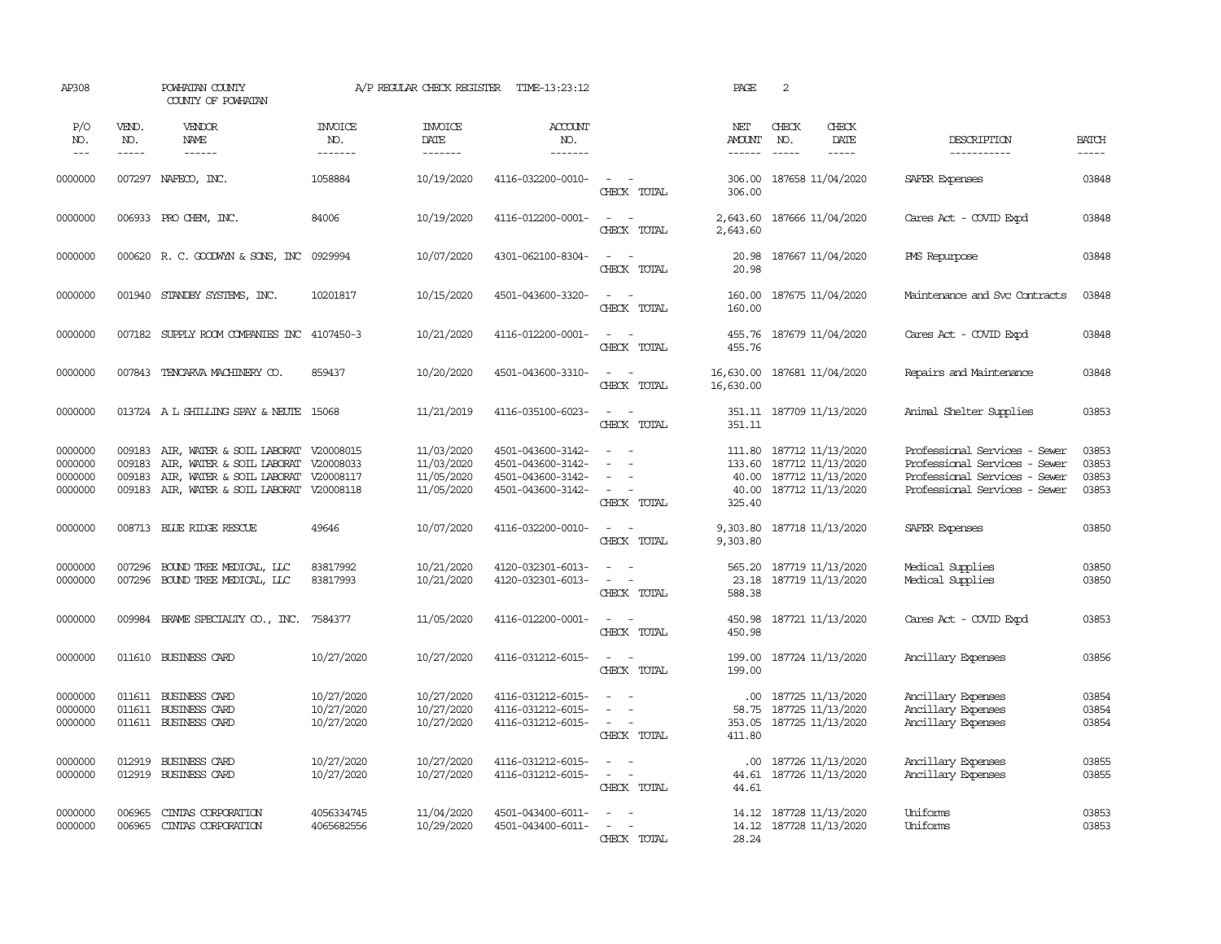| AP308                                    |                                      | POWHATAN COUNTY<br>COUNTY OF POWHATAN                                                                                                          |                                        | A/P REGULAR CHECK REGISTER                           | TIME-13:23:12                                                                    |                                                                  | PAGE                                  | 2                                                                                                          |                                                                       |                                                                                                                                  |                                  |
|------------------------------------------|--------------------------------------|------------------------------------------------------------------------------------------------------------------------------------------------|----------------------------------------|------------------------------------------------------|----------------------------------------------------------------------------------|------------------------------------------------------------------|---------------------------------------|------------------------------------------------------------------------------------------------------------|-----------------------------------------------------------------------|----------------------------------------------------------------------------------------------------------------------------------|----------------------------------|
| P/O<br>NO.<br>$---$                      | VEND.<br>NO.<br>-----                | VENDOR<br>NAME<br>$- - - - - -$                                                                                                                | <b>INVOICE</b><br>NO.<br>-------       | <b>INVOICE</b><br>DATE<br>-------                    | ACCOUNT<br>NO.<br>-------                                                        |                                                                  | NET<br><b>AMOUNT</b><br>$- - - - - -$ | CHECK<br>NO.                                                                                               | CHECK<br>DATE<br>$- - - - -$                                          | DESCRIPTION<br>-----------                                                                                                       | <b>BATCH</b><br>$- - - - -$      |
| 0000000                                  |                                      | 007297 NAFECO, INC.                                                                                                                            | 1058884                                | 10/19/2020                                           | 4116-032200-0010-                                                                | $\sim$ $\sim$<br>CHECK TOTAL                                     | 306.00                                | 306.00 187658 11/04/2020                                                                                   |                                                                       | SAFER Expenses                                                                                                                   | 03848                            |
| 0000000                                  |                                      | 006933 PRO CHEM, INC.                                                                                                                          | 84006                                  | 10/19/2020                                           | 4116-012200-0001-                                                                | $\sim$ $\sim$<br>CHECK TOTAL                                     | 2,643.60                              | 2,643.60 187666 11/04/2020                                                                                 |                                                                       | Cares Act - COVID Expd                                                                                                           | 03848                            |
| 0000000                                  |                                      | 000620 R. C. GOODWYN & SONS, INC 0929994                                                                                                       |                                        | 10/07/2020                                           | 4301-062100-8304-                                                                | $\sim$ $ -$<br>CHECK TOTAL                                       | 20.98<br>20.98                        |                                                                                                            | 187667 11/04/2020                                                     | PMS Repurpose                                                                                                                    | 03848                            |
| 0000000                                  | 001940                               | STANDBY SYSTEMS, INC.                                                                                                                          | 10201817                               | 10/15/2020                                           | 4501-043600-3320-                                                                | $\sim$<br>CHECK TOTAL                                            | 160.00<br>160.00                      |                                                                                                            | 187675 11/04/2020                                                     | Maintenance and Svc Contracts                                                                                                    | 03848                            |
| 0000000                                  | 007182                               | SUPPLY ROOM COMPANIES INC 4107450-3                                                                                                            |                                        | 10/21/2020                                           | 4116-012200-0001-                                                                | $\sim$<br>$\sim$<br>CHECK TOTAL                                  | 455.76<br>455.76                      |                                                                                                            | 187679 11/04/2020                                                     | Cares Act - COVID Expd                                                                                                           | 03848                            |
| 0000000                                  |                                      | 007843 TENCARVA MACHINERY CO.                                                                                                                  | 859437                                 | 10/20/2020                                           | 4501-043600-3310-                                                                | $\sim$ $ \sim$<br>CHECK TOTAL                                    | 16,630.00<br>16,630.00                |                                                                                                            | 187681 11/04/2020                                                     | Repairs and Maintenance                                                                                                          | 03848                            |
| 0000000                                  |                                      | 013724 A L SHILLING SPAY & NEUTE 15068                                                                                                         |                                        | 11/21/2019                                           | 4116-035100-6023-                                                                | $\sim$<br>$\sim$<br>CHECK TOTAL                                  | 351.11                                | 351.11 187709 11/13/2020                                                                                   |                                                                       | Animal Shelter Supplies                                                                                                          | 03853                            |
| 0000000<br>0000000<br>0000000<br>0000000 | 009183<br>009183<br>009183<br>009183 | AIR, WATER & SOIL LABORAT V20008015<br>AIR, WATER & SOIL LABORAT V20008033<br>AIR, WATER & SOIL LABORAT<br>AIR, WATER & SOIL LABORAT V20008118 | V20008117                              | 11/03/2020<br>11/03/2020<br>11/05/2020<br>11/05/2020 | 4501-043600-3142-<br>4501-043600-3142-<br>4501-043600-3142-<br>4501-043600-3142- | $\sim$<br>$\sim$<br>$\sim$<br>$\sim$ $\sim$<br>CHECK TOTAL       | 325.40                                | 111.80 187712 11/13/2020<br>133.60 187712 11/13/2020<br>40.00 187712 11/13/2020<br>40.00 187712 11/13/2020 |                                                                       | Professional Services - Sewer<br>Professional Services - Sewer<br>Professional Services - Sewer<br>Professional Services - Sewer | 03853<br>03853<br>03853<br>03853 |
| 0000000                                  |                                      | 008713 BLUE RIDGE RESCUE                                                                                                                       | 49646                                  | 10/07/2020                                           | 4116-032200-0010-                                                                | $\sim$<br>$\sim$<br>CHECK TOTAL                                  | 9,303.80<br>9,303.80                  |                                                                                                            | 187718 11/13/2020                                                     | SAFER Expenses                                                                                                                   | 03850                            |
| 0000000<br>0000000                       | 007296                               | BOUND TREE MEDICAL, LLC<br>007296 BOUND TREE MEDICAL, LLC                                                                                      | 83817992<br>83817993                   | 10/21/2020<br>10/21/2020                             | 4120-032301-6013-<br>4120-032301-6013-                                           | $\sim$ $ -$<br>$\sim$ $ -$<br>CHECK TOTAL                        | 23.18<br>588.38                       |                                                                                                            | 565.20 187719 11/13/2020<br>187719 11/13/2020                         | Medical Supplies<br>Medical Supplies                                                                                             | 03850<br>03850                   |
| 0000000                                  |                                      | 009984 BRAME SPECIALITY CO., INC. 7584377                                                                                                      |                                        | 11/05/2020                                           | 4116-012200-0001-                                                                | $\sim$ $  -$<br>CHECK TOTAL                                      | 450.98<br>450.98                      |                                                                                                            | 187721 11/13/2020                                                     | Cares Act - COVID Expd                                                                                                           | 03853                            |
| 0000000                                  |                                      | 011610 BUSINESS CARD                                                                                                                           | 10/27/2020                             | 10/27/2020                                           | 4116-031212-6015-                                                                | $\sim$ $ -$<br>CHECK TOTAL                                       | 199.00<br>199.00                      |                                                                                                            | 187724 11/13/2020                                                     | Ancillary Expenses                                                                                                               | 03856                            |
| 0000000<br>0000000<br>0000000            |                                      | 011611 BUSINESS CARD<br>011611 BUSINESS CARD<br>011611 BUSINESS CARD                                                                           | 10/27/2020<br>10/27/2020<br>10/27/2020 | 10/27/2020<br>10/27/2020<br>10/27/2020               | 4116-031212-6015-<br>4116-031212-6015-<br>4116-031212-6015-                      | $\overline{\phantom{a}}$<br>$\sim$<br>$\sim$ $ -$<br>CHECK TOTAL | 353.05<br>411.80                      |                                                                                                            | .00 187725 11/13/2020<br>58.75 187725 11/13/2020<br>187725 11/13/2020 | Ancillary Expenses<br>Ancillary Expenses<br>Ancillary Expenses                                                                   | 03854<br>03854<br>03854          |
| 0000000<br>0000000                       | 012919<br>012919                     | BUSINESS CARD<br>BUSINESS CARD                                                                                                                 | 10/27/2020<br>10/27/2020               | 10/27/2020<br>10/27/2020                             | 4116-031212-6015-<br>4116-031212-6015-                                           | $\sim$<br>$\sim$<br>$\sim$<br>CHECK TOTAL                        | .00.<br>44.61                         |                                                                                                            | 187726 11/13/2020<br>44.61 187726 11/13/2020                          | Ancillary Expenses<br>Ancillary Expenses                                                                                         | 03855<br>03855                   |
| 0000000<br>0000000                       | 006965<br>006965                     | CINIAS CORPORATION<br>CINIAS CORPORATION                                                                                                       | 4056334745<br>4065682556               | 11/04/2020<br>10/29/2020                             | 4501-043400-6011-<br>4501-043400-6011-                                           | $\sim$<br>$\sim$<br>$\sim$<br>CHECK TOTAL                        | 28.24                                 |                                                                                                            | 14.12 187728 11/13/2020<br>14.12 187728 11/13/2020                    | Uniforms<br>Uniforms                                                                                                             | 03853<br>03853                   |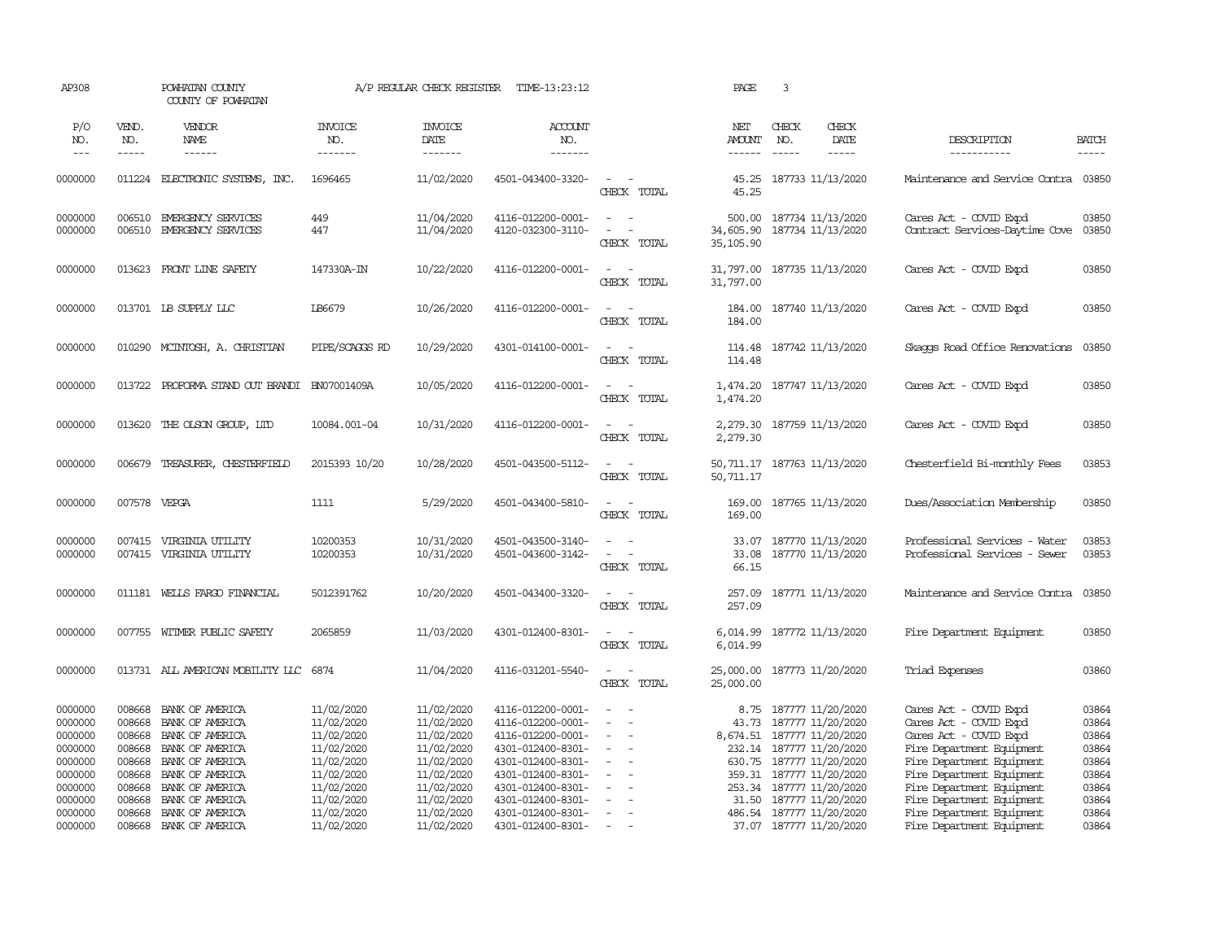| AP308                                                                                                      |                                                                                        | POWHATAN COUNTY<br>COUNTY OF POWHATAN                                                                                                                                                             |                                                                                                                                          | A/P REGULAR CHECK REGISTER                                                                                                               | TIME-13:23:12                                                                                                                                                                                                  |                                                                                                                                        | PAGE                                      | 3                             |                                                                                                                                                                                                                                                                  |                                                                                                                                                                                                                                                                                       |                                                                                        |
|------------------------------------------------------------------------------------------------------------|----------------------------------------------------------------------------------------|---------------------------------------------------------------------------------------------------------------------------------------------------------------------------------------------------|------------------------------------------------------------------------------------------------------------------------------------------|------------------------------------------------------------------------------------------------------------------------------------------|----------------------------------------------------------------------------------------------------------------------------------------------------------------------------------------------------------------|----------------------------------------------------------------------------------------------------------------------------------------|-------------------------------------------|-------------------------------|------------------------------------------------------------------------------------------------------------------------------------------------------------------------------------------------------------------------------------------------------------------|---------------------------------------------------------------------------------------------------------------------------------------------------------------------------------------------------------------------------------------------------------------------------------------|----------------------------------------------------------------------------------------|
| P/O<br>NO.<br>$---$                                                                                        | VEND.<br>NO.<br>$- - - - -$                                                            | VENDOR<br>NAME<br>$- - - - - -$                                                                                                                                                                   | <b>INVOICE</b><br>NO.<br>-------                                                                                                         | <b>INVOICE</b><br>DATE<br>-------                                                                                                        | ACCOUNT<br>NO.<br>-------                                                                                                                                                                                      |                                                                                                                                        | NET<br><b>AMOUNT</b><br>------            | CHECK<br>NO.<br>$\frac{1}{2}$ | CHECK<br>DATE<br>$- - - - -$                                                                                                                                                                                                                                     | DESCRIPTION<br>-----------                                                                                                                                                                                                                                                            | <b>BATCH</b><br>$- - - - -$                                                            |
| 0000000                                                                                                    |                                                                                        | 011224 ELECTRONIC SYSTEMS, INC.                                                                                                                                                                   | 1696465                                                                                                                                  | 11/02/2020                                                                                                                               | 4501-043400-3320-                                                                                                                                                                                              | $\overline{\phantom{a}}$<br>$\sim$<br>CHECK TOTAL                                                                                      | 45.25<br>45.25                            |                               | 187733 11/13/2020                                                                                                                                                                                                                                                | Maintenance and Service Contra 03850                                                                                                                                                                                                                                                  |                                                                                        |
| 0000000<br>0000000                                                                                         | 006510<br>006510                                                                       | EMERGENCY SERVICES<br>EMERGENCY SERVICES                                                                                                                                                          | 449<br>447                                                                                                                               | 11/04/2020<br>11/04/2020                                                                                                                 | 4116-012200-0001-<br>4120-032300-3110-                                                                                                                                                                         | $\sim$<br>$\overline{\phantom{a}}$<br>$\sim$<br>CHECK TOTAL                                                                            | 500.00<br>34,605.90<br>35,105.90          |                               | 187734 11/13/2020<br>187734 11/13/2020                                                                                                                                                                                                                           | Cares Act - COVID Expd<br>Contract Services-Daytime Cove                                                                                                                                                                                                                              | 03850<br>03850                                                                         |
| 0000000                                                                                                    |                                                                                        | 013623 FRONT LINE SAFETY                                                                                                                                                                          | 147330A-IN                                                                                                                               | 10/22/2020                                                                                                                               | 4116-012200-0001-                                                                                                                                                                                              | $\overline{\phantom{0}}$<br>$\sim$<br>CHECK TOTAL                                                                                      | 31,797.00 187735 11/13/2020<br>31,797.00  |                               |                                                                                                                                                                                                                                                                  | Cares Act - COVID Expd                                                                                                                                                                                                                                                                | 03850                                                                                  |
| 0000000                                                                                                    |                                                                                        | 013701 IB SUPPLY LLC                                                                                                                                                                              | <b>LB6679</b>                                                                                                                            | 10/26/2020                                                                                                                               | 4116-012200-0001-                                                                                                                                                                                              | $\frac{1}{2} \left( \frac{1}{2} \right) \left( \frac{1}{2} \right) = \frac{1}{2} \left( \frac{1}{2} \right)$<br>CHECK TOTAL            | 184.00<br>184.00                          |                               | 187740 11/13/2020                                                                                                                                                                                                                                                | Cares Act - COVID Expd                                                                                                                                                                                                                                                                | 03850                                                                                  |
| 0000000                                                                                                    | 010290                                                                                 | MCINTOSH, A. CHRISTIAN                                                                                                                                                                            | PIPE/SCAGGS RD                                                                                                                           | 10/29/2020                                                                                                                               | 4301-014100-0001-                                                                                                                                                                                              | $\sim$<br>$\sim$<br>CHECK TOTAL                                                                                                        | 114.48<br>114.48                          |                               | 187742 11/13/2020                                                                                                                                                                                                                                                | Skaops Road Office Renovations                                                                                                                                                                                                                                                        | 03850                                                                                  |
| 0000000                                                                                                    | 013722                                                                                 | PROFORMA STAND OUT BRANDI BN07001409A                                                                                                                                                             |                                                                                                                                          | 10/05/2020                                                                                                                               | 4116-012200-0001-                                                                                                                                                                                              | $\sim$<br>$\sim$<br>CHECK TOTAL                                                                                                        | 1,474.20<br>1,474.20                      |                               | 187747 11/13/2020                                                                                                                                                                                                                                                | Cares Act - COVID Expd                                                                                                                                                                                                                                                                | 03850                                                                                  |
| 0000000                                                                                                    | 013620                                                                                 | THE OLSON GROUP, LID                                                                                                                                                                              | 10084.001-04                                                                                                                             | 10/31/2020                                                                                                                               | 4116-012200-0001-                                                                                                                                                                                              | $\overline{\phantom{a}}$<br>$\sim$<br>CHECK TOTAL                                                                                      | 2,279.30<br>2,279.30                      |                               | 187759 11/13/2020                                                                                                                                                                                                                                                | Cares Act - COVID Expd                                                                                                                                                                                                                                                                | 03850                                                                                  |
| 0000000                                                                                                    | 006679                                                                                 | TREASURER, CHESTERFIELD                                                                                                                                                                           | 2015393 10/20                                                                                                                            | 10/28/2020                                                                                                                               | 4501-043500-5112-                                                                                                                                                                                              | $\sim$<br>- -<br>CHECK TOTAL                                                                                                           | 50, 711.17 187763 11/13/2020<br>50,711.17 |                               |                                                                                                                                                                                                                                                                  | Chesterfield Bi-monthly Fees                                                                                                                                                                                                                                                          | 03853                                                                                  |
| 0000000                                                                                                    | 007578 VEPGA                                                                           |                                                                                                                                                                                                   | 1111                                                                                                                                     | 5/29/2020                                                                                                                                | 4501-043400-5810-                                                                                                                                                                                              | $\sim$ $ \sim$<br>CHECK TOTAL                                                                                                          | 169.00<br>169.00                          |                               | 187765 11/13/2020                                                                                                                                                                                                                                                | Dues/Association Membership                                                                                                                                                                                                                                                           | 03850                                                                                  |
| 0000000<br>0000000                                                                                         | 007415<br>007415                                                                       | VIRGINIA UTILITY<br>VIRGINIA UTILITY                                                                                                                                                              | 10200353<br>10200353                                                                                                                     | 10/31/2020<br>10/31/2020                                                                                                                 | 4501-043500-3140-<br>4501-043600-3142-                                                                                                                                                                         | $\sim$<br>$\sim$<br>$\overline{\phantom{a}}$<br>$\sim$<br>CHECK TOTAL                                                                  | 33.07<br>33.08<br>66.15                   |                               | 187770 11/13/2020<br>187770 11/13/2020                                                                                                                                                                                                                           | Professional Services - Water<br>Professional Services - Sewer                                                                                                                                                                                                                        | 03853<br>03853                                                                         |
| 0000000                                                                                                    |                                                                                        | 011181 WELLS FARGO FINANCIAL                                                                                                                                                                      | 5012391762                                                                                                                               | 10/20/2020                                                                                                                               | 4501-043400-3320-                                                                                                                                                                                              | $\sim$<br>$\sim$<br>CHECK TOTAL                                                                                                        | 257.09<br>257.09                          |                               | 187771 11/13/2020                                                                                                                                                                                                                                                | Maintenance and Service Contra                                                                                                                                                                                                                                                        | 03850                                                                                  |
| 0000000                                                                                                    | 007755                                                                                 | WITMER PUBLIC SAFETY                                                                                                                                                                              | 2065859                                                                                                                                  | 11/03/2020                                                                                                                               | 4301-012400-8301-                                                                                                                                                                                              | $\sim$ $ \sim$<br>CHECK TOTAL                                                                                                          | 6,014.99<br>6,014.99                      |                               | 187772 11/13/2020                                                                                                                                                                                                                                                | Fire Department Equipment                                                                                                                                                                                                                                                             | 03850                                                                                  |
| 0000000                                                                                                    |                                                                                        | 013731 ALL AMERICAN MOBILITY LLC 6874                                                                                                                                                             |                                                                                                                                          | 11/04/2020                                                                                                                               | 4116-031201-5540-                                                                                                                                                                                              | $\sim$ $ \sim$<br>CHECK TOTAL                                                                                                          | 25,000.00 187773 11/20/2020<br>25,000.00  |                               |                                                                                                                                                                                                                                                                  | Triad Expenses                                                                                                                                                                                                                                                                        | 03860                                                                                  |
| 0000000<br>0000000<br>0000000<br>0000000<br>0000000<br>0000000<br>0000000<br>0000000<br>0000000<br>0000000 | 008668<br>008668<br>008668<br>008668<br>008668<br>008668<br>008668<br>008668<br>008668 | BANK OF AMERICA<br>BANK OF AMERICA<br>BANK OF AMERICA<br>BANK OF AMERICA<br>BANK OF AMERICA<br>BANK OF AMERICA<br>BANK OF AMERICA<br>BANK OF AMERICA<br>BANK OF AMERICA<br>008668 BANK OF AMERICA | 11/02/2020<br>11/02/2020<br>11/02/2020<br>11/02/2020<br>11/02/2020<br>11/02/2020<br>11/02/2020<br>11/02/2020<br>11/02/2020<br>11/02/2020 | 11/02/2020<br>11/02/2020<br>11/02/2020<br>11/02/2020<br>11/02/2020<br>11/02/2020<br>11/02/2020<br>11/02/2020<br>11/02/2020<br>11/02/2020 | 4116-012200-0001-<br>4116-012200-0001-<br>4116-012200-0001-<br>4301-012400-8301-<br>4301-012400-8301-<br>4301-012400-8301-<br>4301-012400-8301-<br>4301-012400-8301-<br>4301-012400-8301-<br>4301-012400-8301- | $\equiv$<br>$\sim$<br>$\overline{\phantom{a}}$<br>$\overline{\phantom{a}}$<br>$\overline{\phantom{a}}$<br>$\equiv$<br>$\sim$<br>$\sim$ | 8.75<br>43.73<br>31.50                    |                               | 187777 11/20/2020<br>187777 11/20/2020<br>8,674.51 187777 11/20/2020<br>232.14 187777 11/20/2020<br>630.75 187777 11/20/2020<br>359.31 187777 11/20/2020<br>253.34 187777 11/20/2020<br>187777 11/20/2020<br>486.54 187777 11/20/2020<br>37.07 187777 11/20/2020 | Cares Act - COVID Expd<br>Cares Act - COVID Expd<br>Cares Act - COVID Expd<br>Fire Department Equipment<br>Fire Department Equipment<br>Fire Department Equipment<br>Fire Department Equipment<br>Fire Department Equipment<br>Fire Department Equipment<br>Fire Department Equipment | 03864<br>03864<br>03864<br>03864<br>03864<br>03864<br>03864<br>03864<br>03864<br>03864 |
|                                                                                                            |                                                                                        |                                                                                                                                                                                                   |                                                                                                                                          |                                                                                                                                          |                                                                                                                                                                                                                |                                                                                                                                        |                                           |                               |                                                                                                                                                                                                                                                                  |                                                                                                                                                                                                                                                                                       |                                                                                        |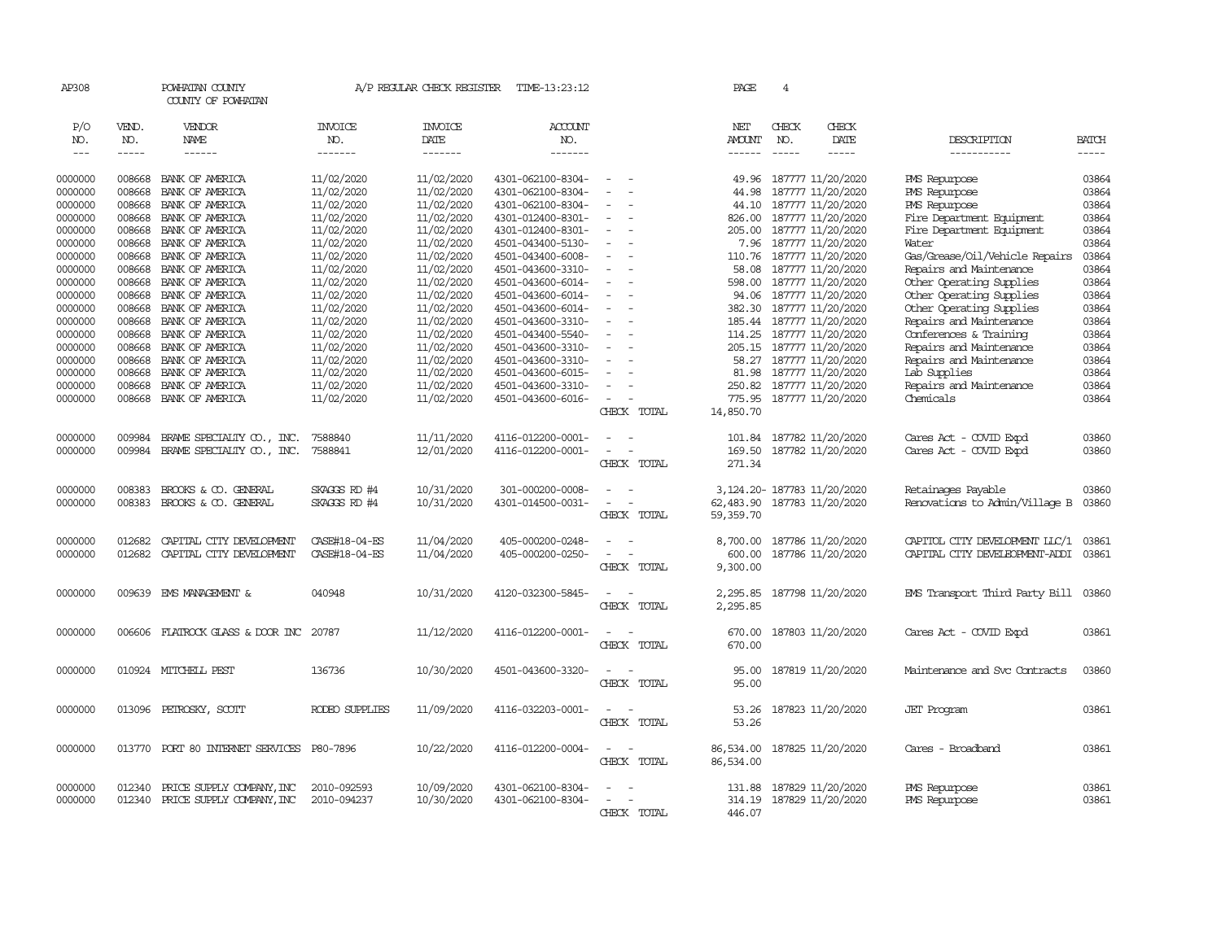| AP308         |             | POWHATAN COUNTY<br>COUNTY OF POWHATAN |                | A/P REGULAR CHECK REGISTER | TIME-13:23:12     |                                      | PAGE          | 4             |                             |                                |              |
|---------------|-------------|---------------------------------------|----------------|----------------------------|-------------------|--------------------------------------|---------------|---------------|-----------------------------|--------------------------------|--------------|
|               |             |                                       |                |                            |                   |                                      |               |               |                             |                                |              |
| P/O           | VEND.       | VENDOR                                | INVOICE        | <b>INVOICE</b>             | ACCOUNT           |                                      | NET           | CHECK         | CHECK                       |                                |              |
| NO.           | NO.         | NAME                                  | NO.            | DATE                       | NO.               |                                      | <b>AMOUNT</b> | NO.           | DATE                        | DESCRIPTION                    | <b>BATCH</b> |
| $\frac{1}{2}$ | $- - - - -$ | $- - - - - -$                         | -------        | -------                    | -------           |                                      | ------        | $\frac{1}{2}$ | -----                       | -----------                    | $- - - - -$  |
| 0000000       | 008668      | BANK OF AMERICA                       | 11/02/2020     | 11/02/2020                 | 4301-062100-8304- | $\equiv$                             | 49.96         |               | 187777 11/20/2020           | PMS Repurpose                  | 03864        |
| 0000000       | 008668      | BANK OF AMERICA                       | 11/02/2020     | 11/02/2020                 | 4301-062100-8304- |                                      | 44.98         |               | 187777 11/20/2020           | PMS Repurpose                  | 03864        |
| 0000000       | 008668      | BANK OF AMERICA                       | 11/02/2020     | 11/02/2020                 | 4301-062100-8304- |                                      | 44.10         |               | 187777 11/20/2020           | PMS Repurpose                  | 03864        |
| 0000000       | 008668      | BANK OF AMERICA                       | 11/02/2020     | 11/02/2020                 | 4301-012400-8301- | $\sim$                               | 826.00        |               | 187777 11/20/2020           | Fire Department Equipment      | 03864        |
| 0000000       | 008668      | BANK OF AMERICA                       | 11/02/2020     | 11/02/2020                 | 4301-012400-8301- | $\equiv$                             | 205.00        |               | 187777 11/20/2020           | Fire Department Equipment      | 03864        |
| 0000000       | 008668      | BANK OF AMERICA                       | 11/02/2020     | 11/02/2020                 | 4501-043400-5130- |                                      | 7.96          |               | 187777 11/20/2020           | Water                          | 03864        |
| 0000000       | 008668      | BANK OF AMERICA                       | 11/02/2020     | 11/02/2020                 | 4501-043400-6008- | $\equiv$                             | 110.76        |               | 187777 11/20/2020           | Gas/Grease/Oil/Vehicle Repairs | 03864        |
| 0000000       | 008668      | BANK OF AMERICA                       | 11/02/2020     | 11/02/2020                 | 4501-043600-3310- | $\sim$                               | 58.08         |               | 187777 11/20/2020           | Repairs and Maintenance        | 03864        |
| 0000000       | 008668      | BANK OF AMERICA                       | 11/02/2020     | 11/02/2020                 | 4501-043600-6014- |                                      |               |               | 598.00 187777 11/20/2020    | Other Operating Supplies       | 03864        |
| 0000000       | 008668      | BANK OF AMERICA                       | 11/02/2020     | 11/02/2020                 | 4501-043600-6014- | $\equiv$                             | 94.06         |               | 187777 11/20/2020           | Other Operating Supplies       | 03864        |
| 0000000       | 008668      | BANK OF AMERICA                       | 11/02/2020     | 11/02/2020                 | 4501-043600-6014- | $\equiv$                             | 382.30        |               | 187777 11/20/2020           | Other Operating Supplies       | 03864        |
| 0000000       | 008668      | BANK OF AMERICA                       | 11/02/2020     | 11/02/2020                 | 4501-043600-3310- |                                      |               |               | 185.44 187777 11/20/2020    | Repairs and Maintenance        | 03864        |
| 0000000       | 008668      | BANK OF AMERICA                       | 11/02/2020     | 11/02/2020                 | 4501-043400-5540- | $\equiv$                             |               |               | 114.25 187777 11/20/2020    | Conferences & Training         | 03864        |
| 0000000       | 008668      | BANK OF AMERICA                       | 11/02/2020     | 11/02/2020                 | 4501-043600-3310- | $\equiv$                             | 205.15        |               | 187777 11/20/2020           | Repairs and Maintenance        | 03864        |
| 0000000       | 008668      | BANK OF AMERICA                       | 11/02/2020     | 11/02/2020                 | 4501-043600-3310- |                                      |               |               | 58.27 187777 11/20/2020     | Repairs and Maintenance        | 03864        |
| 0000000       | 008668      | BANK OF AMERICA                       | 11/02/2020     | 11/02/2020                 | 4501-043600-6015- | $\equiv$                             |               |               | 81.98 187777 11/20/2020     | Lab Supplies                   | 03864        |
| 0000000       | 008668      | BANK OF AMERICA                       | 11/02/2020     | 11/02/2020                 | 4501-043600-3310- | $\sim$                               | 250.82        |               | 187777 11/20/2020           | Repairs and Maintenance        | 03864        |
| 0000000       | 008668      | BANK OF AMERICA                       | 11/02/2020     | 11/02/2020                 | 4501-043600-6016- |                                      |               |               | 775.95 187777 11/20/2020    | Chemicals                      | 03864        |
|               |             |                                       |                |                            |                   | CHECK TOTAL                          | 14,850.70     |               |                             |                                |              |
| 0000000       | 009984      | BRAME SPECIALITY CO., INC.            | 7588840        | 11/11/2020                 | 4116-012200-0001- | $\sim$                               |               |               | 101.84 187782 11/20/2020    | Cares Act - COVID Expd         | 03860        |
| 0000000       | 009984      | BRAME SPECIALITY CO., INC.            | 7588841        | 12/01/2020                 | 4116-012200-0001- | $\sim$<br>$\sim$                     |               |               | 169.50 187782 11/20/2020    | Cares Act - COVID Expd         | 03860        |
|               |             |                                       |                |                            |                   | CHECK TOTAL                          | 271.34        |               |                             |                                |              |
|               |             |                                       |                |                            |                   |                                      |               |               |                             |                                |              |
| 0000000       | 008383      | BROOKS & CO. GENERAL                  | SKAGGS RD #4   | 10/31/2020                 | 301-000200-0008-  | $\overline{\phantom{a}}$<br>$\sim$   |               |               | 3, 124.20-187783 11/20/2020 | Retainages Payable             | 03860        |
| 0000000       | 008383      | BROOKS & CO. GENERAL                  | SKAGGS RD #4   | 10/31/2020                 | 4301-014500-0031- | $\sim$<br>$\sim$                     | 62,483.90     |               | 187783 11/20/2020           | Renovations to Admin/Village B | 03860        |
|               |             |                                       |                |                            |                   | CHECK TOTAL                          | 59,359.70     |               |                             |                                |              |
| 0000000       | 012682      | CAPITAL CITY DEVELOPMENT              | CASE#18-04-ES  | 11/04/2020                 | 405-000200-0248-  | $\equiv$                             | 8,700.00      |               | 187786 11/20/2020           | CAPITOL CITY DEVELOPMENT LLC/1 | 03861        |
| 0000000       | 012682      | CAPITAL CITY DEVELOPMENT              | CASE#18-04-ES  | 11/04/2020                 | 405-000200-0250-  | $\overline{\phantom{a}}$             | 600.00        |               | 187786 11/20/2020           | CAPITAL CITY DEVELEOPMENT-ADDI | 03861        |
|               |             |                                       |                |                            |                   | CHECK TOTAL                          | 9,300.00      |               |                             |                                |              |
|               |             |                                       |                |                            |                   |                                      |               |               |                             |                                |              |
| 0000000       | 009639      | EMS MANAGEMENT &                      | 040948         | 10/31/2020                 | 4120-032300-5845- | $\equiv$<br>$\overline{\phantom{a}}$ | 2,295.85      |               | 187798 11/20/2020           | EMS Transport Third Party Bill | 03860        |
|               |             |                                       |                |                            |                   | CHECK TOTAL                          | 2,295.85      |               |                             |                                |              |
| 0000000       | 006606      | FLATROCK GLASS & DOOR INC             | 20787          | 11/12/2020                 | 4116-012200-0001- |                                      | 670.00        |               | 187803 11/20/2020           | Cares Act - COVID Expd         | 03861        |
|               |             |                                       |                |                            |                   | CHECK TOTAL                          | 670.00        |               |                             |                                |              |
|               |             |                                       |                |                            |                   |                                      |               |               |                             |                                |              |
| 0000000       | 010924      | MITCHELL PEST                         | 136736         | 10/30/2020                 | 4501-043600-3320- | $\overline{\phantom{a}}$             | 95.00         |               | 187819 11/20/2020           | Maintenance and Svc Contracts  | 03860        |
|               |             |                                       |                |                            |                   | CHECK TOTAL                          | 95.00         |               |                             |                                |              |
| 0000000       | 013096      | PETROSKY, SCOTT                       | RODEO SUPPLIES | 11/09/2020                 | 4116-032203-0001- | $\sim$                               | 53.26         |               | 187823 11/20/2020           | <b>JET</b> Program             | 03861        |
|               |             |                                       |                |                            |                   | CHECK TOTAL                          | 53.26         |               |                             |                                |              |
|               |             |                                       |                |                            |                   |                                      |               |               |                             |                                |              |
| 0000000       | 013770      | PORT 80 INTERNET SERVICES P80-7896    |                | 10/22/2020                 | 4116-012200-0004- | $\overline{\phantom{a}}$             | 86,534.00     |               | 187825 11/20/2020           | Cares - Broadband              | 03861        |
|               |             |                                       |                |                            |                   | CHECK TOTAL                          | 86,534.00     |               |                             |                                |              |
|               |             |                                       |                |                            |                   |                                      |               |               |                             |                                |              |
| 0000000       | 012340      | PRICE SUPPLY COMPANY, INC             | 2010-092593    | 10/09/2020                 | 4301-062100-8304- |                                      | 131.88        |               | 187829 11/20/2020           | PMS Repurpose                  | 03861        |
| 0000000       | 012340      | PRICE SUPPLY COMPANY, INC             | 2010-094237    | 10/30/2020                 | 4301-062100-8304- | $\sim$<br>$\sim$                     |               |               | 314.19 187829 11/20/2020    | PMS Repurpose                  | 03861        |
|               |             |                                       |                |                            |                   | CHECK TOTAL                          | 446.07        |               |                             |                                |              |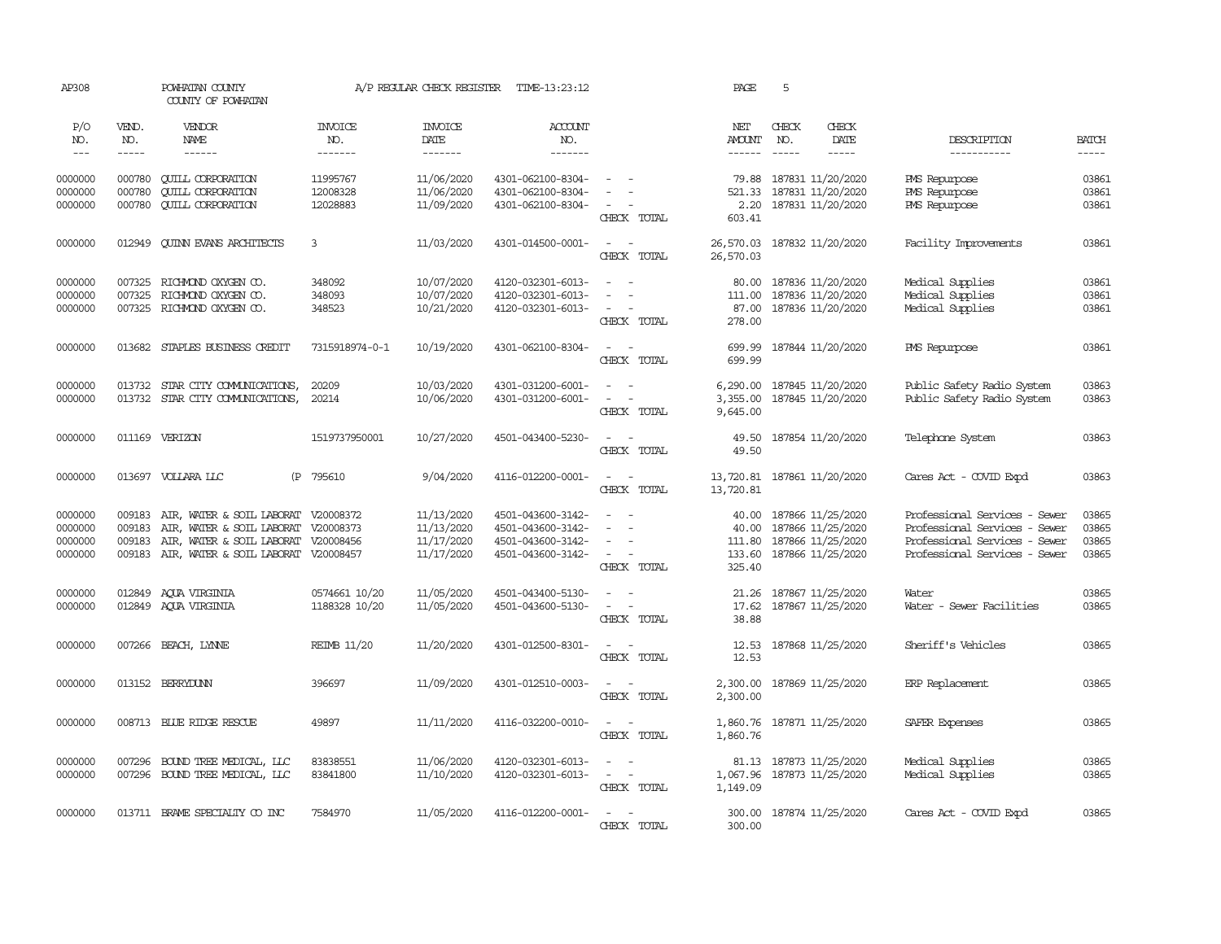| AP308                                    |                                      | POWHATAN COUNTY<br>COUNTY OF POWHATAN                                                                                      |                                     | A/P REGULAR CHECK REGISTER                           | TIME-13:23:12                                                                    |                                                                       | PAGE                               | 5                                                                                       |                        |                                                                                                                                  |                                  |
|------------------------------------------|--------------------------------------|----------------------------------------------------------------------------------------------------------------------------|-------------------------------------|------------------------------------------------------|----------------------------------------------------------------------------------|-----------------------------------------------------------------------|------------------------------------|-----------------------------------------------------------------------------------------|------------------------|----------------------------------------------------------------------------------------------------------------------------------|----------------------------------|
| P/O<br>NO.<br>$\qquad \qquad -$          | VEND.<br>NO.<br>$\cdots\cdots\cdots$ | VENDOR<br>NAME                                                                                                             | <b>INVOICE</b><br>NO.<br>-------    | <b>INVOICE</b><br>DATE<br>$- - - - - - -$            | ACCOUNT<br>NO.<br>-------                                                        |                                                                       | NET<br><b>AMOUNT</b>               | CHECK<br>NO.                                                                            | CHECK<br>DATE<br>----- | DESCRIPTION<br>-----------                                                                                                       | <b>BATCH</b><br>$- - - - -$      |
| 0000000<br>0000000<br>0000000            | 000780<br>000780<br>000780           | <b>CUILL CORPORATION</b><br><b>QUILL CORPORATION</b><br><b>CUILL CORPORATION</b>                                           | 11995767<br>12008328<br>12028883    | 11/06/2020<br>11/06/2020<br>11/09/2020               | 4301-062100-8304-<br>4301-062100-8304-<br>4301-062100-8304-                      | $\equiv$<br>CHECK TOTAL                                               | 79.88<br>521.33<br>603.41          | 187831 11/20/2020<br>187831 11/20/2020<br>2.20 187831 11/20/2020                        |                        | PMS Repurpose<br>PMS Repurpose<br>PMS Repurpose                                                                                  | 03861<br>03861<br>03861          |
| 0000000                                  | 012949                               | <b>CUINN EVANS ARCHITECTS</b>                                                                                              | 3                                   | 11/03/2020                                           | 4301-014500-0001-                                                                | $\sim$ $ \sim$<br>CHECK TOTAL                                         | 26,570.03<br>26,570.03             | 187832 11/20/2020                                                                       |                        | Facility Improvements                                                                                                            | 03861                            |
| 0000000<br>0000000<br>0000000            | 007325                               | 007325 RICHMOND OXYGEN CO.<br>RICHMOND OXYGEN CO.<br>007325 RICHMOND OXYGEN CO.                                            | 348092<br>348093<br>348523          | 10/07/2020<br>10/07/2020<br>10/21/2020               | 4120-032301-6013-<br>4120-032301-6013-<br>4120-032301-6013-                      | $\sim$<br>$\sim$<br>$\sim$<br>CHECK TOTAL                             | 80.00<br>87.00<br>278.00           | 187836 11/20/2020<br>111.00 187836 11/20/2020<br>187836 11/20/2020                      |                        | Medical Supplies<br>Medical Supplies<br>Medical Supplies                                                                         | 03861<br>03861<br>03861          |
| 0000000                                  | 013682                               | STAPLES BUSINESS CREDIT                                                                                                    | 7315918974-0-1                      | 10/19/2020                                           | 4301-062100-8304-                                                                | $\sim$ $ \sim$<br>CHECK TOTAL                                         | 699.99<br>699.99                   | 187844 11/20/2020                                                                       |                        | <b>PMS</b> Repurpose                                                                                                             | 03861                            |
| 0000000<br>0000000                       | 013732                               | STAR CITY COMUNICATIONS,<br>013732 STAR CITY COMUNICATIONS,                                                                | 20209<br>20214                      | 10/03/2020<br>10/06/2020                             | 4301-031200-6001-<br>4301-031200-6001-                                           | $\overline{\phantom{a}}$<br>$\omega_{\rm{max}}$<br>CHECK TOTAL        | 6,290.00<br>9,645.00               | 187845 11/20/2020<br>3,355.00 187845 11/20/2020                                         |                        | Public Safety Radio System<br>Public Safety Radio System                                                                         | 03863<br>03863                   |
| 0000000                                  |                                      | 011169 VERIZON                                                                                                             | 1519737950001                       | 10/27/2020                                           | 4501-043400-5230-                                                                | $\sim$ $ \sim$<br>CHECK TOTAL                                         | 49.50                              | 49.50 187854 11/20/2020                                                                 |                        | Telephone System                                                                                                                 | 03863                            |
| 0000000                                  |                                      | 013697 VOLLARA LLC<br>(P                                                                                                   | 795610                              | 9/04/2020                                            | 4116-012200-0001-                                                                | $\sim$ $ \sim$<br>CHECK TOTAL                                         | 13,720.81                          | 13,720.81 187861 11/20/2020                                                             |                        | Cares Act - COVID Expd                                                                                                           | 03863                            |
| 0000000<br>0000000<br>0000000<br>0000000 | 009183<br>009183<br>009183<br>009183 | AIR, WATER & SOIL LABORAT V20008372<br>AIR, WATER & SOIL LABORAT<br>AIR, WATER & SOIL LABORAT<br>AIR, WATER & SOIL LABORAT | V20008373<br>V20008456<br>V20008457 | 11/13/2020<br>11/13/2020<br>11/17/2020<br>11/17/2020 | 4501-043600-3142-<br>4501-043600-3142-<br>4501-043600-3142-<br>4501-043600-3142- | $\equiv$<br>$\sim$<br>$\sim$ $ \sim$<br>CHECK TOTAL                   | 40.00<br>40.00<br>133.60<br>325.40 | 187866 11/25/2020<br>187866 11/25/2020<br>111.80 187866 11/25/2020<br>187866 11/25/2020 |                        | Professional Services - Sewer<br>Professional Services - Sewer<br>Professional Services - Sewer<br>Professional Services - Sewer | 03865<br>03865<br>03865<br>03865 |
| 0000000<br>0000000                       | 012849                               | 012849 AQUA VIRGINIA<br>AOUA VIRGINIA                                                                                      | 0574661 10/20<br>1188328 10/20      | 11/05/2020<br>11/05/2020                             | 4501-043400-5130-<br>4501-043600-5130-                                           | $\sim$<br>$\overline{\phantom{a}}$<br>CHECK TOTAL                     | 21.26<br>17.62<br>38.88            | 187867 11/25/2020<br>187867 11/25/2020                                                  |                        | Water<br>Water - Sewer Facilities                                                                                                | 03865<br>03865                   |
| 0000000                                  |                                      | 007266 BEACH, LYNNE                                                                                                        | <b>REIMB 11/20</b>                  | 11/20/2020                                           | 4301-012500-8301-                                                                | $\sim$<br>$\sim$<br>CHECK TOTAL                                       | 12.53<br>12.53                     | 187868 11/25/2020                                                                       |                        | Sheriff's Vehicles                                                                                                               | 03865                            |
| 0000000                                  |                                      | 013152 BERRYDUNN                                                                                                           | 396697                              | 11/09/2020                                           | 4301-012510-0003-                                                                | $\sim$<br>$\sim$<br>CHECK TOTAL                                       | 2,300.00<br>2,300.00               | 187869 11/25/2020                                                                       |                        | ERP Replacement                                                                                                                  | 03865                            |
| 0000000                                  |                                      | 008713 BLUE RIDGE RESCUE                                                                                                   | 49897                               | 11/11/2020                                           | 4116-032200-0010-                                                                | $\sim$ $ \sim$<br>CHECK TOTAL                                         | 1,860.76                           | 1,860.76 187871 11/25/2020                                                              |                        | SAFER Expenses                                                                                                                   | 03865                            |
| 0000000<br>0000000                       | 007296                               | BOUND TREE MEDICAL, LLC<br>007296 BOUND TREE MEDICAL, LLC                                                                  | 83838551<br>83841800                | 11/06/2020<br>11/10/2020                             | 4120-032301-6013-<br>4120-032301-6013-                                           | $\sim$<br>$\sim$<br>$\overline{\phantom{a}}$<br>$\sim$<br>CHECK TOTAL | 1,067.96<br>1,149.09               | 81.13 187873 11/25/2020<br>187873 11/25/2020                                            |                        | Medical Supplies<br>Medical Supplies                                                                                             | 03865<br>03865                   |
| 0000000                                  |                                      | 013711 BRAME SPECIALTY CO INC                                                                                              | 7584970                             | 11/05/2020                                           | 4116-012200-0001-                                                                | $\sim$ $ -$<br>CHECK TOTAL                                            | 300.00                             | 300.00 187874 11/25/2020                                                                |                        | Cares Act - COVID Expd                                                                                                           | 03865                            |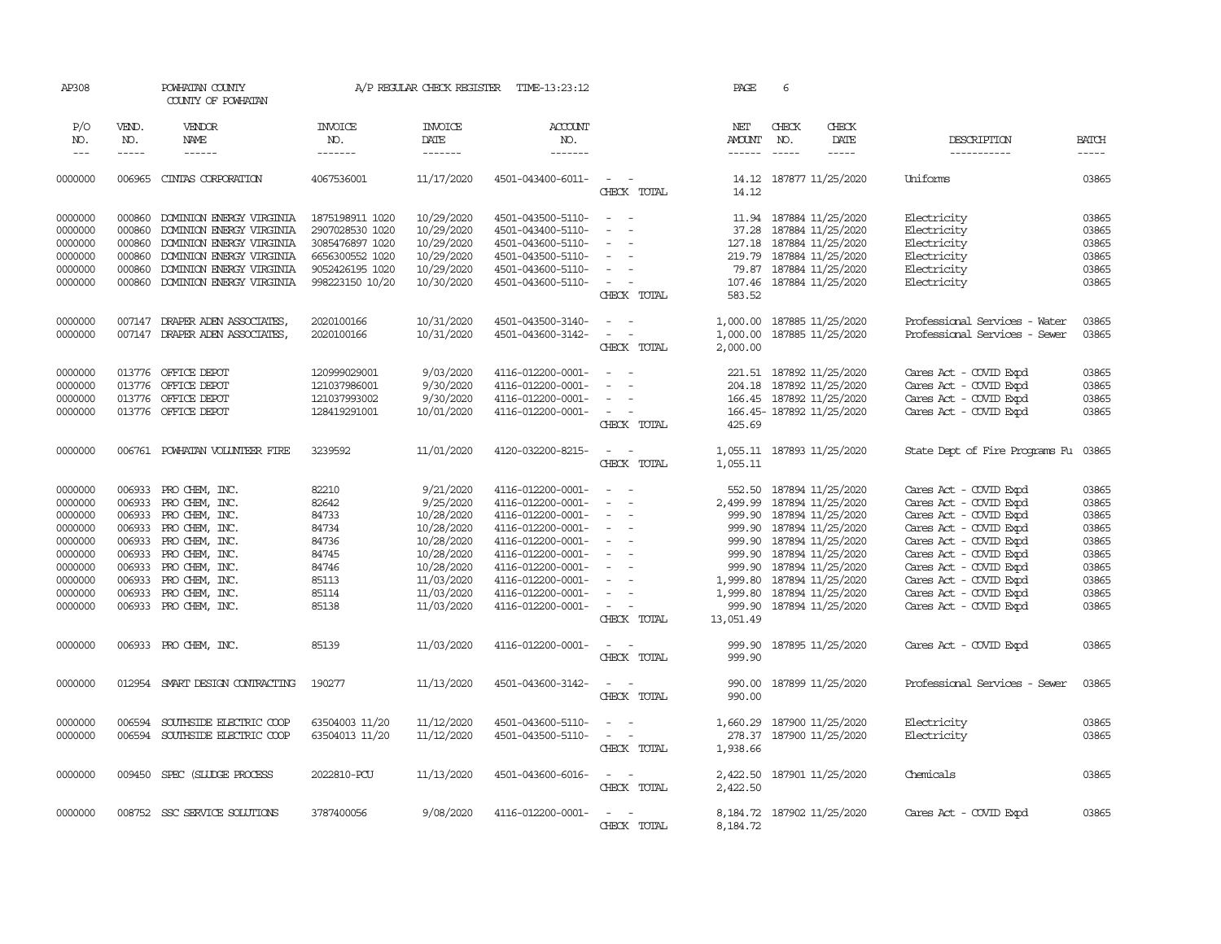| AP308                                                                                                      |                                                                                        | POWHATAN COUNTY<br>COUNTY OF POWHATAN                                                                                                                                                   |                                                                                                                | A/P REGULAR CHECK REGISTER                                                                                                             | TIME-13:23:12                                                                                                                                                                                                  |                                                                                                                                                       | PAGE                                                          | 6                             |                                                                                                                                                                                                                                                       |                                                                                                                                                                                                                                                                  |                                                                                        |
|------------------------------------------------------------------------------------------------------------|----------------------------------------------------------------------------------------|-----------------------------------------------------------------------------------------------------------------------------------------------------------------------------------------|----------------------------------------------------------------------------------------------------------------|----------------------------------------------------------------------------------------------------------------------------------------|----------------------------------------------------------------------------------------------------------------------------------------------------------------------------------------------------------------|-------------------------------------------------------------------------------------------------------------------------------------------------------|---------------------------------------------------------------|-------------------------------|-------------------------------------------------------------------------------------------------------------------------------------------------------------------------------------------------------------------------------------------------------|------------------------------------------------------------------------------------------------------------------------------------------------------------------------------------------------------------------------------------------------------------------|----------------------------------------------------------------------------------------|
| P/O<br>NO.<br>$\frac{1}{2}$                                                                                | VEND.<br>NO.<br>-----                                                                  | VENDOR<br>NAME<br>------                                                                                                                                                                | <b>INVOICE</b><br>NO.<br>-------                                                                               | <b>INVOICE</b><br>DATE<br>-------                                                                                                      | <b>ACCOUNT</b><br>NO.<br>-------                                                                                                                                                                               |                                                                                                                                                       | NET<br><b>AMOUNT</b>                                          | CHECK<br>NO.<br>$\frac{1}{2}$ | CHECK<br>DATE<br>$- - - - -$                                                                                                                                                                                                                          | DESCRIPTION<br>-----------                                                                                                                                                                                                                                       | <b>BATCH</b><br>$- - - - -$                                                            |
| 0000000                                                                                                    | 006965                                                                                 | CINTAS CORPORATION                                                                                                                                                                      | 4067536001                                                                                                     | 11/17/2020                                                                                                                             | 4501-043400-6011-                                                                                                                                                                                              | $\sim$ $\sim$<br>CHECK TOTAL                                                                                                                          | 14.12                                                         |                               | 14.12 187877 11/25/2020                                                                                                                                                                                                                               | <b>Iniforms</b>                                                                                                                                                                                                                                                  | 03865                                                                                  |
| 0000000<br>0000000<br>0000000<br>0000000<br>0000000<br>0000000                                             | 000860<br>000860<br>000860<br>000860<br>000860<br>000860                               | DOMINION ENERGY VIRGINIA<br>DOMINION ENERGY VIRGINIA<br>DOMINION ENERGY VIRGINIA<br>DOMINION ENERGY VIRGINIA<br>DOMINION ENERGY VIRGINIA<br>DOMINION ENERGY VIRGINIA                    | 1875198911 1020<br>2907028530 1020<br>3085476897 1020<br>6656300552 1020<br>9052426195 1020<br>998223150 10/20 | 10/29/2020<br>10/29/2020<br>10/29/2020<br>10/29/2020<br>10/29/2020<br>10/30/2020                                                       | 4501-043500-5110-<br>4501-043400-5110-<br>4501-043600-5110-<br>4501-043500-5110-<br>4501-043600-5110-<br>4501-043600-5110-                                                                                     | $\sim$ $\sim$<br>$\equiv$<br>$\equiv$<br>$\sim$<br>$\overline{\phantom{a}}$<br>$\sim$<br>CHECK TOTAL                                                  | 127.18<br>583.52                                              |                               | 11.94 187884 11/25/2020<br>37.28 187884 11/25/2020<br>187884 11/25/2020<br>219.79 187884 11/25/2020<br>79.87 187884 11/25/2020<br>107.46 187884 11/25/2020                                                                                            | Electricity<br>Electricity<br>Electricity<br>Electricity<br>Electricity<br>Electricity                                                                                                                                                                           | 03865<br>03865<br>03865<br>03865<br>03865<br>03865                                     |
| 0000000<br>0000000                                                                                         |                                                                                        | 007147 DRAPER ADEN ASSOCIATES,<br>007147 DRAPER ADEN ASSOCIATES,                                                                                                                        | 2020100166<br>2020100166                                                                                       | 10/31/2020<br>10/31/2020                                                                                                               | 4501-043500-3140-<br>4501-043600-3142-                                                                                                                                                                         | $\sim$ $ \sim$<br>$\sim$ $ \sim$<br>CHECK TOTAL                                                                                                       | 2,000.00                                                      |                               | 1,000.00 187885 11/25/2020<br>1,000.00 187885 11/25/2020                                                                                                                                                                                              | Professional Services - Water<br>Professional Services - Sewer                                                                                                                                                                                                   | 03865<br>03865                                                                         |
| 0000000<br>0000000<br>0000000<br>0000000                                                                   | 013776                                                                                 | 013776 OFFICE DEPOT<br>OFFICE DEPOT<br>013776 OFFICE DEPOT<br>013776 OFFICE DEPOT                                                                                                       | 120999029001<br>121037986001<br>121037993002<br>128419291001                                                   | 9/03/2020<br>9/30/2020<br>9/30/2020<br>10/01/2020                                                                                      | 4116-012200-0001-<br>4116-012200-0001-<br>4116-012200-0001-<br>4116-012200-0001-                                                                                                                               | $\overline{\phantom{a}}$<br>$\sim$<br>$\overline{a}$<br>CHECK TOTAL                                                                                   | 425.69                                                        |                               | 221.51 187892 11/25/2020<br>204.18 187892 11/25/2020<br>166.45 187892 11/25/2020<br>166.45-187892 11/25/2020                                                                                                                                          | Cares Act - COVID Expd<br>Cares Act - COVID Expd<br>Cares Act - COVID Expd<br>Cares Act - COVID Expd                                                                                                                                                             | 03865<br>03865<br>03865<br>03865                                                       |
| 0000000                                                                                                    |                                                                                        | 006761 POWHATAN VOLUNTEER FIRE                                                                                                                                                          | 3239592                                                                                                        | 11/01/2020                                                                                                                             | 4120-032200-8215-                                                                                                                                                                                              | $\sim$ $ \sim$<br>CHECK TOTAL                                                                                                                         | 1,055.11                                                      |                               | 1,055.11 187893 11/25/2020                                                                                                                                                                                                                            | State Dept of Fire Programs Fu                                                                                                                                                                                                                                   | 03865                                                                                  |
| 0000000<br>0000000<br>0000000<br>0000000<br>0000000<br>0000000<br>0000000<br>0000000<br>0000000<br>0000000 | 006933<br>006933<br>006933<br>006933<br>006933<br>006933<br>006933<br>006933<br>006933 | 006933 PRO CHEM, INC.<br>PRO CHEM, INC.<br>PRO CHEM, INC.<br>PRO CHEM, INC.<br>PRO CHEM, INC.<br>PRO CHEM, INC.<br>PRO CHEM, INC.<br>PRO CHEM, INC.<br>PRO CHEM, INC.<br>PRO CHEM, INC. | 82210<br>82642<br>84733<br>84734<br>84736<br>84745<br>84746<br>85113<br>85114<br>85138                         | 9/21/2020<br>9/25/2020<br>10/28/2020<br>10/28/2020<br>10/28/2020<br>10/28/2020<br>10/28/2020<br>11/03/2020<br>11/03/2020<br>11/03/2020 | 4116-012200-0001-<br>4116-012200-0001-<br>4116-012200-0001-<br>4116-012200-0001-<br>4116-012200-0001-<br>4116-012200-0001-<br>4116-012200-0001-<br>4116-012200-0001-<br>4116-012200-0001-<br>4116-012200-0001- | $\sim$<br>$\sim$<br>$\sim$<br>$\sim$<br>$\sim$<br>$\overline{\phantom{a}}$<br>$\equiv$<br>$\blacksquare$<br>$\sim$<br>$\sim$<br>$\sim$<br>CHECK TOTAL | 552.50<br>2,499.99<br>999.90<br>999.90<br>999.90<br>13,051.49 |                               | 187894 11/25/2020<br>187894 11/25/2020<br>999.90 187894 11/25/2020<br>999.90 187894 11/25/2020<br>187894 11/25/2020<br>999.90 187894 11/25/2020<br>187894 11/25/2020<br>1,999.80 187894 11/25/2020<br>1,999.80 187894 11/25/2020<br>187894 11/25/2020 | Cares Act - COVID Expd<br>Cares Act - COVID Expd<br>Cares Act - COVID Expd<br>Cares Act - COVID Expd<br>Cares Act - COVID Expd<br>Cares Act - COVID Expd<br>Cares Act - COVID Expd<br>Cares Act - COVID Expd<br>Cares Act - COVID Expd<br>Cares Act - COVID Expd | 03865<br>03865<br>03865<br>03865<br>03865<br>03865<br>03865<br>03865<br>03865<br>03865 |
| 0000000                                                                                                    |                                                                                        | 006933 PRO CHEM, INC.                                                                                                                                                                   | 85139                                                                                                          | 11/03/2020                                                                                                                             | 4116-012200-0001-                                                                                                                                                                                              | $\overline{\phantom{a}}$<br>$\sim$<br>CHECK TOTAL                                                                                                     | 999.90<br>999.90                                              |                               | 187895 11/25/2020                                                                                                                                                                                                                                     | Cares Act - COVID Expd                                                                                                                                                                                                                                           | 03865                                                                                  |
| 0000000                                                                                                    |                                                                                        | 012954 SMART DESIGN CONTRACTING                                                                                                                                                         | 190277                                                                                                         | 11/13/2020                                                                                                                             | 4501-043600-3142-                                                                                                                                                                                              | $\sim$<br>$\sim$<br>CHECK TOTAL                                                                                                                       | 990.00<br>990.00                                              |                               | 187899 11/25/2020                                                                                                                                                                                                                                     | Professional Services - Sewer                                                                                                                                                                                                                                    | 03865                                                                                  |
| 0000000<br>0000000                                                                                         | 006594<br>006594                                                                       | SOUTHSIDE ELECTRIC COOP<br>SOUTHSIDE ELECTRIC COOP                                                                                                                                      | 63504003 11/20<br>63504013 11/20                                                                               | 11/12/2020<br>11/12/2020                                                                                                               | 4501-043600-5110-<br>4501-043500-5110-                                                                                                                                                                         | $\sim$ $ -$<br>$\sim$ $ \sim$<br>CHECK TOTAL                                                                                                          | 278.37<br>1,938.66                                            |                               | 1,660.29 187900 11/25/2020<br>187900 11/25/2020                                                                                                                                                                                                       | Electricity<br>Electricity                                                                                                                                                                                                                                       | 03865<br>03865                                                                         |
| 0000000                                                                                                    | 009450                                                                                 | SPEC (SLUDGE PROCESS                                                                                                                                                                    | 2022810-PCU                                                                                                    | 11/13/2020                                                                                                                             | 4501-043600-6016-                                                                                                                                                                                              | $\sim$ $ -$<br>CHECK TOTAL                                                                                                                            | 2,422.50<br>2,422.50                                          |                               | 187901 11/25/2020                                                                                                                                                                                                                                     | Chemicals                                                                                                                                                                                                                                                        | 03865                                                                                  |
| 0000000                                                                                                    |                                                                                        | 008752 SSC SERVICE SOLUTIONS                                                                                                                                                            | 3787400056                                                                                                     | 9/08/2020                                                                                                                              | 4116-012200-0001-                                                                                                                                                                                              | $\sim$ $ -$<br>CHECK TOTAL                                                                                                                            | 8,184.72                                                      |                               | 8, 184.72 187902 11/25/2020                                                                                                                                                                                                                           | Cares Act - COVID Expd                                                                                                                                                                                                                                           | 03865                                                                                  |